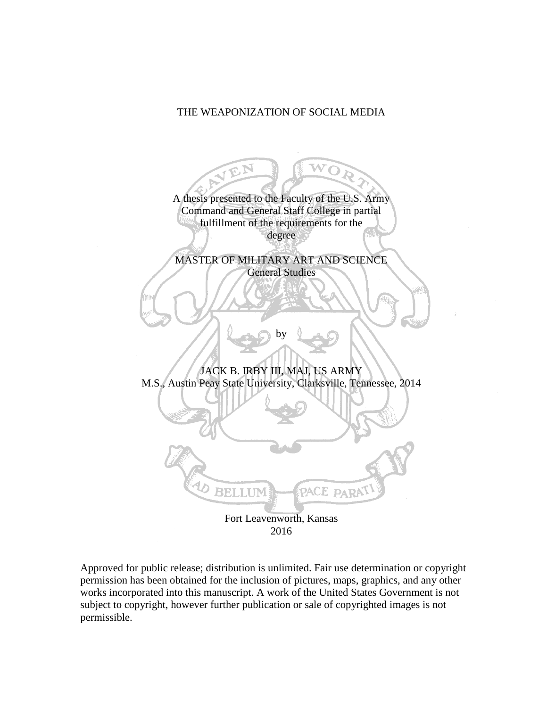## THE WEAPONIZATION OF SOCIAL MEDIA



Approved for public release; distribution is unlimited. Fair use determination or copyright permission has been obtained for the inclusion of pictures, maps, graphics, and any other works incorporated into this manuscript. A work of the United States Government is not subject to copyright, however further publication or sale of copyrighted images is not permissible.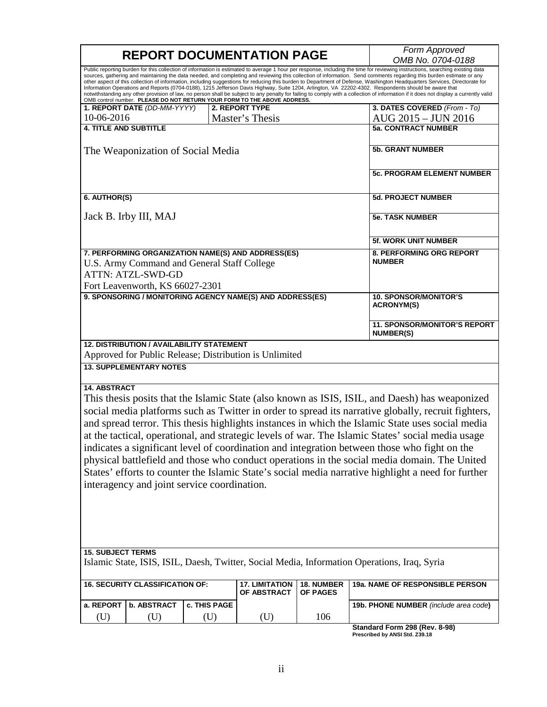|                                                                                                                                                                  |     |              | <b>REPORT DOCUMENTATION PAGE</b>     |                               | Form Approved<br>OMB No. 0704-0188                                                                                                                                                                                                                                                                                                                                                                                                                                                                                                                                                                                                                                                                                                                                                                                                                                                    |
|------------------------------------------------------------------------------------------------------------------------------------------------------------------|-----|--------------|--------------------------------------|-------------------------------|---------------------------------------------------------------------------------------------------------------------------------------------------------------------------------------------------------------------------------------------------------------------------------------------------------------------------------------------------------------------------------------------------------------------------------------------------------------------------------------------------------------------------------------------------------------------------------------------------------------------------------------------------------------------------------------------------------------------------------------------------------------------------------------------------------------------------------------------------------------------------------------|
| OMB control number. PLEASE DO NOT RETURN YOUR FORM TO THE ABOVE ADDRESS.                                                                                         |     |              |                                      |                               | Public reporting burden for this collection of information is estimated to average 1 hour per response, including the time for reviewing instructions, searching existing data<br>sources, gathering and maintaining the data needed, and completing and reviewing this collection of information. Send comments regarding this burden estimate or any<br>other aspect of this collection of information, including suggestions for reducing this burden to Department of Defense, Washington Headquarters Services, Directorate for<br>Information Operations and Reports (0704-0188), 1215 Jefferson Davis Highway, Suite 1204, Arlington, VA 22202-4302. Respondents should be aware that<br>notwithstanding any other provision of law, no person shall be subject to any penalty for failing to comply with a collection of information if it does not display a currently valid |
| 1. REPORT DATE (DD-MM-YYYY)                                                                                                                                      |     |              | <b>2. REPORT TYPE</b>                |                               | 3. DATES COVERED (From - To)                                                                                                                                                                                                                                                                                                                                                                                                                                                                                                                                                                                                                                                                                                                                                                                                                                                          |
| 10-06-2016                                                                                                                                                       |     |              | Master's Thesis                      |                               | AUG 2015 - JUN 2016                                                                                                                                                                                                                                                                                                                                                                                                                                                                                                                                                                                                                                                                                                                                                                                                                                                                   |
| <b>4. TITLE AND SUBTITLE</b>                                                                                                                                     |     |              |                                      |                               | <b>5a. CONTRACT NUMBER</b>                                                                                                                                                                                                                                                                                                                                                                                                                                                                                                                                                                                                                                                                                                                                                                                                                                                            |
| The Weaponization of Social Media                                                                                                                                |     |              |                                      |                               | <b>5b. GRANT NUMBER</b>                                                                                                                                                                                                                                                                                                                                                                                                                                                                                                                                                                                                                                                                                                                                                                                                                                                               |
|                                                                                                                                                                  |     |              |                                      |                               | <b>5c. PROGRAM ELEMENT NUMBER</b>                                                                                                                                                                                                                                                                                                                                                                                                                                                                                                                                                                                                                                                                                                                                                                                                                                                     |
| 6. AUTHOR(S)                                                                                                                                                     |     |              |                                      |                               | <b>5d. PROJECT NUMBER</b>                                                                                                                                                                                                                                                                                                                                                                                                                                                                                                                                                                                                                                                                                                                                                                                                                                                             |
| Jack B. Irby III, MAJ                                                                                                                                            |     |              |                                      |                               | <b>5e. TASK NUMBER</b>                                                                                                                                                                                                                                                                                                                                                                                                                                                                                                                                                                                                                                                                                                                                                                                                                                                                |
|                                                                                                                                                                  |     |              |                                      |                               | <b>5f. WORK UNIT NUMBER</b>                                                                                                                                                                                                                                                                                                                                                                                                                                                                                                                                                                                                                                                                                                                                                                                                                                                           |
| 7. PERFORMING ORGANIZATION NAME(S) AND ADDRESS(ES)<br>U.S. Army Command and General Staff College<br><b>ATTN: ATZL-SWD-GD</b><br>Fort Leavenworth, KS 66027-2301 |     |              |                                      |                               | 8. PERFORMING ORG REPORT<br><b>NUMBER</b>                                                                                                                                                                                                                                                                                                                                                                                                                                                                                                                                                                                                                                                                                                                                                                                                                                             |
| 9. SPONSORING / MONITORING AGENCY NAME(S) AND ADDRESS(ES)                                                                                                        |     |              |                                      |                               | <b>10. SPONSOR/MONITOR'S</b><br><b>ACRONYM(S)</b>                                                                                                                                                                                                                                                                                                                                                                                                                                                                                                                                                                                                                                                                                                                                                                                                                                     |
|                                                                                                                                                                  |     |              |                                      |                               | <b>11. SPONSOR/MONITOR'S REPORT</b><br><b>NUMBER(S)</b>                                                                                                                                                                                                                                                                                                                                                                                                                                                                                                                                                                                                                                                                                                                                                                                                                               |
| <b>12. DISTRIBUTION / AVAILABILITY STATEMENT</b><br>Approved for Public Release; Distribution is Unlimited                                                       |     |              |                                      |                               |                                                                                                                                                                                                                                                                                                                                                                                                                                                                                                                                                                                                                                                                                                                                                                                                                                                                                       |
| <b>13. SUPPLEMENTARY NOTES</b>                                                                                                                                   |     |              |                                      |                               |                                                                                                                                                                                                                                                                                                                                                                                                                                                                                                                                                                                                                                                                                                                                                                                                                                                                                       |
| <b>14. ABSTRACT</b>                                                                                                                                              |     |              |                                      |                               |                                                                                                                                                                                                                                                                                                                                                                                                                                                                                                                                                                                                                                                                                                                                                                                                                                                                                       |
|                                                                                                                                                                  |     |              |                                      |                               | This thesis posits that the Islamic State (also known as ISIS, ISIL, and Daesh) has weaponized                                                                                                                                                                                                                                                                                                                                                                                                                                                                                                                                                                                                                                                                                                                                                                                        |
|                                                                                                                                                                  |     |              |                                      |                               | social media platforms such as Twitter in order to spread its narrative globally, recruit fighters,                                                                                                                                                                                                                                                                                                                                                                                                                                                                                                                                                                                                                                                                                                                                                                                   |
|                                                                                                                                                                  |     |              |                                      |                               |                                                                                                                                                                                                                                                                                                                                                                                                                                                                                                                                                                                                                                                                                                                                                                                                                                                                                       |
|                                                                                                                                                                  |     |              |                                      |                               | and spread terror. This thesis highlights instances in which the Islamic State uses social media                                                                                                                                                                                                                                                                                                                                                                                                                                                                                                                                                                                                                                                                                                                                                                                      |
|                                                                                                                                                                  |     |              |                                      |                               | at the tactical, operational, and strategic levels of war. The Islamic States' social media usage                                                                                                                                                                                                                                                                                                                                                                                                                                                                                                                                                                                                                                                                                                                                                                                     |
|                                                                                                                                                                  |     |              |                                      |                               | indicates a significant level of coordination and integration between those who fight on the                                                                                                                                                                                                                                                                                                                                                                                                                                                                                                                                                                                                                                                                                                                                                                                          |
|                                                                                                                                                                  |     |              |                                      |                               | physical battlefield and those who conduct operations in the social media domain. The United                                                                                                                                                                                                                                                                                                                                                                                                                                                                                                                                                                                                                                                                                                                                                                                          |
|                                                                                                                                                                  |     |              |                                      |                               | States' efforts to counter the Islamic State's social media narrative highlight a need for further                                                                                                                                                                                                                                                                                                                                                                                                                                                                                                                                                                                                                                                                                                                                                                                    |
|                                                                                                                                                                  |     |              |                                      |                               |                                                                                                                                                                                                                                                                                                                                                                                                                                                                                                                                                                                                                                                                                                                                                                                                                                                                                       |
| interagency and joint service coordination.                                                                                                                      |     |              |                                      |                               |                                                                                                                                                                                                                                                                                                                                                                                                                                                                                                                                                                                                                                                                                                                                                                                                                                                                                       |
|                                                                                                                                                                  |     |              |                                      |                               |                                                                                                                                                                                                                                                                                                                                                                                                                                                                                                                                                                                                                                                                                                                                                                                                                                                                                       |
|                                                                                                                                                                  |     |              |                                      |                               |                                                                                                                                                                                                                                                                                                                                                                                                                                                                                                                                                                                                                                                                                                                                                                                                                                                                                       |
|                                                                                                                                                                  |     |              |                                      |                               |                                                                                                                                                                                                                                                                                                                                                                                                                                                                                                                                                                                                                                                                                                                                                                                                                                                                                       |
|                                                                                                                                                                  |     |              |                                      |                               |                                                                                                                                                                                                                                                                                                                                                                                                                                                                                                                                                                                                                                                                                                                                                                                                                                                                                       |
|                                                                                                                                                                  |     |              |                                      |                               |                                                                                                                                                                                                                                                                                                                                                                                                                                                                                                                                                                                                                                                                                                                                                                                                                                                                                       |
| <b>15. SUBJECT TERMS</b>                                                                                                                                         |     |              |                                      |                               | Islamic State, ISIS, ISIL, Daesh, Twitter, Social Media, Information Operations, Iraq, Syria                                                                                                                                                                                                                                                                                                                                                                                                                                                                                                                                                                                                                                                                                                                                                                                          |
| <b>16. SECURITY CLASSIFICATION OF:</b>                                                                                                                           |     |              | <b>17. LIMITATION</b><br>OF ABSTRACT | <b>18. NUMBER</b><br>OF PAGES | 19a. NAME OF RESPONSIBLE PERSON                                                                                                                                                                                                                                                                                                                                                                                                                                                                                                                                                                                                                                                                                                                                                                                                                                                       |
| <b>b. ABSTRACT</b><br>a. REPORT                                                                                                                                  |     | c. THIS PAGE |                                      |                               | 19b. PHONE NUMBER (include area code)                                                                                                                                                                                                                                                                                                                                                                                                                                                                                                                                                                                                                                                                                                                                                                                                                                                 |
| (U)                                                                                                                                                              | (U) | (U)          | (U)                                  | 106                           |                                                                                                                                                                                                                                                                                                                                                                                                                                                                                                                                                                                                                                                                                                                                                                                                                                                                                       |
|                                                                                                                                                                  |     |              |                                      |                               | Standard Form 298 (Rev. 8-98)                                                                                                                                                                                                                                                                                                                                                                                                                                                                                                                                                                                                                                                                                                                                                                                                                                                         |

**Standard Form 298 (Rev. 8-98) Prescribed by ANSI Std. Z39.18**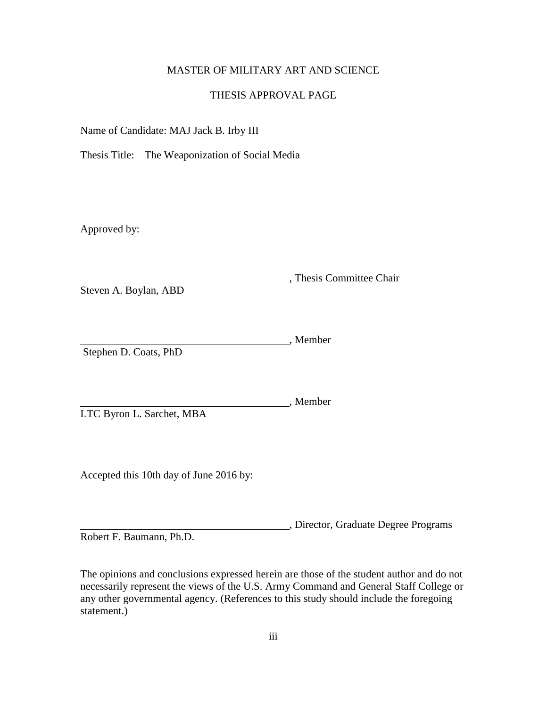## MASTER OF MILITARY ART AND SCIENCE

### THESIS APPROVAL PAGE

Name of Candidate: MAJ Jack B. Irby III

Thesis Title: The Weaponization of Social Media

Approved by:

, Thesis Committee Chair Steven A. Boylan, ABD

, Member Stephen D. Coats, PhD

LTC Byron L. Sarchet, MBA

Accepted this 10th day of June 2016 by:

, Director, Graduate Degree Programs

, Member

Robert F. Baumann, Ph.D.

The opinions and conclusions expressed herein are those of the student author and do not necessarily represent the views of the U.S. Army Command and General Staff College or any other governmental agency. (References to this study should include the foregoing statement.)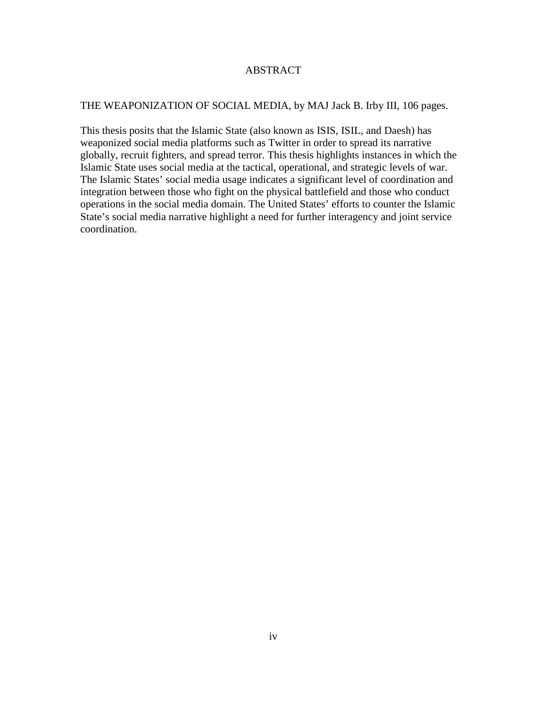## ABSTRACT

## THE WEAPONIZATION OF SOCIAL MEDIA, by MAJ Jack B. Irby III, 106 pages.

This thesis posits that the Islamic State (also known as ISIS, ISIL, and Daesh) has weaponized social media platforms such as Twitter in order to spread its narrative globally, recruit fighters, and spread terror. This thesis highlights instances in which the Islamic State uses social media at the tactical, operational, and strategic levels of war. The Islamic States' social media usage indicates a significant level of coordination and integration between those who fight on the physical battlefield and those who conduct operations in the social media domain. The United States' efforts to counter the Islamic State's social media narrative highlight a need for further interagency and joint service coordination.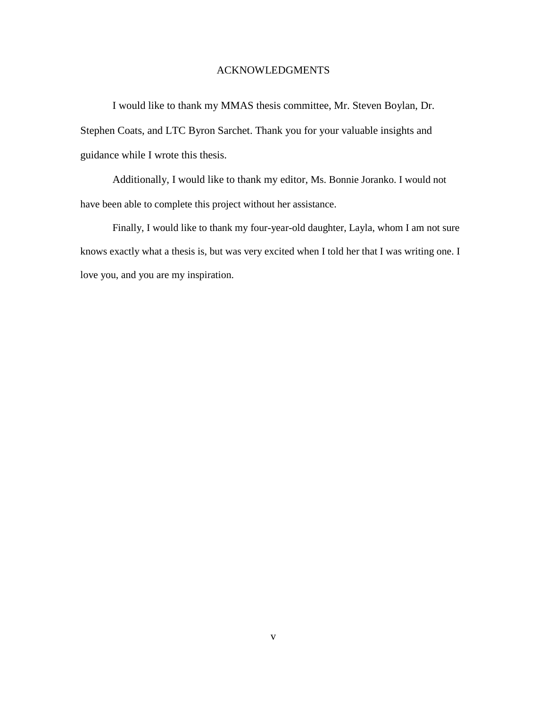### ACKNOWLEDGMENTS

I would like to thank my MMAS thesis committee, Mr. Steven Boylan, Dr. Stephen Coats, and LTC Byron Sarchet. Thank you for your valuable insights and guidance while I wrote this thesis.

Additionally, I would like to thank my editor, Ms. Bonnie Joranko. I would not have been able to complete this project without her assistance.

Finally, I would like to thank my four-year-old daughter, Layla, whom I am not sure knows exactly what a thesis is, but was very excited when I told her that I was writing one. I love you, and you are my inspiration.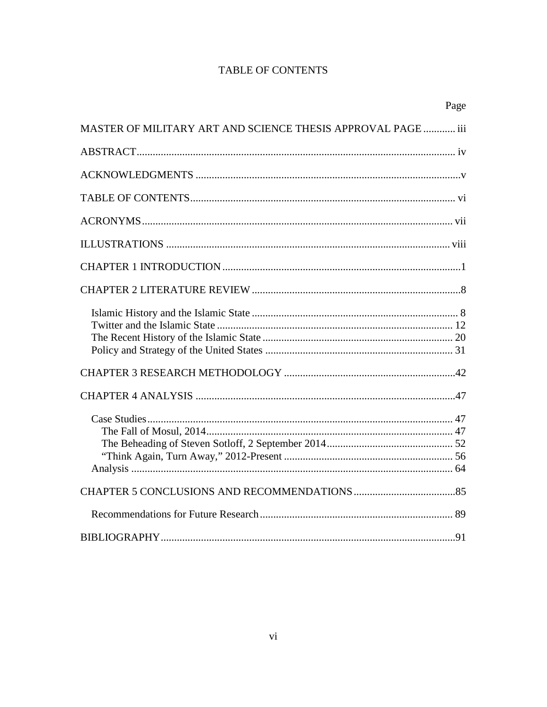# **TABLE OF CONTENTS**

|                                                              | Page |
|--------------------------------------------------------------|------|
| MASTER OF MILITARY ART AND SCIENCE THESIS APPROVAL PAGE  iii |      |
|                                                              |      |
|                                                              |      |
|                                                              |      |
|                                                              |      |
|                                                              |      |
|                                                              |      |
|                                                              |      |
|                                                              |      |
|                                                              |      |
|                                                              |      |
|                                                              |      |
|                                                              |      |
|                                                              |      |
|                                                              |      |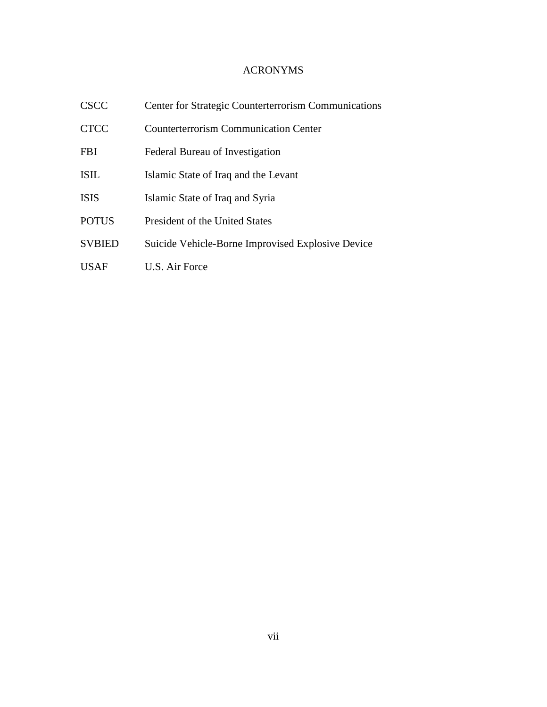## ACRONYMS

| <b>CSCC</b>   | Center for Strategic Counterterrorism Communications |
|---------------|------------------------------------------------------|
| <b>CTCC</b>   | <b>Counterterrorism Communication Center</b>         |
| <b>FBI</b>    | Federal Bureau of Investigation                      |
| <b>ISIL</b>   | Islamic State of Iraq and the Levant                 |
| <b>ISIS</b>   | Islamic State of Iraq and Syria                      |
| <b>POTUS</b>  | President of the United States                       |
| <b>SVBIED</b> | Suicide Vehicle-Borne Improvised Explosive Device    |
| USAF          | U.S. Air Force                                       |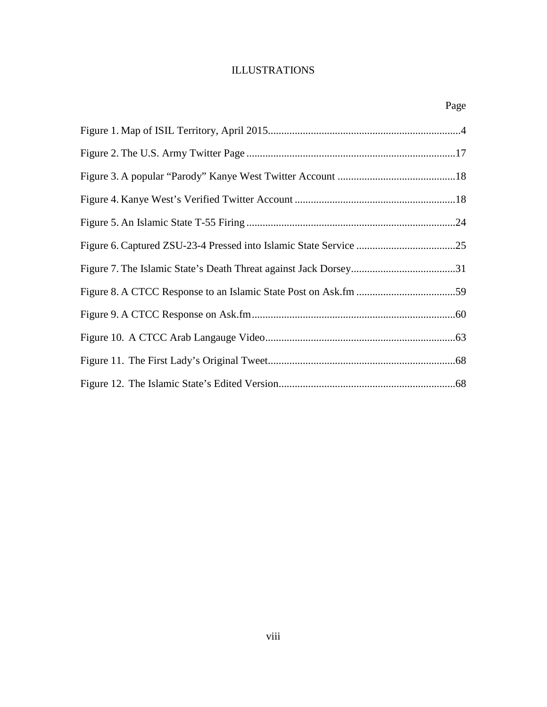# ILLUSTRATIONS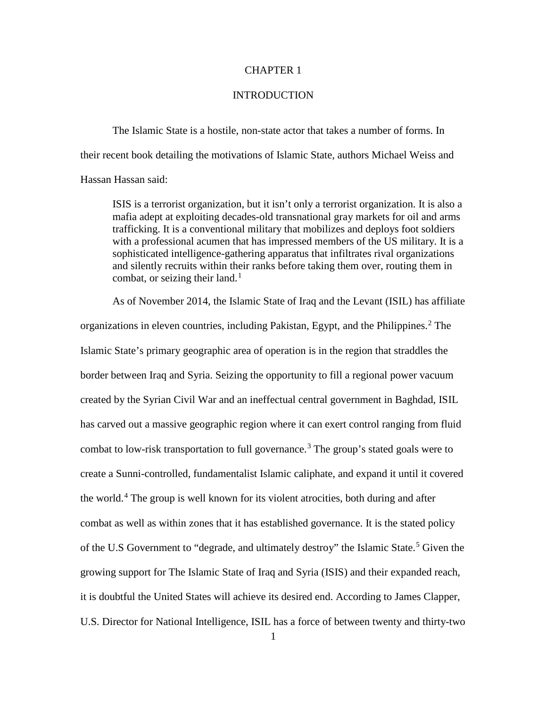### CHAPTER 1

### **INTRODUCTION**

The Islamic State is a hostile, non-state actor that takes a number of forms. In their recent book detailing the motivations of Islamic State, authors Michael Weiss and Hassan Hassan said:

ISIS is a terrorist organization, but it isn't only a terrorist organization. It is also a mafia adept at exploiting decades-old transnational gray markets for oil and arms trafficking. It is a conventional military that mobilizes and deploys foot soldiers with a professional acumen that has impressed members of the US military. It is a sophisticated intelligence-gathering apparatus that infiltrates rival organizations and silently recruits within their ranks before taking them over, routing them in combat, or seizing their land.<sup>[1](#page-13-0)</sup>

As of November 2014, the Islamic State of Iraq and the Levant (ISIL) has affiliate organizations in eleven countries, including Pakistan, Egypt, and the Philippines.<sup>[2](#page-13-1)</sup> The Islamic State's primary geographic area of operation is in the region that straddles the border between Iraq and Syria. Seizing the opportunity to fill a regional power vacuum created by the Syrian Civil War and an ineffectual central government in Baghdad, ISIL has carved out a massive geographic region where it can exert control ranging from fluid combat to low-risk transportation to full governance.<sup>[3](#page-13-2)</sup> The group's stated goals were to create a Sunni-controlled, fundamentalist Islamic caliphate, and expand it until it covered the world.[4](#page-13-3) The group is well known for its violent atrocities, both during and after combat as well as within zones that it has established governance. It is the stated policy of the U.S Government to "degrade, and ultimately destroy" the Islamic State.<sup>[5](#page-13-4)</sup> Given the growing support for The Islamic State of Iraq and Syria (ISIS) and their expanded reach, it is doubtful the United States will achieve its desired end. According to James Clapper, U.S. Director for National Intelligence, ISIL has a force of between twenty and thirty-two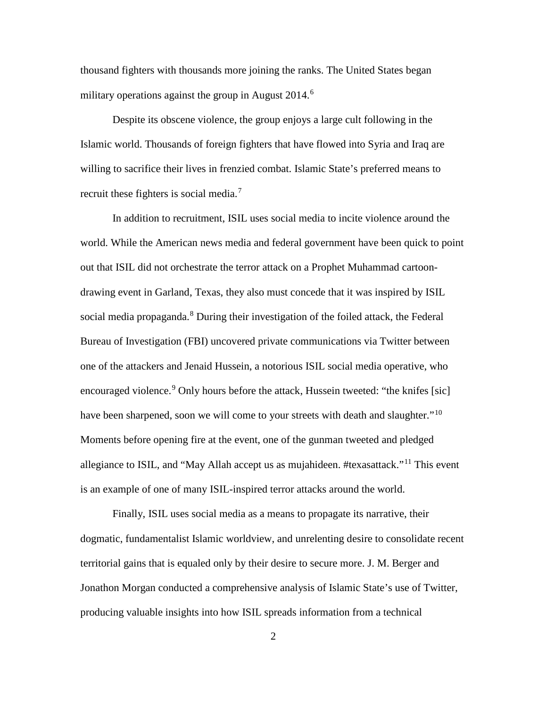thousand fighters with thousands more joining the ranks. The United States began military operations against the group in August  $2014<sup>6</sup>$  $2014<sup>6</sup>$  $2014<sup>6</sup>$ 

Despite its obscene violence, the group enjoys a large cult following in the Islamic world. Thousands of foreign fighters that have flowed into Syria and Iraq are willing to sacrifice their lives in frenzied combat. Islamic State's preferred means to recruit these fighters is social media.[7](#page-14-1)

In addition to recruitment, ISIL uses social media to incite violence around the world. While the American news media and federal government have been quick to point out that ISIL did not orchestrate the terror attack on a Prophet Muhammad cartoondrawing event in Garland, Texas, they also must concede that it was inspired by ISIL social media propaganda.<sup>[8](#page-14-2)</sup> During their investigation of the foiled attack, the Federal Bureau of Investigation (FBI) uncovered private communications via Twitter between one of the attackers and Jenaid Hussein, a notorious ISIL social media operative, who encouraged violence.<sup>[9](#page-14-3)</sup> Only hours before the attack, Hussein tweeted: "the knifes [sic] have been sharpened, soon we will come to your streets with death and slaughter."<sup>[10](#page-14-4)</sup> Moments before opening fire at the event, one of the gunman tweeted and pledged allegiance to ISIL, and "May Allah accept us as mujahideen. #texasattack."<sup>[11](#page-14-5)</sup> This event is an example of one of many ISIL-inspired terror attacks around the world.

Finally, ISIL uses social media as a means to propagate its narrative, their dogmatic, fundamentalist Islamic worldview, and unrelenting desire to consolidate recent territorial gains that is equaled only by their desire to secure more. J. M. Berger and Jonathon Morgan conducted a comprehensive analysis of Islamic State's use of Twitter, producing valuable insights into how ISIL spreads information from a technical

2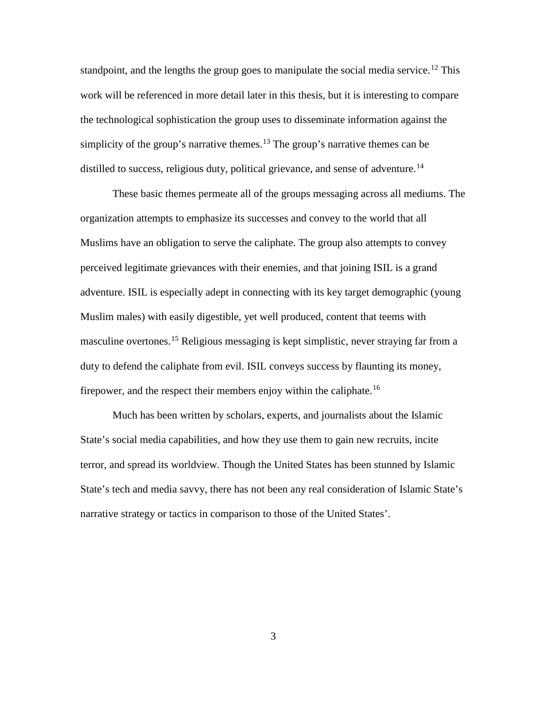standpoint, and the lengths the group goes to manipulate the social media service.<sup>[12](#page-15-0)</sup> This work will be referenced in more detail later in this thesis, but it is interesting to compare the technological sophistication the group uses to disseminate information against the simplicity of the group's narrative themes.<sup>[13](#page-15-1)</sup> The group's narrative themes can be distilled to success, religious duty, political grievance, and sense of adventure.<sup>[14](#page-15-2)</sup>

These basic themes permeate all of the groups messaging across all mediums. The organization attempts to emphasize its successes and convey to the world that all Muslims have an obligation to serve the caliphate. The group also attempts to convey perceived legitimate grievances with their enemies, and that joining ISIL is a grand adventure. ISIL is especially adept in connecting with its key target demographic (young Muslim males) with easily digestible, yet well produced, content that teems with masculine overtones.<sup>[15](#page-15-3)</sup> Religious messaging is kept simplistic, never straying far from a duty to defend the caliphate from evil. ISIL conveys success by flaunting its money, firepower, and the respect their members enjoy within the caliphate.<sup>[16](#page-15-4)</sup>

Much has been written by scholars, experts, and journalists about the Islamic State's social media capabilities, and how they use them to gain new recruits, incite terror, and spread its worldview. Though the United States has been stunned by Islamic State's tech and media savvy, there has not been any real consideration of Islamic State's narrative strategy or tactics in comparison to those of the United States'.

3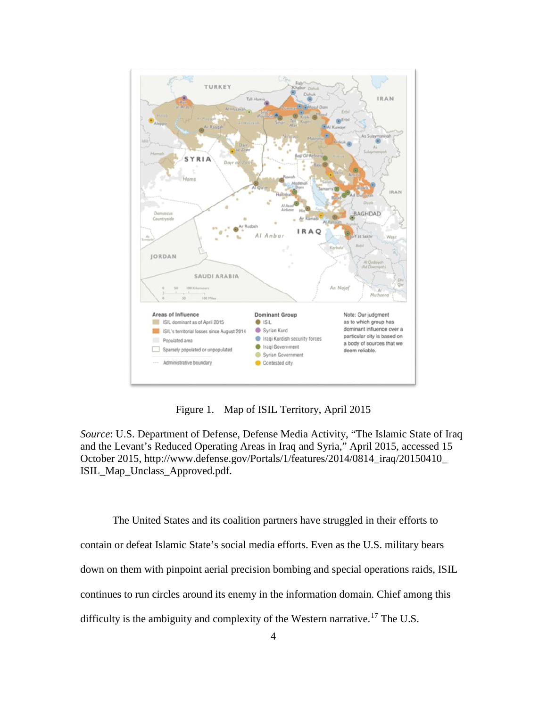

Figure 1. Map of ISIL Territory, April 2015

*Source*: U.S. Department of Defense, Defense Media Activity, "The Islamic State of Iraq and the Levant's Reduced Operating Areas in Iraq and Syria," April 2015, accessed 15 October 2015, http://www.defense.gov/Portals/1/features/2014/0814\_iraq/20150410\_ ISIL\_Map\_Unclass\_Approved.pdf.

The United States and its coalition partners have struggled in their efforts to contain or defeat Islamic State's social media efforts. Even as the U.S. military bears down on them with pinpoint aerial precision bombing and special operations raids, ISIL continues to run circles around its enemy in the information domain. Chief among this difficulty is the ambiguity and complexity of the Western narrative.<sup>[17](#page-15-5)</sup> The U.S.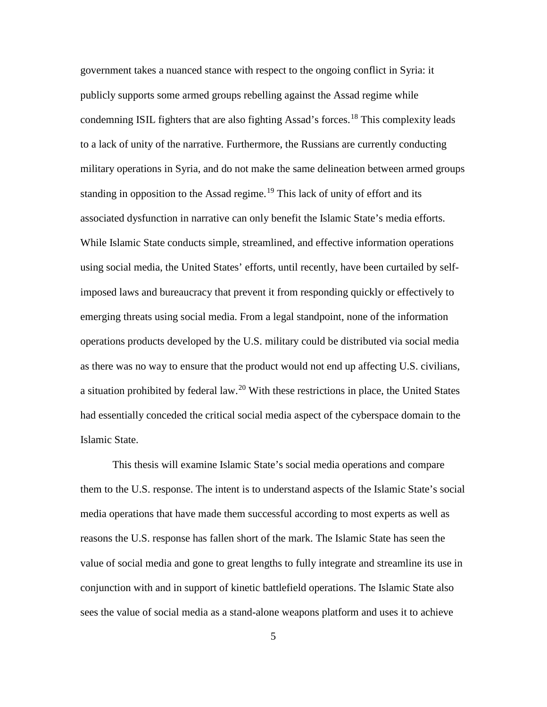government takes a nuanced stance with respect to the ongoing conflict in Syria: it publicly supports some armed groups rebelling against the Assad regime while condemning ISIL fighters that are also fighting Assad's forces.<sup>[18](#page-16-0)</sup> This complexity leads to a lack of unity of the narrative. Furthermore, the Russians are currently conducting military operations in Syria, and do not make the same delineation between armed groups standing in opposition to the Assad regime.<sup>[19](#page-16-1)</sup> This lack of unity of effort and its associated dysfunction in narrative can only benefit the Islamic State's media efforts. While Islamic State conducts simple, streamlined, and effective information operations using social media, the United States' efforts, until recently, have been curtailed by selfimposed laws and bureaucracy that prevent it from responding quickly or effectively to emerging threats using social media. From a legal standpoint, none of the information operations products developed by the U.S. military could be distributed via social media as there was no way to ensure that the product would not end up affecting U.S. civilians, a situation prohibited by federal law.<sup>[20](#page-16-2)</sup> With these restrictions in place, the United States had essentially conceded the critical social media aspect of the cyberspace domain to the Islamic State.

This thesis will examine Islamic State's social media operations and compare them to the U.S. response. The intent is to understand aspects of the Islamic State's social media operations that have made them successful according to most experts as well as reasons the U.S. response has fallen short of the mark. The Islamic State has seen the value of social media and gone to great lengths to fully integrate and streamline its use in conjunction with and in support of kinetic battlefield operations. The Islamic State also sees the value of social media as a stand-alone weapons platform and uses it to achieve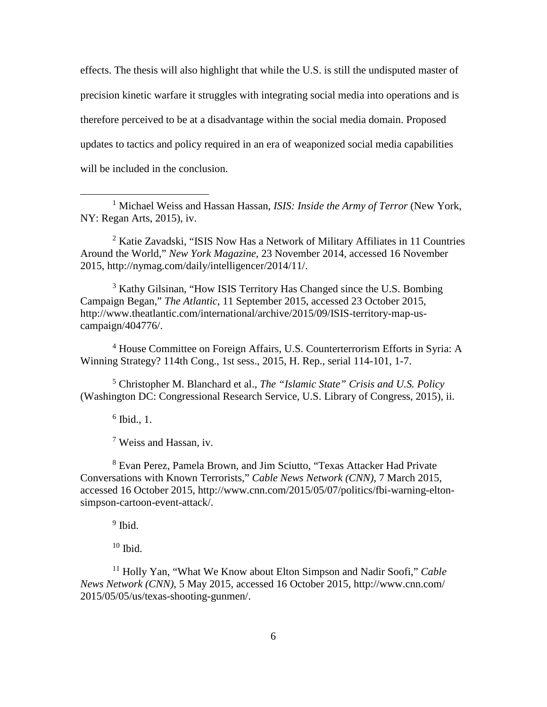effects. The thesis will also highlight that while the U.S. is still the undisputed master of precision kinetic warfare it struggles with integrating social media into operations and is therefore perceived to be at a disadvantage within the social media domain. Proposed updates to tactics and policy required in an era of weaponized social media capabilities will be included in the conclusion.

<span id="page-13-0"></span><sup>1</sup> Michael Weiss and Hassan Hassan, *ISIS: Inside the Army of Terror* (New York, NY: Regan Arts, 2015), iv.

<span id="page-13-1"></span><sup>2</sup> Katie Zavadski, "ISIS Now Has a Network of Military Affiliates in 11 Countries Around the World," *New York Magazine*, 23 November 2014, accessed 16 November 2015, http://nymag.com/daily/intelligencer/2014/11/.

<span id="page-13-2"></span><sup>3</sup> Kathy Gilsinan, "How ISIS Territory Has Changed since the U.S. Bombing Campaign Began," *The Atlantic*, 11 September 2015, accessed 23 October 2015, http://www.theatlantic.com/international/archive/2015/09/ISIS-territory-map-uscampaign/404776/.

<span id="page-13-3"></span><sup>4</sup> House Committee on Foreign Affairs, U.S. Counterterrorism Efforts in Syria: A Winning Strategy? 114th Cong., 1st sess., 2015, H. Rep., serial 114-101, 1-7.

<span id="page-13-4"></span><sup>5</sup> Christopher M. Blanchard et al., *The "Islamic State" Crisis and U.S. Policy* (Washington DC: Congressional Research Service, U.S. Library of Congress, 2015), ii.

 $6$  Ibid., 1.

 $\overline{a}$ 

<sup>7</sup> Weiss and Hassan, iv.

<sup>8</sup> Evan Perez, Pamela Brown, and Jim Sciutto, "Texas Attacker Had Private Conversations with Known Terrorists," *Cable News Network (CNN)*, 7 March 2015, accessed 16 October 2015, http://www.cnn.com/2015/05/07/politics/fbi-warning-eltonsimpson-cartoon-event-attack/.

 $9$  Ibid.

 $10$  Ibid.

<sup>11</sup> Holly Yan, "What We Know about Elton Simpson and Nadir Soofi," *Cable News Network (CNN)*, 5 May 2015, accessed 16 October 2015, http://www.cnn.com/ 2015/05/05/us/texas-shooting-gunmen/.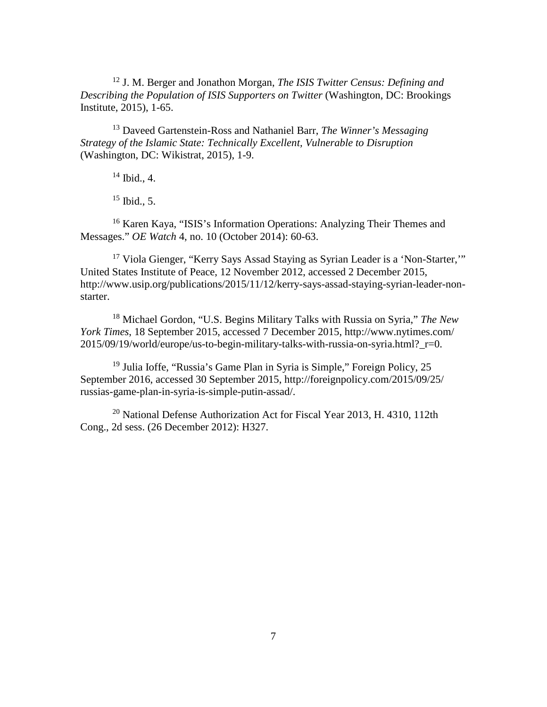<sup>12</sup> J. M. Berger and Jonathon Morgan, *The ISIS Twitter Census: Defining and Describing the Population of ISIS Supporters on Twitter* (Washington, DC: Brookings Institute, 2015), 1-65.

<sup>13</sup> Daveed Gartenstein-Ross and Nathaniel Barr, *The Winner's Messaging Strategy of the Islamic State: Technically Excellent, Vulnerable to Disruption* (Washington, DC: Wikistrat, 2015), 1-9.

 $14$  Ibid., 4.

 $15$  Ibid., 5.

<sup>16</sup> Karen Kaya, "ISIS's Information Operations: Analyzing Their Themes and Messages." *OE Watch* 4, no. 10 (October 2014): 60-63.

<sup>17</sup> Viola Gienger, "Kerry Says Assad Staying as Syrian Leader is a 'Non-Starter,'" United States Institute of Peace, 12 November 2012, accessed 2 December 2015, http://www.usip.org/publications/2015/11/12/kerry-says-assad-staying-syrian-leader-nonstarter.

<sup>18</sup> Michael Gordon, "U.S. Begins Military Talks with Russia on Syria," *The New York Times*, 18 September 2015, accessed 7 December 2015, http://www.nytimes.com/ 2015/09/19/world/europe/us-to-begin-military-talks-with-russia-on-syria.html? r=0.

<sup>19</sup> Julia Ioffe, "Russia's Game Plan in Syria is Simple," Foreign Policy, 25 September 2016, accessed 30 September 2015, [http://foreignpolicy.com/2015/09/25/](http://foreignpolicy.com/2015/09/25/russias-game-plan-in-syria-is-simple-putin-assad/) [russias-game-plan-in-syria-is-simple-putin-assad/.](http://foreignpolicy.com/2015/09/25/russias-game-plan-in-syria-is-simple-putin-assad/)

<span id="page-14-5"></span><span id="page-14-4"></span><span id="page-14-3"></span><span id="page-14-2"></span><span id="page-14-1"></span><span id="page-14-0"></span><sup>20</sup> National Defense Authorization Act for Fiscal Year 2013, H. 4310, 112th Cong., 2d sess. (26 December 2012): H327.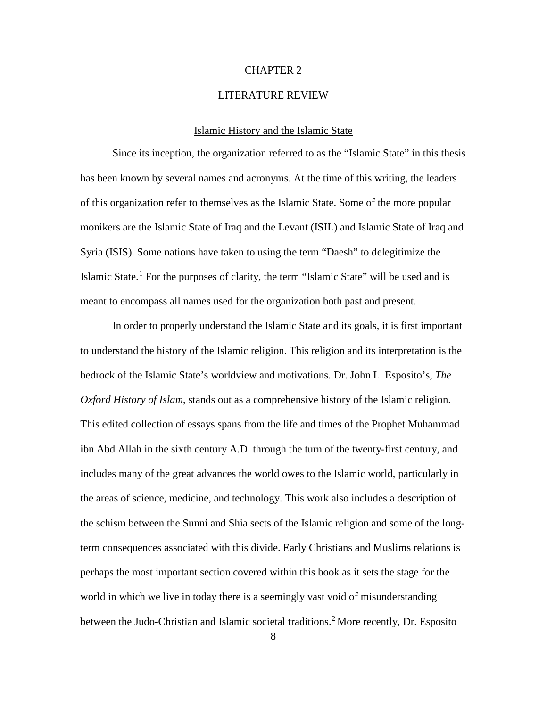### CHAPTER 2

### LITERATURE REVIEW

### Islamic History and the Islamic State

<span id="page-15-4"></span><span id="page-15-3"></span><span id="page-15-2"></span><span id="page-15-1"></span><span id="page-15-0"></span>Since its inception, the organization referred to as the "Islamic State" in this thesis has been known by several names and acronyms. At the time of this writing, the leaders of this organization refer to themselves as the Islamic State. Some of the more popular monikers are the Islamic State of Iraq and the Levant (ISIL) and Islamic State of Iraq and Syria (ISIS). Some nations have taken to using the term "Daesh" to delegitimize the Islamic State.<sup>[1](#page-47-0)</sup> For the purposes of clarity, the term "Islamic State" will be used and is meant to encompass all names used for the organization both past and present.

<span id="page-15-5"></span>In order to properly understand the Islamic State and its goals, it is first important to understand the history of the Islamic religion. This religion and its interpretation is the bedrock of the Islamic State's worldview and motivations. Dr. John L. Esposito's, *The Oxford History of Islam*, stands out as a comprehensive history of the Islamic religion. This edited collection of essays spans from the life and times of the Prophet Muhammad ibn Abd Allah in the sixth century A.D. through the turn of the twenty-first century, and includes many of the great advances the world owes to the Islamic world, particularly in the areas of science, medicine, and technology. This work also includes a description of the schism between the Sunni and Shia sects of the Islamic religion and some of the longterm consequences associated with this divide. Early Christians and Muslims relations is perhaps the most important section covered within this book as it sets the stage for the world in which we live in today there is a seemingly vast void of misunderstanding between the Judo-Christian and Islamic societal traditions. [2](#page-47-1) More recently, Dr. Esposito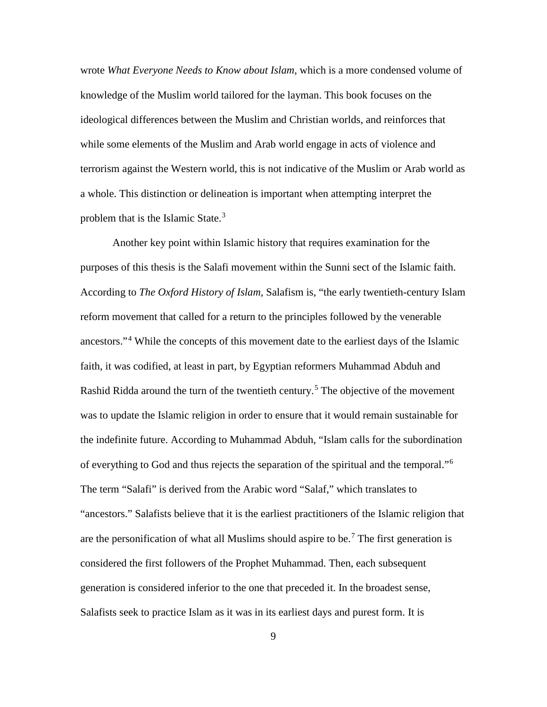wrote *What Everyone Needs to Know about Islam*, which is a more condensed volume of knowledge of the Muslim world tailored for the layman. This book focuses on the ideological differences between the Muslim and Christian worlds, and reinforces that while some elements of the Muslim and Arab world engage in acts of violence and terrorism against the Western world, this is not indicative of the Muslim or Arab world as a whole. This distinction or delineation is important when attempting interpret the problem that is the Islamic State.<sup>[3](#page-48-0)</sup>

<span id="page-16-2"></span><span id="page-16-1"></span><span id="page-16-0"></span>Another key point within Islamic history that requires examination for the purposes of this thesis is the Salafi movement within the Sunni sect of the Islamic faith. According to *The Oxford History of Islam,* Salafism is, "the early twentieth-century Islam reform movement that called for a return to the principles followed by the venerable ancestors."[4](#page-48-1) While the concepts of this movement date to the earliest days of the Islamic faith, it was codified, at least in part, by Egyptian reformers Muhammad Abduh and Rashid Ridda around the turn of the twentieth century.<sup>[5](#page-48-2)</sup> The objective of the movement was to update the Islamic religion in order to ensure that it would remain sustainable for the indefinite future. According to Muhammad Abduh, "Islam calls for the subordination of everything to God and thus rejects the separation of the spiritual and the temporal."[6](#page-48-3) The term "Salafi" is derived from the Arabic word "Salaf," which translates to "ancestors." Salafists believe that it is the earliest practitioners of the Islamic religion that are the personification of what all Muslims should aspire to be.<sup>[7](#page-48-4)</sup> The first generation is considered the first followers of the Prophet Muhammad. Then, each subsequent generation is considered inferior to the one that preceded it. In the broadest sense, Salafists seek to practice Islam as it was in its earliest days and purest form. It is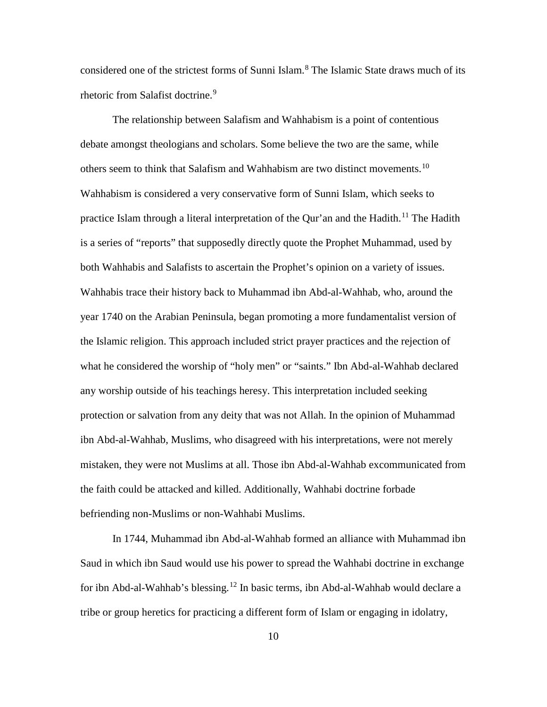considered one of the strictest forms of Sunni Islam.<sup>[8](#page-49-0)</sup> The Islamic State draws much of its rhetoric from Salafist doctrine.<sup>[9](#page-49-1)</sup>

The relationship between Salafism and Wahhabism is a point of contentious debate amongst theologians and scholars. Some believe the two are the same, while others seem to think that Salafism and Wahhabism are two distinct movements.<sup>[10](#page-49-2)</sup> Wahhabism is considered a very conservative form of Sunni Islam, which seeks to practice Islam through a literal interpretation of the Qur'an and the Hadith.<sup>[11](#page-49-3)</sup> The Hadith is a series of "reports" that supposedly directly quote the Prophet Muhammad, used by both Wahhabis and Salafists to ascertain the Prophet's opinion on a variety of issues. Wahhabis trace their history back to Muhammad ibn Abd-al-Wahhab, who, around the year 1740 on the Arabian Peninsula, began promoting a more fundamentalist version of the Islamic religion. This approach included strict prayer practices and the rejection of what he considered the worship of "holy men" or "saints." Ibn Abd-al-Wahhab declared any worship outside of his teachings heresy. This interpretation included seeking protection or salvation from any deity that was not Allah. In the opinion of Muhammad ibn Abd-al-Wahhab, Muslims, who disagreed with his interpretations, were not merely mistaken, they were not Muslims at all. Those ibn Abd-al-Wahhab excommunicated from the faith could be attacked and killed. Additionally, Wahhabi doctrine forbade befriending non-Muslims or non-Wahhabi Muslims.

In 1744, Muhammad ibn Abd-al-Wahhab formed an alliance with Muhammad ibn Saud in which ibn Saud would use his power to spread the Wahhabi doctrine in exchange for ibn Abd-al-Wahhab's blessing.[12](#page-49-4) In basic terms, ibn Abd-al-Wahhab would declare a tribe or group heretics for practicing a different form of Islam or engaging in idolatry,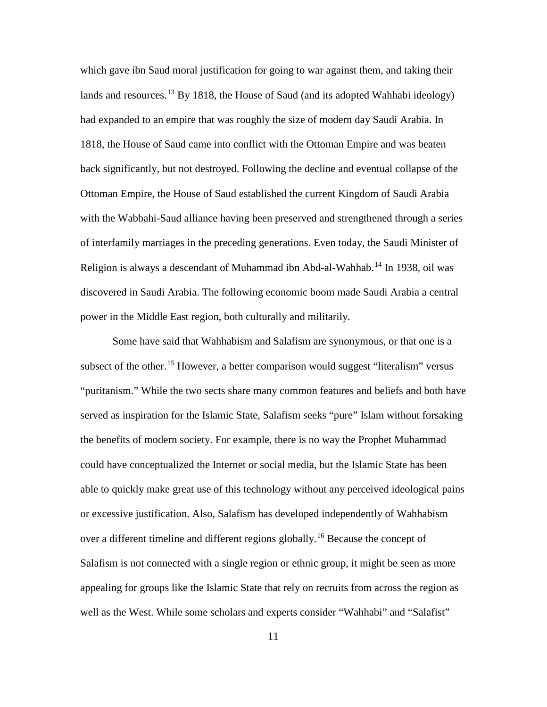which gave ibn Saud moral justification for going to war against them, and taking their lands and resources.<sup>[13](#page-50-0)</sup> By 1818, the House of Saud (and its adopted Wahhabi ideology) had expanded to an empire that was roughly the size of modern day Saudi Arabia. In 1818, the House of Saud came into conflict with the Ottoman Empire and was beaten back significantly, but not destroyed. Following the decline and eventual collapse of the Ottoman Empire, the House of Saud established the current Kingdom of Saudi Arabia with the Wabbahi-Saud alliance having been preserved and strengthened through a series of interfamily marriages in the preceding generations. Even today, the Saudi Minister of Religion is always a descendant of Muhammad ibn Abd-al-Wahhab.<sup>[14](#page-50-1)</sup> In 1938, oil was discovered in Saudi Arabia. The following economic boom made Saudi Arabia a central power in the Middle East region, both culturally and militarily.

Some have said that Wahhabism and Salafism are synonymous, or that one is a subsect of the other.<sup>[15](#page-50-2)</sup> However, a better comparison would suggest "literalism" versus "puritanism." While the two sects share many common features and beliefs and both have served as inspiration for the Islamic State, Salafism seeks "pure" Islam without forsaking the benefits of modern society. For example, there is no way the Prophet Muhammad could have conceptualized the Internet or social media, but the Islamic State has been able to quickly make great use of this technology without any perceived ideological pains or excessive justification. Also, Salafism has developed independently of Wahhabism over a different timeline and different regions globally.<sup>[16](#page-50-3)</sup> Because the concept of Salafism is not connected with a single region or ethnic group, it might be seen as more appealing for groups like the Islamic State that rely on recruits from across the region as well as the West. While some scholars and experts consider "Wahhabi" and "Salafist"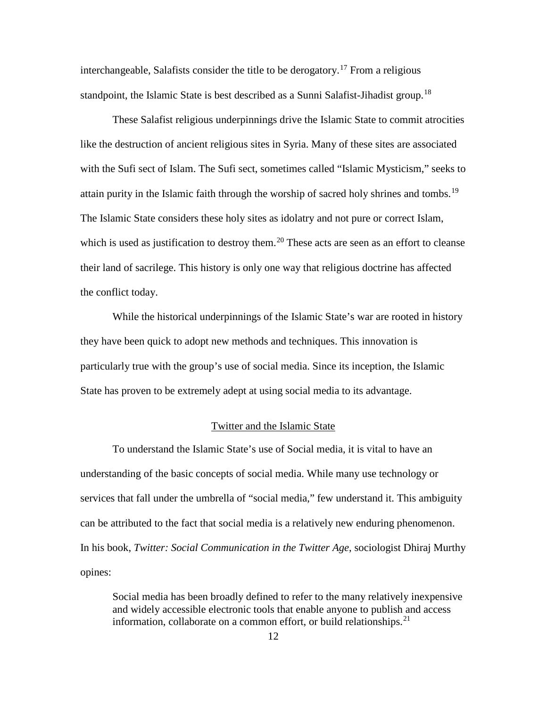interchangeable, Salafists consider the title to be derogatory.<sup>[17](#page-51-0)</sup> From a religious standpoint, the Islamic State is best described as a Sunni Salafist-Jihadist group.<sup>[18](#page-51-1)</sup>

These Salafist religious underpinnings drive the Islamic State to commit atrocities like the destruction of ancient religious sites in Syria. Many of these sites are associated with the Sufi sect of Islam. The Sufi sect, sometimes called "Islamic Mysticism," seeks to attain purity in the Islamic faith through the worship of sacred holy shrines and tombs.<sup>[19](#page-51-2)</sup> The Islamic State considers these holy sites as idolatry and not pure or correct Islam, which is used as justification to destroy them.<sup>[20](#page-51-3)</sup> These acts are seen as an effort to cleanse their land of sacrilege. This history is only one way that religious doctrine has affected the conflict today.

While the historical underpinnings of the Islamic State's war are rooted in history they have been quick to adopt new methods and techniques. This innovation is particularly true with the group's use of social media. Since its inception, the Islamic State has proven to be extremely adept at using social media to its advantage.

### Twitter and the Islamic State

To understand the Islamic State's use of Social media, it is vital to have an understanding of the basic concepts of social media. While many use technology or services that fall under the umbrella of "social media," few understand it. This ambiguity can be attributed to the fact that social media is a relatively new enduring phenomenon. In his book, *Twitter: Social Communication in the Twitter Age*, sociologist Dhiraj Murthy opines:

Social media has been broadly defined to refer to the many relatively inexpensive and widely accessible electronic tools that enable anyone to publish and access information, collaborate on a common effort, or build relationships.<sup>[21](#page-51-4)</sup>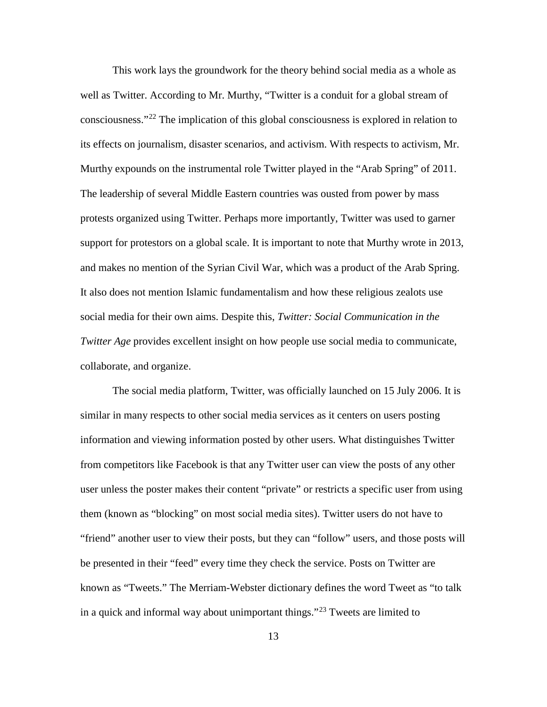This work lays the groundwork for the theory behind social media as a whole as well as Twitter. According to Mr. Murthy, "Twitter is a conduit for a global stream of consciousness."[22](#page-52-0) The implication of this global consciousness is explored in relation to its effects on journalism, disaster scenarios, and activism. With respects to activism, Mr. Murthy expounds on the instrumental role Twitter played in the "Arab Spring" of 2011. The leadership of several Middle Eastern countries was ousted from power by mass protests organized using Twitter. Perhaps more importantly, Twitter was used to garner support for protestors on a global scale. It is important to note that Murthy wrote in 2013, and makes no mention of the Syrian Civil War, which was a product of the Arab Spring. It also does not mention Islamic fundamentalism and how these religious zealots use social media for their own aims. Despite this, *Twitter: Social Communication in the Twitter Age* provides excellent insight on how people use social media to communicate, collaborate, and organize.

The social media platform, Twitter, was officially launched on 15 July 2006. It is similar in many respects to other social media services as it centers on users posting information and viewing information posted by other users. What distinguishes Twitter from competitors like Facebook is that any Twitter user can view the posts of any other user unless the poster makes their content "private" or restricts a specific user from using them (known as "blocking" on most social media sites). Twitter users do not have to "friend" another user to view their posts, but they can "follow" users, and those posts will be presented in their "feed" every time they check the service. Posts on Twitter are known as "Tweets." The Merriam-Webster dictionary defines the word Tweet as "to talk in a quick and informal way about unimportant things."<sup>[23](#page-52-1)</sup> Tweets are limited to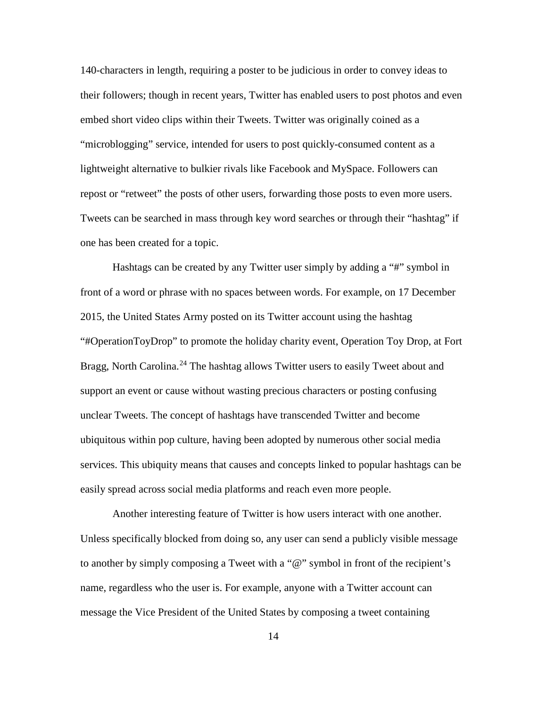140-characters in length, requiring a poster to be judicious in order to convey ideas to their followers; though in recent years, Twitter has enabled users to post photos and even embed short video clips within their Tweets. Twitter was originally coined as a "microblogging" service, intended for users to post quickly-consumed content as a lightweight alternative to bulkier rivals like Facebook and MySpace. Followers can repost or "retweet" the posts of other users, forwarding those posts to even more users. Tweets can be searched in mass through key word searches or through their "hashtag" if one has been created for a topic.

Hashtags can be created by any Twitter user simply by adding a "#" symbol in front of a word or phrase with no spaces between words. For example, on 17 December 2015, the United States Army posted on its Twitter account using the hashtag "#OperationToyDrop" to promote the holiday charity event, Operation Toy Drop, at Fort Bragg, North Carolina.<sup>[24](#page-53-0)</sup> The hashtag allows Twitter users to easily Tweet about and support an event or cause without wasting precious characters or posting confusing unclear Tweets. The concept of hashtags have transcended Twitter and become ubiquitous within pop culture, having been adopted by numerous other social media services. This ubiquity means that causes and concepts linked to popular hashtags can be easily spread across social media platforms and reach even more people.

Another interesting feature of Twitter is how users interact with one another. Unless specifically blocked from doing so, any user can send a publicly visible message to another by simply composing a Tweet with a "@" symbol in front of the recipient's name, regardless who the user is. For example, anyone with a Twitter account can message the Vice President of the United States by composing a tweet containing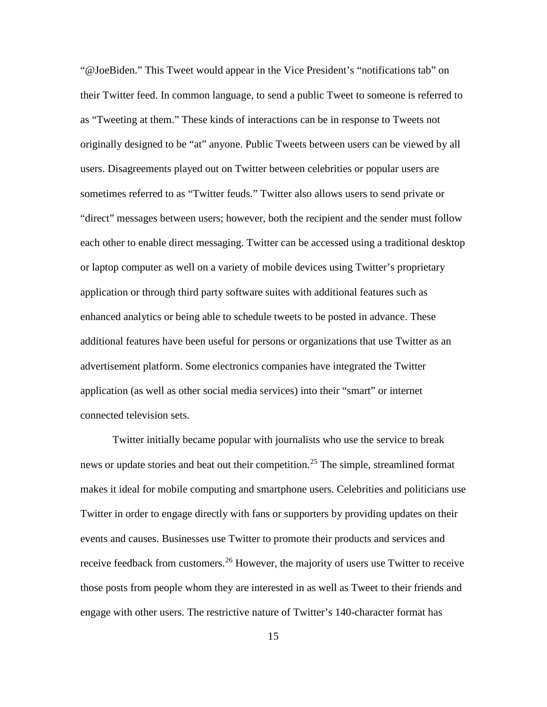"@JoeBiden." This Tweet would appear in the Vice President's "notifications tab" on their Twitter feed. In common language, to send a public Tweet to someone is referred to as "Tweeting at them." These kinds of interactions can be in response to Tweets not originally designed to be "at" anyone. Public Tweets between users can be viewed by all users. Disagreements played out on Twitter between celebrities or popular users are sometimes referred to as "Twitter feuds." Twitter also allows users to send private or "direct" messages between users; however, both the recipient and the sender must follow each other to enable direct messaging. Twitter can be accessed using a traditional desktop or laptop computer as well on a variety of mobile devices using Twitter's proprietary application or through third party software suites with additional features such as enhanced analytics or being able to schedule tweets to be posted in advance. These additional features have been useful for persons or organizations that use Twitter as an advertisement platform. Some electronics companies have integrated the Twitter application (as well as other social media services) into their "smart" or internet connected television sets.

Twitter initially became popular with journalists who use the service to break news or update stories and beat out their competition.[25](#page-53-1) The simple, streamlined format makes it ideal for mobile computing and smartphone users. Celebrities and politicians use Twitter in order to engage directly with fans or supporters by providing updates on their events and causes. Businesses use Twitter to promote their products and services and receive feedback from customers.<sup>[26](#page-53-2)</sup> However, the majority of users use Twitter to receive those posts from people whom they are interested in as well as Tweet to their friends and engage with other users. The restrictive nature of Twitter's 140-character format has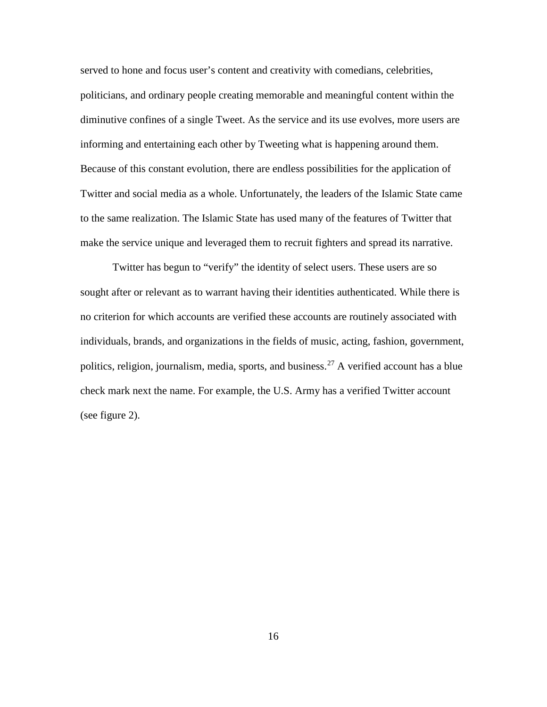served to hone and focus user's content and creativity with comedians, celebrities, politicians, and ordinary people creating memorable and meaningful content within the diminutive confines of a single Tweet. As the service and its use evolves, more users are informing and entertaining each other by Tweeting what is happening around them. Because of this constant evolution, there are endless possibilities for the application of Twitter and social media as a whole. Unfortunately, the leaders of the Islamic State came to the same realization. The Islamic State has used many of the features of Twitter that make the service unique and leveraged them to recruit fighters and spread its narrative.

Twitter has begun to "verify" the identity of select users. These users are so sought after or relevant as to warrant having their identities authenticated. While there is no criterion for which accounts are verified these accounts are routinely associated with individuals, brands, and organizations in the fields of music, acting, fashion, government, politics, religion, journalism, media, sports, and business.<sup>[27](#page-54-0)</sup> A verified account has a blue check mark next the name. For example, the U.S. Army has a verified Twitter account (see figure 2).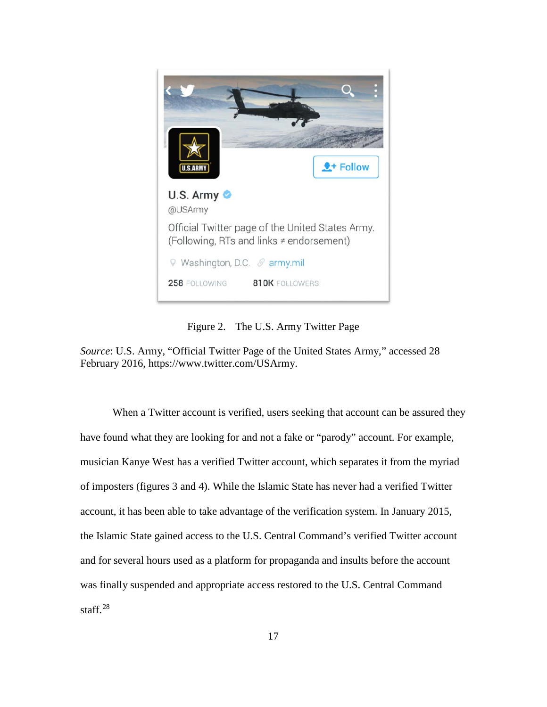

Figure 2. The U.S. Army Twitter Page

*Source*: U.S. Army, "Official Twitter Page of the United States Army," accessed 28 February 2016, https://www.twitter.com/USArmy.

When a Twitter account is verified, users seeking that account can be assured they have found what they are looking for and not a fake or "parody" account. For example, musician Kanye West has a verified Twitter account, which separates it from the myriad of imposters (figures 3 and 4). While the Islamic State has never had a verified Twitter account, it has been able to take advantage of the verification system. In January 2015, the Islamic State gained access to the U.S. Central Command's verified Twitter account and for several hours used as a platform for propaganda and insults before the account was finally suspended and appropriate access restored to the U.S. Central Command staff.<sup>[28](#page-54-1)</sup>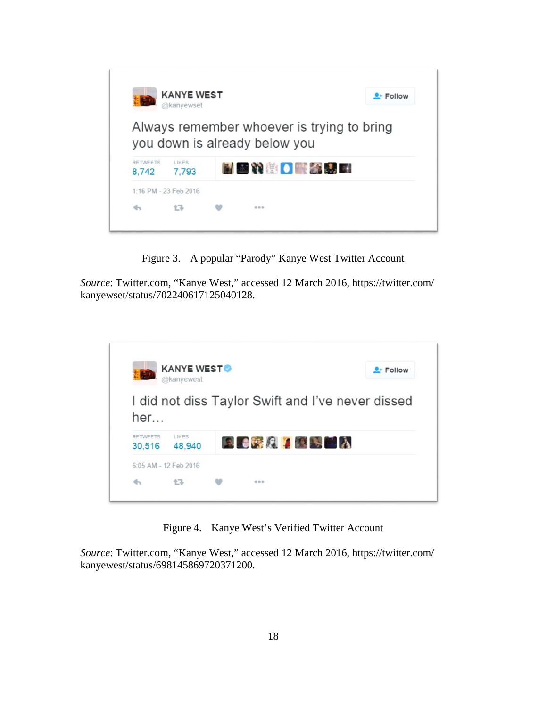

Figure 3. A popular "Parody" Kanye West Twitter Account

*Source*: Twitter.com, "Kanye West," accessed 12 March 2016, https://twitter.com/ kanyewset/status/702240617125040128.

|                           | <b>KANYE WEST®</b><br>@kanyewest |                   |  | $2 +$ Follow                                      |
|---------------------------|----------------------------------|-------------------|--|---------------------------------------------------|
| her                       |                                  |                   |  | I did not diss Taylor Swift and I've never dissed |
|                           |                                  |                   |  |                                                   |
| <b>RETWEETS</b><br>30,516 | LIKES<br>48,940                  | <b>RECYCLES</b> A |  |                                                   |
|                           | 6:05 AM - 12 Feb 2016            |                   |  |                                                   |

Figure 4. Kanye West's Verified Twitter Account

*Source*: Twitter.com, "Kanye West," accessed 12 March 2016, https://twitter.com/ kanyewest/status/698145869720371200.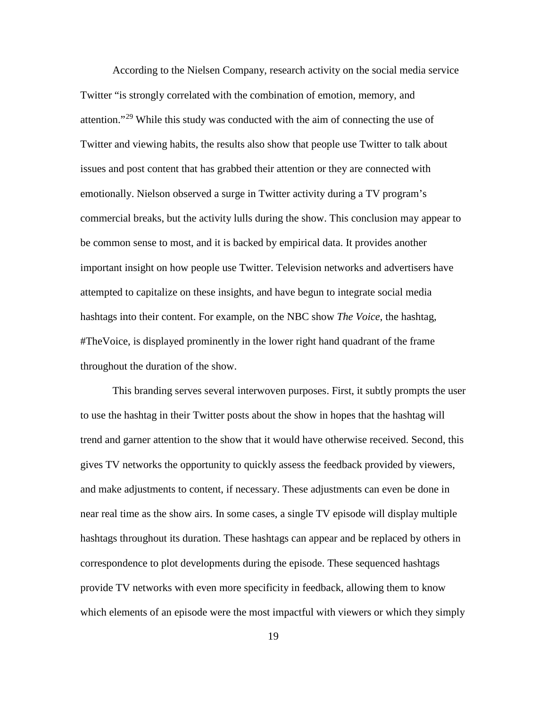According to the Nielsen Company, research activity on the social media service Twitter "is strongly correlated with the combination of emotion, memory, and attention."[29](#page-55-0) While this study was conducted with the aim of connecting the use of Twitter and viewing habits, the results also show that people use Twitter to talk about issues and post content that has grabbed their attention or they are connected with emotionally. Nielson observed a surge in Twitter activity during a TV program's commercial breaks, but the activity lulls during the show. This conclusion may appear to be common sense to most, and it is backed by empirical data. It provides another important insight on how people use Twitter. Television networks and advertisers have attempted to capitalize on these insights, and have begun to integrate social media hashtags into their content. For example, on the NBC show *The Voice*, the hashtag, #TheVoice, is displayed prominently in the lower right hand quadrant of the frame throughout the duration of the show.

This branding serves several interwoven purposes. First, it subtly prompts the user to use the hashtag in their Twitter posts about the show in hopes that the hashtag will trend and garner attention to the show that it would have otherwise received. Second, this gives TV networks the opportunity to quickly assess the feedback provided by viewers, and make adjustments to content, if necessary. These adjustments can even be done in near real time as the show airs. In some cases, a single TV episode will display multiple hashtags throughout its duration. These hashtags can appear and be replaced by others in correspondence to plot developments during the episode. These sequenced hashtags provide TV networks with even more specificity in feedback, allowing them to know which elements of an episode were the most impactful with viewers or which they simply

19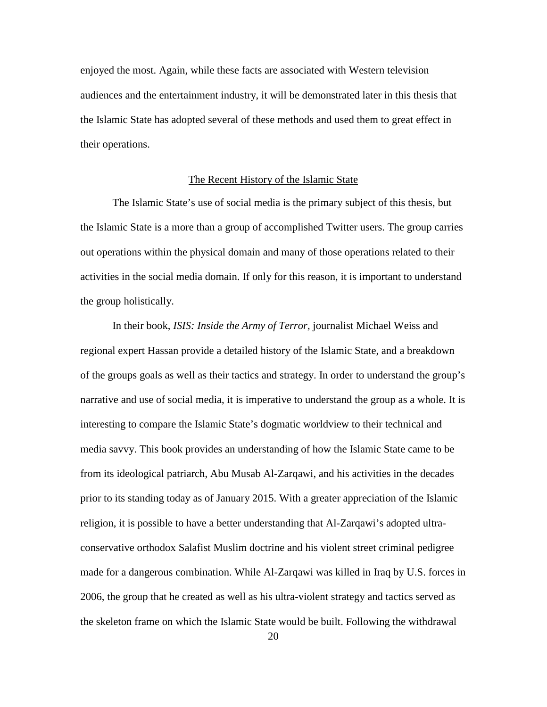enjoyed the most. Again, while these facts are associated with Western television audiences and the entertainment industry, it will be demonstrated later in this thesis that the Islamic State has adopted several of these methods and used them to great effect in their operations.

### The Recent History of the Islamic State

The Islamic State's use of social media is the primary subject of this thesis, but the Islamic State is a more than a group of accomplished Twitter users. The group carries out operations within the physical domain and many of those operations related to their activities in the social media domain. If only for this reason, it is important to understand the group holistically.

In their book, *ISIS: Inside the Army of Terror,* journalist Michael Weiss and regional expert Hassan provide a detailed history of the Islamic State, and a breakdown of the groups goals as well as their tactics and strategy. In order to understand the group's narrative and use of social media, it is imperative to understand the group as a whole. It is interesting to compare the Islamic State's dogmatic worldview to their technical and media savvy. This book provides an understanding of how the Islamic State came to be from its ideological patriarch, Abu Musab Al-Zarqawi, and his activities in the decades prior to its standing today as of January 2015. With a greater appreciation of the Islamic religion, it is possible to have a better understanding that Al-Zarqawi's adopted ultraconservative orthodox Salafist Muslim doctrine and his violent street criminal pedigree made for a dangerous combination. While Al-Zarqawi was killed in Iraq by U.S. forces in 2006, the group that he created as well as his ultra-violent strategy and tactics served as the skeleton frame on which the Islamic State would be built. Following the withdrawal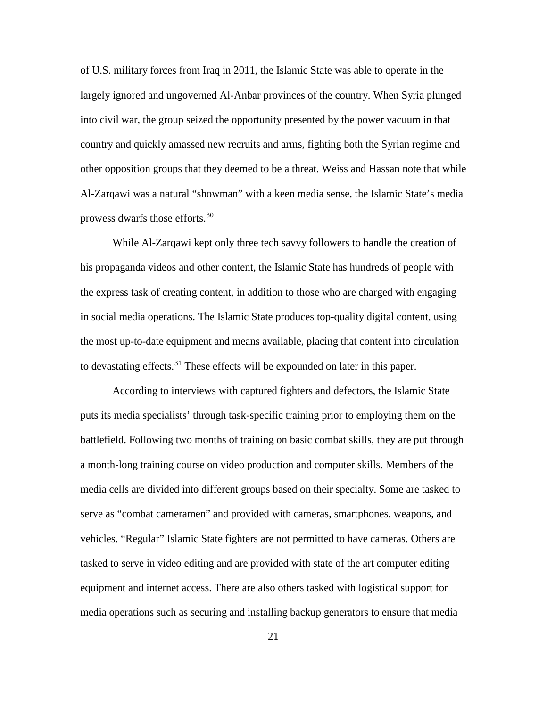of U.S. military forces from Iraq in 2011, the Islamic State was able to operate in the largely ignored and ungoverned Al-Anbar provinces of the country. When Syria plunged into civil war, the group seized the opportunity presented by the power vacuum in that country and quickly amassed new recruits and arms, fighting both the Syrian regime and other opposition groups that they deemed to be a threat. Weiss and Hassan note that while Al-Zarqawi was a natural "showman" with a keen media sense, the Islamic State's media prowess dwarfs those efforts.<sup>[30](#page-55-1)</sup>

While Al-Zarqawi kept only three tech savvy followers to handle the creation of his propaganda videos and other content, the Islamic State has hundreds of people with the express task of creating content, in addition to those who are charged with engaging in social media operations. The Islamic State produces top-quality digital content, using the most up-to-date equipment and means available, placing that content into circulation to devastating effects.<sup>[31](#page-55-2)</sup> These effects will be expounded on later in this paper.

According to interviews with captured fighters and defectors, the Islamic State puts its media specialists' through task-specific training prior to employing them on the battlefield. Following two months of training on basic combat skills, they are put through a month-long training course on video production and computer skills. Members of the media cells are divided into different groups based on their specialty. Some are tasked to serve as "combat cameramen" and provided with cameras, smartphones, weapons, and vehicles. "Regular" Islamic State fighters are not permitted to have cameras. Others are tasked to serve in video editing and are provided with state of the art computer editing equipment and internet access. There are also others tasked with logistical support for media operations such as securing and installing backup generators to ensure that media

21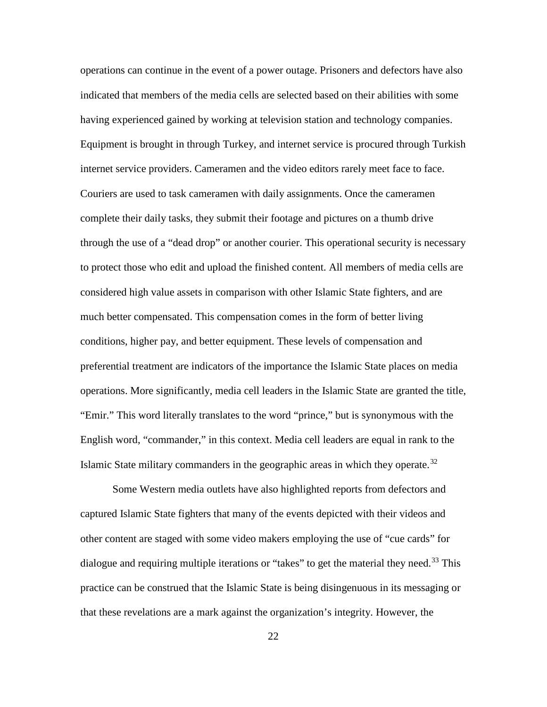operations can continue in the event of a power outage. Prisoners and defectors have also indicated that members of the media cells are selected based on their abilities with some having experienced gained by working at television station and technology companies. Equipment is brought in through Turkey, and internet service is procured through Turkish internet service providers. Cameramen and the video editors rarely meet face to face. Couriers are used to task cameramen with daily assignments. Once the cameramen complete their daily tasks, they submit their footage and pictures on a thumb drive through the use of a "dead drop" or another courier. This operational security is necessary to protect those who edit and upload the finished content. All members of media cells are considered high value assets in comparison with other Islamic State fighters, and are much better compensated. This compensation comes in the form of better living conditions, higher pay, and better equipment. These levels of compensation and preferential treatment are indicators of the importance the Islamic State places on media operations. More significantly, media cell leaders in the Islamic State are granted the title, "Emir." This word literally translates to the word "prince," but is synonymous with the English word, "commander," in this context. Media cell leaders are equal in rank to the Islamic State military commanders in the geographic areas in which they operate.<sup>[32](#page-55-3)</sup>

Some Western media outlets have also highlighted reports from defectors and captured Islamic State fighters that many of the events depicted with their videos and other content are staged with some video makers employing the use of "cue cards" for dialogue and requiring multiple iterations or "takes" to get the material they need.<sup>[33](#page-55-4)</sup> This practice can be construed that the Islamic State is being disingenuous in its messaging or that these revelations are a mark against the organization's integrity. However, the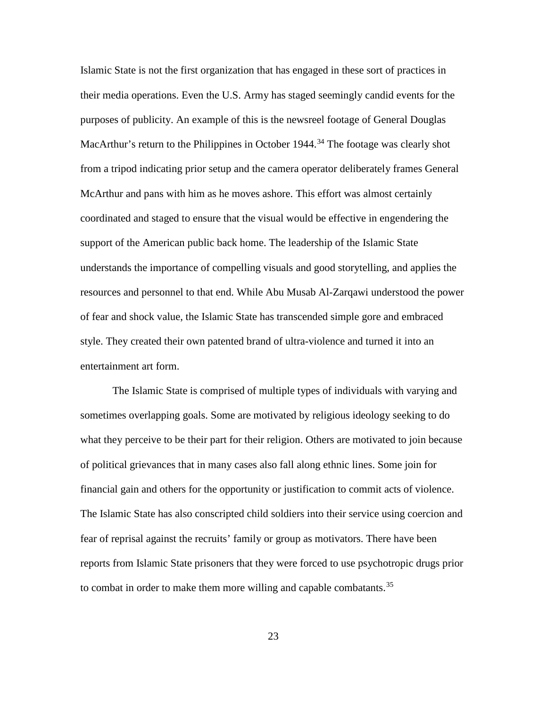Islamic State is not the first organization that has engaged in these sort of practices in their media operations. Even the U.S. Army has staged seemingly candid events for the purposes of publicity. An example of this is the newsreel footage of General Douglas MacArthur's return to the Philippines in October 1944.<sup>[34](#page-56-0)</sup> The footage was clearly shot from a tripod indicating prior setup and the camera operator deliberately frames General McArthur and pans with him as he moves ashore. This effort was almost certainly coordinated and staged to ensure that the visual would be effective in engendering the support of the American public back home. The leadership of the Islamic State understands the importance of compelling visuals and good storytelling, and applies the resources and personnel to that end. While Abu Musab Al-Zarqawi understood the power of fear and shock value, the Islamic State has transcended simple gore and embraced style. They created their own patented brand of ultra-violence and turned it into an entertainment art form.

The Islamic State is comprised of multiple types of individuals with varying and sometimes overlapping goals. Some are motivated by religious ideology seeking to do what they perceive to be their part for their religion. Others are motivated to join because of political grievances that in many cases also fall along ethnic lines. Some join for financial gain and others for the opportunity or justification to commit acts of violence. The Islamic State has also conscripted child soldiers into their service using coercion and fear of reprisal against the recruits' family or group as motivators. There have been reports from Islamic State prisoners that they were forced to use psychotropic drugs prior to combat in order to make them more willing and capable combatants.<sup>[35](#page-56-1)</sup>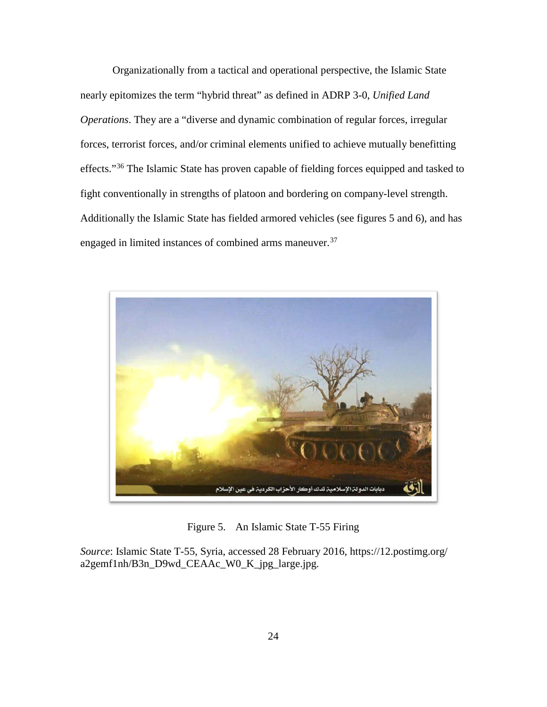Organizationally from a tactical and operational perspective, the Islamic State nearly epitomizes the term "hybrid threat" as defined in ADRP 3-0, *Unified Land Operations*. They are a "diverse and dynamic combination of regular forces, irregular forces, terrorist forces, and/or criminal elements unified to achieve mutually benefitting effects."<sup>[36](#page-57-0)</sup> The Islamic State has proven capable of fielding forces equipped and tasked to fight conventionally in strengths of platoon and bordering on company-level strength. Additionally the Islamic State has fielded armored vehicles (see figures 5 and 6), and has engaged in limited instances of combined arms maneuver.<sup>[37](#page-57-1)</sup>



Figure 5. An Islamic State T-55 Firing

*Source*: Islamic State T-55, Syria, accessed 28 February 2016, https://12.postimg.org/ a2gemf1nh/B3n\_D9wd\_CEAAc\_W0\_K\_jpg\_large.jpg.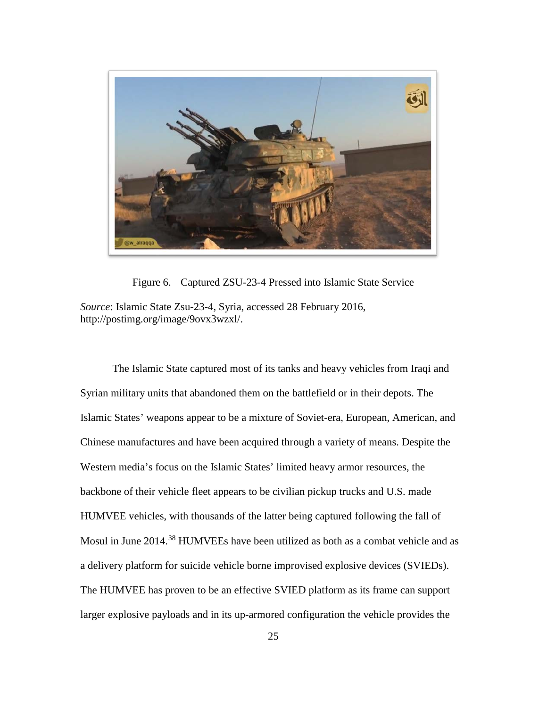

Figure 6. Captured ZSU-23-4 Pressed into Islamic State Service

*Source*: Islamic State Zsu-23-4, Syria, accessed 28 February 2016, http://postimg.org/image/9ovx3wzxl/.

The Islamic State captured most of its tanks and heavy vehicles from Iraqi and Syrian military units that abandoned them on the battlefield or in their depots. The Islamic States' weapons appear to be a mixture of Soviet-era, European, American, and Chinese manufactures and have been acquired through a variety of means. Despite the Western media's focus on the Islamic States' limited heavy armor resources, the backbone of their vehicle fleet appears to be civilian pickup trucks and U.S. made HUMVEE vehicles, with thousands of the latter being captured following the fall of Mosul in June 2014.<sup>[38](#page-57-2)</sup> HUMVEEs have been utilized as both as a combat vehicle and as a delivery platform for suicide vehicle borne improvised explosive devices (SVIEDs). The HUMVEE has proven to be an effective SVIED platform as its frame can support larger explosive payloads and in its up-armored configuration the vehicle provides the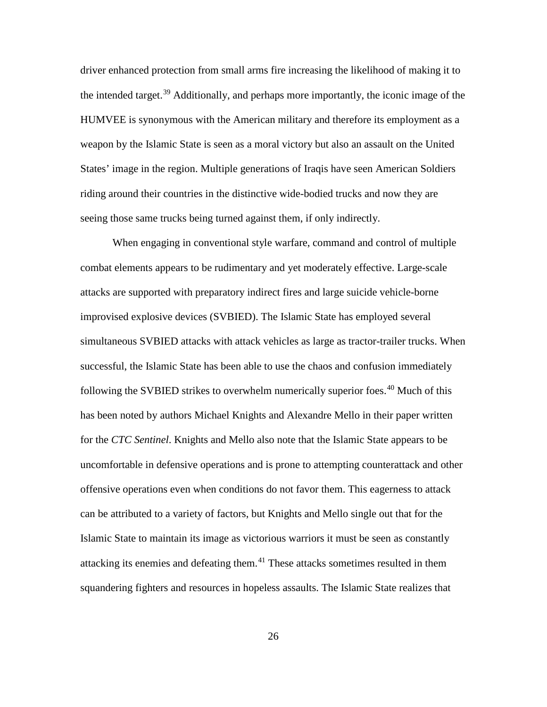driver enhanced protection from small arms fire increasing the likelihood of making it to the intended target.<sup>[39](#page-58-0)</sup> Additionally, and perhaps more importantly, the iconic image of the HUMVEE is synonymous with the American military and therefore its employment as a weapon by the Islamic State is seen as a moral victory but also an assault on the United States' image in the region. Multiple generations of Iraqis have seen American Soldiers riding around their countries in the distinctive wide-bodied trucks and now they are seeing those same trucks being turned against them, if only indirectly.

When engaging in conventional style warfare, command and control of multiple combat elements appears to be rudimentary and yet moderately effective. Large-scale attacks are supported with preparatory indirect fires and large suicide vehicle-borne improvised explosive devices (SVBIED). The Islamic State has employed several simultaneous SVBIED attacks with attack vehicles as large as tractor-trailer trucks. When successful, the Islamic State has been able to use the chaos and confusion immediately following the SVBIED strikes to overwhelm numerically superior foes.<sup>[40](#page-58-1)</sup> Much of this has been noted by authors Michael Knights and Alexandre Mello in their paper written for the *CTC Sentinel*. Knights and Mello also note that the Islamic State appears to be uncomfortable in defensive operations and is prone to attempting counterattack and other offensive operations even when conditions do not favor them. This eagerness to attack can be attributed to a variety of factors, but Knights and Mello single out that for the Islamic State to maintain its image as victorious warriors it must be seen as constantly attacking its enemies and defeating them.[41](#page-58-2) These attacks sometimes resulted in them squandering fighters and resources in hopeless assaults. The Islamic State realizes that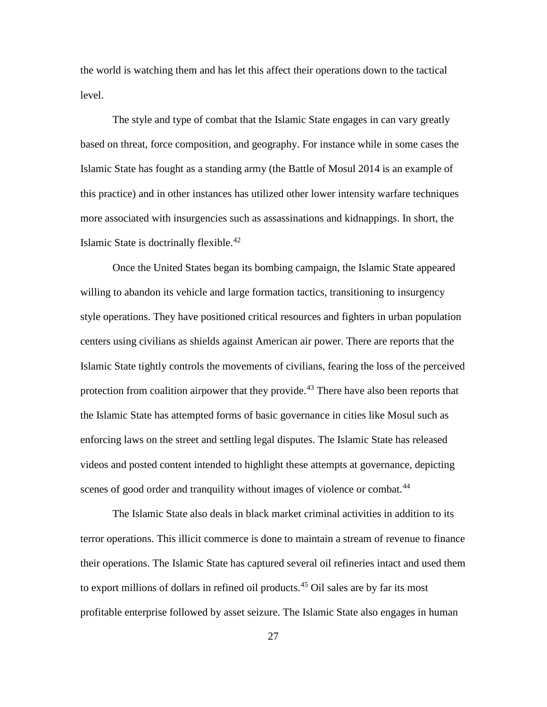the world is watching them and has let this affect their operations down to the tactical level.

The style and type of combat that the Islamic State engages in can vary greatly based on threat, force composition, and geography. For instance while in some cases the Islamic State has fought as a standing army (the Battle of Mosul 2014 is an example of this practice) and in other instances has utilized other lower intensity warfare techniques more associated with insurgencies such as assassinations and kidnappings. In short, the Islamic State is doctrinally flexible.<sup>[42](#page-59-0)</sup>

Once the United States began its bombing campaign, the Islamic State appeared willing to abandon its vehicle and large formation tactics, transitioning to insurgency style operations. They have positioned critical resources and fighters in urban population centers using civilians as shields against American air power. There are reports that the Islamic State tightly controls the movements of civilians, fearing the loss of the perceived protection from coalition airpower that they provide.<sup>[43](#page-59-1)</sup> There have also been reports that the Islamic State has attempted forms of basic governance in cities like Mosul such as enforcing laws on the street and settling legal disputes. The Islamic State has released videos and posted content intended to highlight these attempts at governance, depicting scenes of good order and tranquility without images of violence or combat.<sup>[44](#page-59-2)</sup>

The Islamic State also deals in black market criminal activities in addition to its terror operations. This illicit commerce is done to maintain a stream of revenue to finance their operations. The Islamic State has captured several oil refineries intact and used them to export millions of dollars in refined oil products.<sup>[45](#page-59-3)</sup> Oil sales are by far its most profitable enterprise followed by asset seizure. The Islamic State also engages in human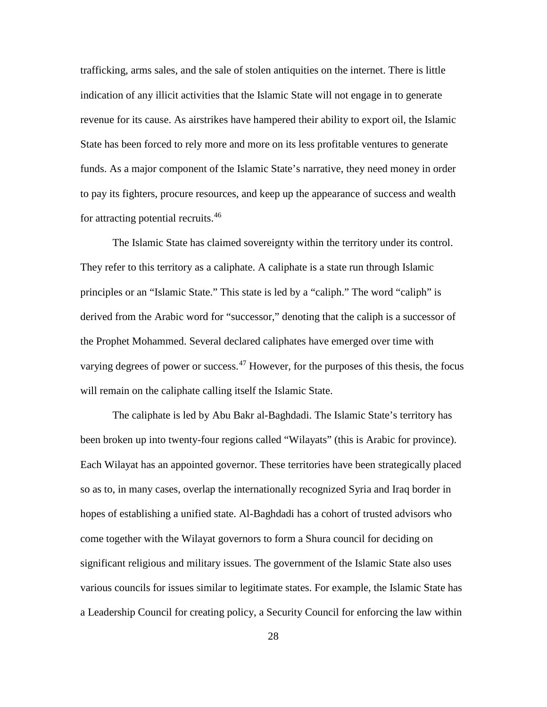trafficking, arms sales, and the sale of stolen antiquities on the internet. There is little indication of any illicit activities that the Islamic State will not engage in to generate revenue for its cause. As airstrikes have hampered their ability to export oil, the Islamic State has been forced to rely more and more on its less profitable ventures to generate funds. As a major component of the Islamic State's narrative, they need money in order to pay its fighters, procure resources, and keep up the appearance of success and wealth for attracting potential recruits.[46](#page-60-0)

The Islamic State has claimed sovereignty within the territory under its control. They refer to this territory as a caliphate. A caliphate is a state run through Islamic principles or an "Islamic State." This state is led by a "caliph." The word "caliph" is derived from the Arabic word for "successor," denoting that the caliph is a successor of the Prophet Mohammed. Several declared caliphates have emerged over time with varying degrees of power or success. $47$  However, for the purposes of this thesis, the focus will remain on the caliphate calling itself the Islamic State.

The caliphate is led by Abu Bakr al-Baghdadi. The Islamic State's territory has been broken up into twenty-four regions called "Wilayats" (this is Arabic for province). Each Wilayat has an appointed governor. These territories have been strategically placed so as to, in many cases, overlap the internationally recognized Syria and Iraq border in hopes of establishing a unified state. Al-Baghdadi has a cohort of trusted advisors who come together with the Wilayat governors to form a Shura council for deciding on significant religious and military issues. The government of the Islamic State also uses various councils for issues similar to legitimate states. For example, the Islamic State has a Leadership Council for creating policy, a Security Council for enforcing the law within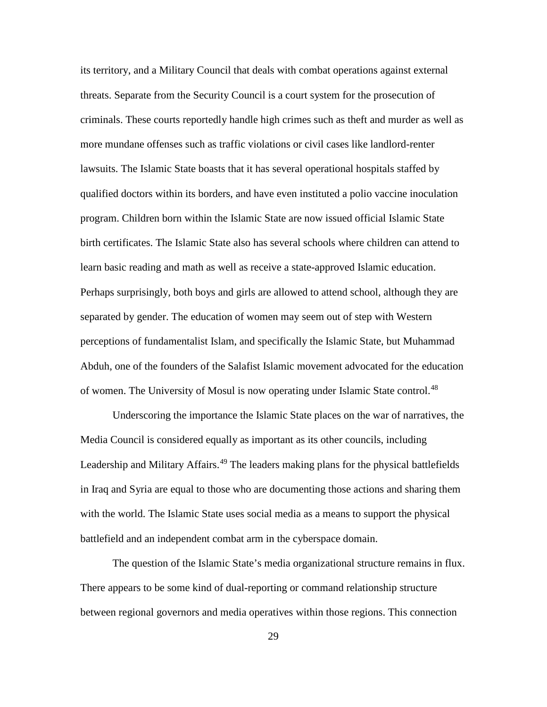its territory, and a Military Council that deals with combat operations against external threats. Separate from the Security Council is a court system for the prosecution of criminals. These courts reportedly handle high crimes such as theft and murder as well as more mundane offenses such as traffic violations or civil cases like landlord-renter lawsuits. The Islamic State boasts that it has several operational hospitals staffed by qualified doctors within its borders, and have even instituted a polio vaccine inoculation program. Children born within the Islamic State are now issued official Islamic State birth certificates. The Islamic State also has several schools where children can attend to learn basic reading and math as well as receive a state-approved Islamic education. Perhaps surprisingly, both boys and girls are allowed to attend school, although they are separated by gender. The education of women may seem out of step with Western perceptions of fundamentalist Islam, and specifically the Islamic State, but Muhammad Abduh, one of the founders of the Salafist Islamic movement advocated for the education of women. The University of Mosul is now operating under Islamic State control.<sup>[48](#page-60-0)</sup>

Underscoring the importance the Islamic State places on the war of narratives, the Media Council is considered equally as important as its other councils, including Leadership and Military Affairs. [49](#page-60-1) The leaders making plans for the physical battlefields in Iraq and Syria are equal to those who are documenting those actions and sharing them with the world. The Islamic State uses social media as a means to support the physical battlefield and an independent combat arm in the cyberspace domain.

The question of the Islamic State's media organizational structure remains in flux. There appears to be some kind of dual-reporting or command relationship structure between regional governors and media operatives within those regions. This connection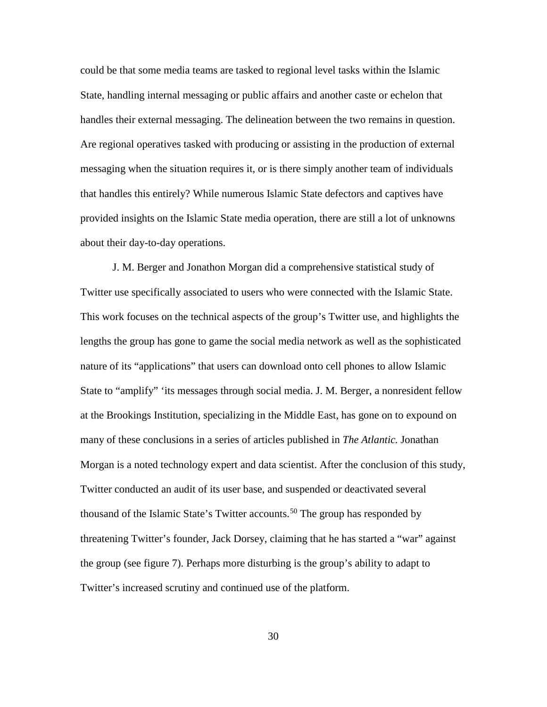could be that some media teams are tasked to regional level tasks within the Islamic State, handling internal messaging or public affairs and another caste or echelon that handles their external messaging. The delineation between the two remains in question. Are regional operatives tasked with producing or assisting in the production of external messaging when the situation requires it, or is there simply another team of individuals that handles this entirely? While numerous Islamic State defectors and captives have provided insights on the Islamic State media operation, there are still a lot of unknowns about their day-to-day operations.

J. M. Berger and Jonathon Morgan did a comprehensive statistical study of Twitter use specifically associated to users who were connected with the Islamic State. This work focuses on the technical aspects of the group's Twitter use, and highlights the lengths the group has gone to game the social media network as well as the sophisticated nature of its "applications" that users can download onto cell phones to allow Islamic State to "amplify" 'its messages through social media. J. M. Berger, a nonresident fellow at the Brookings Institution, specializing in the Middle East, has gone on to expound on many of these conclusions in a series of articles published in *The Atlantic.* Jonathan Morgan is a noted technology expert and data scientist. After the conclusion of this study, Twitter conducted an audit of its user base, and suspended or deactivated several thousand of the Islamic State's Twitter accounts.<sup>[50](#page-60-2)</sup> The group has responded by threatening Twitter's founder, Jack Dorsey, claiming that he has started a "war" against the group (see figure 7). Perhaps more disturbing is the group's ability to adapt to Twitter's increased scrutiny and continued use of the platform.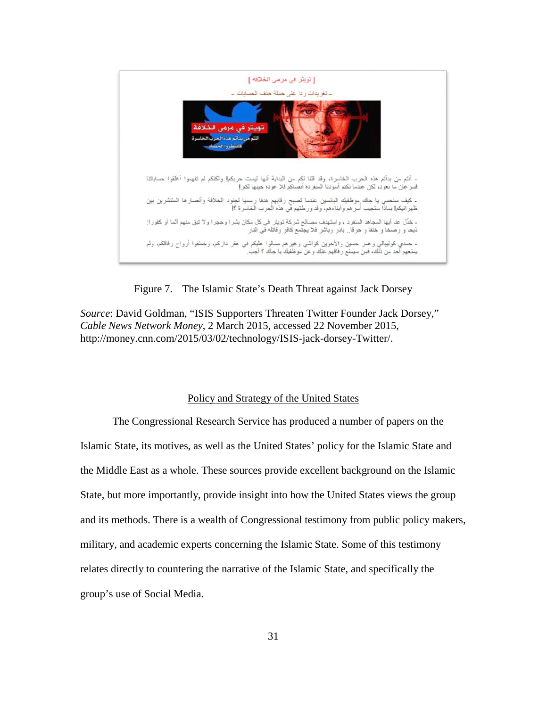

Figure 7. The Islamic State's Death Threat against Jack Dorsey

*Source*: David Goldman, "ISIS Supporters Threaten Twitter Founder Jack Dorsey," *Cable News Network Money*, 2 March 2015, accessed 22 November 2015, http://money.cnn.com/2015/03/02/technology/ISIS-jack-dorsey-Twitter/.

### Policy and Strategy of the United States

The Congressional Research Service has produced a number of papers on the Islamic State, its motives, as well as the United States' policy for the Islamic State and the Middle East as a whole. These sources provide excellent background on the Islamic State, but more importantly, provide insight into how the United States views the group and its methods. There is a wealth of Congressional testimony from public policy makers, military, and academic experts concerning the Islamic State. Some of this testimony relates directly to countering the narrative of the Islamic State, and specifically the group's use of Social Media.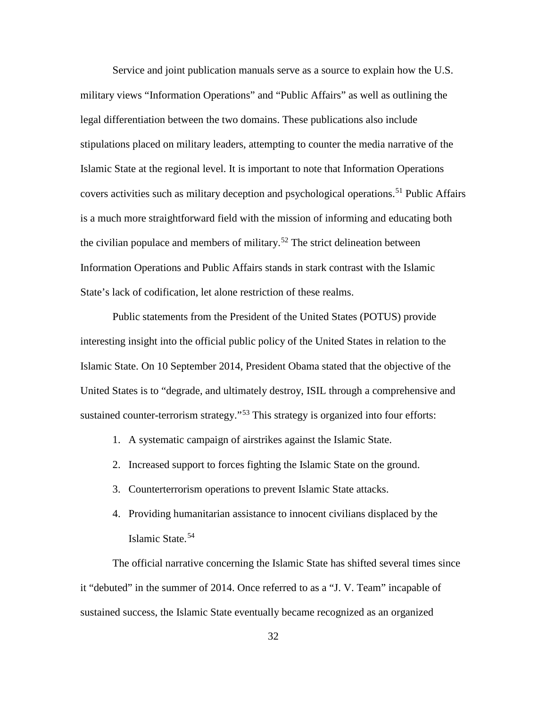Service and joint publication manuals serve as a source to explain how the U.S. military views "Information Operations" and "Public Affairs" as well as outlining the legal differentiation between the two domains. These publications also include stipulations placed on military leaders, attempting to counter the media narrative of the Islamic State at the regional level. It is important to note that Information Operations covers activities such as military deception and psychological operations.<sup>[51](#page-61-0)</sup> Public Affairs is a much more straightforward field with the mission of informing and educating both the civilian populace and members of military.<sup>[52](#page-61-1)</sup> The strict delineation between Information Operations and Public Affairs stands in stark contrast with the Islamic State's lack of codification, let alone restriction of these realms.

Public statements from the President of the United States (POTUS) provide interesting insight into the official public policy of the United States in relation to the Islamic State. On 10 September 2014, President Obama stated that the objective of the United States is to "degrade, and ultimately destroy, ISIL through a comprehensive and sustained counter-terrorism strategy."<sup>[53](#page-61-2)</sup> This strategy is organized into four efforts:

- 1. A systematic campaign of airstrikes against the Islamic State.
- 2. Increased support to forces fighting the Islamic State on the ground.
- 3. Counterterrorism operations to prevent Islamic State attacks.
- 4. Providing humanitarian assistance to innocent civilians displaced by the Islamic State.[54](#page-61-3)

The official narrative concerning the Islamic State has shifted several times since it "debuted" in the summer of 2014. Once referred to as a "J. V. Team" incapable of sustained success, the Islamic State eventually became recognized as an organized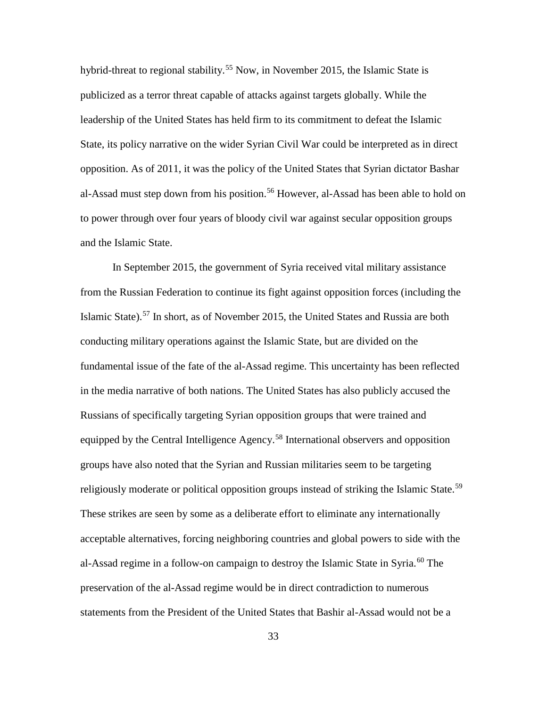hybrid-threat to regional stability.<sup>[55](#page-62-0)</sup> Now, in November 2015, the Islamic State is publicized as a terror threat capable of attacks against targets globally. While the leadership of the United States has held firm to its commitment to defeat the Islamic State, its policy narrative on the wider Syrian Civil War could be interpreted as in direct opposition. As of 2011, it was the policy of the United States that Syrian dictator Bashar al-Assad must step down from his position.<sup>[56](#page-62-1)</sup> However, al-Assad has been able to hold on to power through over four years of bloody civil war against secular opposition groups and the Islamic State.

In September 2015, the government of Syria received vital military assistance from the Russian Federation to continue its fight against opposition forces (including the Islamic State).[57](#page-62-2) In short, as of November 2015, the United States and Russia are both conducting military operations against the Islamic State, but are divided on the fundamental issue of the fate of the al-Assad regime. This uncertainty has been reflected in the media narrative of both nations. The United States has also publicly accused the Russians of specifically targeting Syrian opposition groups that were trained and equipped by the Central Intelligence Agency.<sup>[58](#page-62-3)</sup> International observers and opposition groups have also noted that the Syrian and Russian militaries seem to be targeting religiously moderate or political opposition groups instead of striking the Islamic State.<sup>[59](#page-62-4)</sup> These strikes are seen by some as a deliberate effort to eliminate any internationally acceptable alternatives, forcing neighboring countries and global powers to side with the al-Assad regime in a follow-on campaign to destroy the Islamic State in Syria.<sup>[60](#page-62-5)</sup> The preservation of the al-Assad regime would be in direct contradiction to numerous statements from the President of the United States that Bashir al-Assad would not be a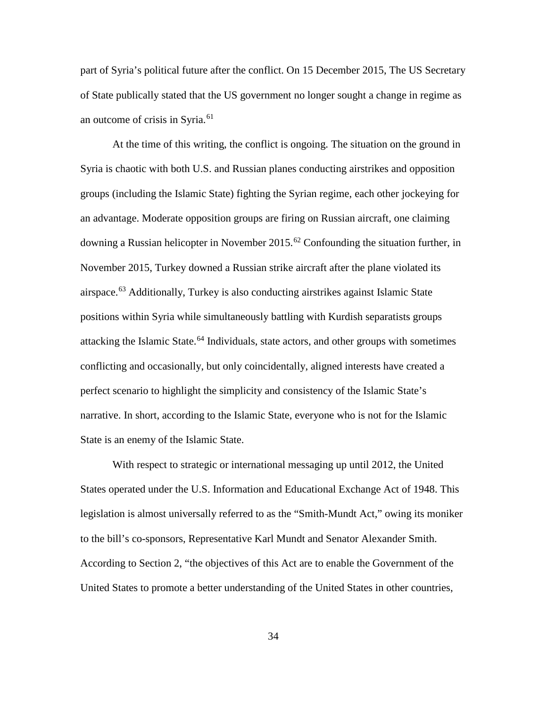part of Syria's political future after the conflict. On 15 December 2015, The US Secretary of State publically stated that the US government no longer sought a change in regime as an outcome of crisis in Syria.<sup>[61](#page-63-0)</sup>

At the time of this writing, the conflict is ongoing. The situation on the ground in Syria is chaotic with both U.S. and Russian planes conducting airstrikes and opposition groups (including the Islamic State) fighting the Syrian regime, each other jockeying for an advantage. Moderate opposition groups are firing on Russian aircraft, one claiming downing a Russian helicopter in November 2015.<sup>[62](#page-63-1)</sup> Confounding the situation further, in November 2015, Turkey downed a Russian strike aircraft after the plane violated its airspace.<sup>[63](#page-63-2)</sup> Additionally, Turkey is also conducting airstrikes against Islamic State positions within Syria while simultaneously battling with Kurdish separatists groups attacking the Islamic State.<sup>[64](#page-63-3)</sup> Individuals, state actors, and other groups with sometimes conflicting and occasionally, but only coincidentally, aligned interests have created a perfect scenario to highlight the simplicity and consistency of the Islamic State's narrative. In short, according to the Islamic State, everyone who is not for the Islamic State is an enemy of the Islamic State.

With respect to strategic or international messaging up until 2012, the United States operated under the U.S. Information and Educational Exchange Act of 1948. This legislation is almost universally referred to as the "Smith-Mundt Act," owing its moniker to the bill's co-sponsors, Representative Karl Mundt and Senator Alexander Smith. According to Section 2, "the objectives of this Act are to enable the Government of the United States to promote a better understanding of the United States in other countries,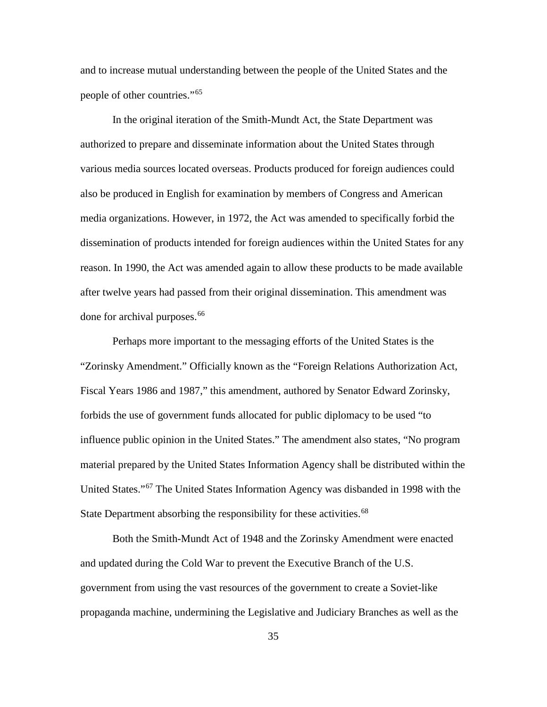and to increase mutual understanding between the people of the United States and the people of other countries."[65](#page-64-0)

In the original iteration of the Smith-Mundt Act, the State Department was authorized to prepare and disseminate information about the United States through various media sources located overseas. Products produced for foreign audiences could also be produced in English for examination by members of Congress and American media organizations. However, in 1972, the Act was amended to specifically forbid the dissemination of products intended for foreign audiences within the United States for any reason. In 1990, the Act was amended again to allow these products to be made available after twelve years had passed from their original dissemination. This amendment was done for archival purposes.<sup>[66](#page-64-1)</sup>

Perhaps more important to the messaging efforts of the United States is the "Zorinsky Amendment." Officially known as the "Foreign Relations Authorization Act, Fiscal Years 1986 and 1987," this amendment, authored by Senator Edward Zorinsky, forbids the use of government funds allocated for public diplomacy to be used "to influence public opinion in the United States." The amendment also states, "No program material prepared by the United States Information Agency shall be distributed within the United States."[67](#page-64-2) The United States Information Agency was disbanded in 1998 with the State Department absorbing the responsibility for these activities.<sup>[68](#page-64-3)</sup>

Both the Smith-Mundt Act of 1948 and the Zorinsky Amendment were enacted and updated during the Cold War to prevent the Executive Branch of the U.S. government from using the vast resources of the government to create a Soviet-like propaganda machine, undermining the Legislative and Judiciary Branches as well as the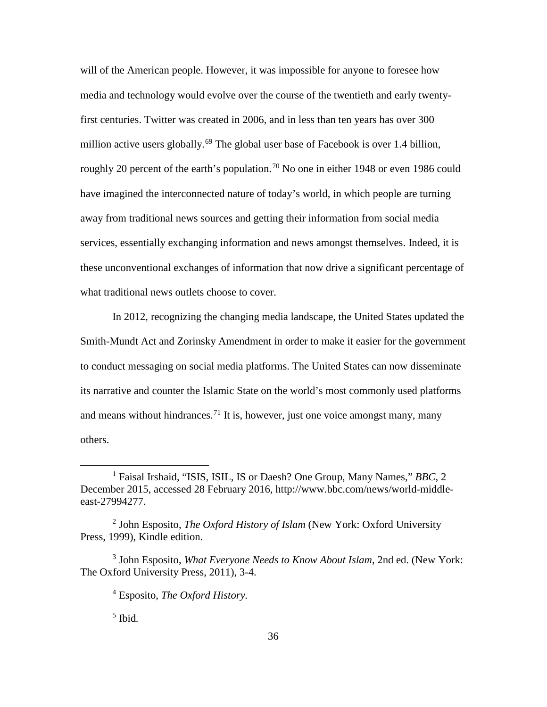will of the American people. However, it was impossible for anyone to foresee how media and technology would evolve over the course of the twentieth and early twentyfirst centuries. Twitter was created in 2006, and in less than ten years has over 300 million active users globally.<sup>[69](#page-65-0)</sup> The global user base of Facebook is over 1.4 billion, roughly 20 percent of the earth's population.<sup>[70](#page-65-1)</sup> No one in either 1948 or even 1986 could have imagined the interconnected nature of today's world, in which people are turning away from traditional news sources and getting their information from social media services, essentially exchanging information and news amongst themselves. Indeed, it is these unconventional exchanges of information that now drive a significant percentage of what traditional news outlets choose to cover.

In 2012, recognizing the changing media landscape, the United States updated the Smith-Mundt Act and Zorinsky Amendment in order to make it easier for the government to conduct messaging on social media platforms. The United States can now disseminate its narrative and counter the Islamic State on the world's most commonly used platforms and means without hindrances.<sup>[71](#page-65-2)</sup> It is, however, just one voice amongst many, many others.

 $\overline{a}$ 

<sup>1</sup> Faisal Irshaid, "ISIS, ISIL, IS or Daesh? One Group, Many Names," *BBC*, 2 December 2015, accessed 28 February 2016, http://www.bbc.com/news/world-middleeast-27994277.

<sup>2</sup> John Esposito, *The Oxford History of Islam* (New York: Oxford University Press, 1999), Kindle edition.

<sup>3</sup> John Esposito, *What Everyone Needs to Know About Islam*, 2nd ed. (New York: The Oxford University Press, 2011), 3-4.

<sup>4</sup> Esposito, *The Oxford History.*

<sup>5</sup> Ibid*.*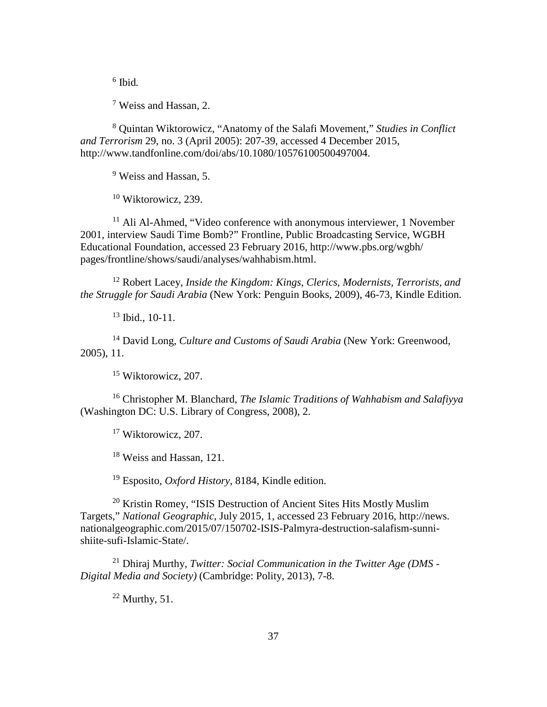<sup>6</sup> Ibid*.*

<sup>7</sup> Weiss and Hassan, 2.

<sup>8</sup> Quintan Wiktorowicz, "Anatomy of the Salafi Movement," *Studies in Conflict and Terrorism* 29, no. 3 (April 2005): 207-39, accessed 4 December 2015, http://www.tandfonline.com/doi/abs/10.1080/10576100500497004.

<sup>9</sup> Weiss and Hassan, 5.

 $10$  Wiktorowicz, 239.

 $11$  Ali Al-Ahmed, "Video conference with anonymous interviewer, 1 November 2001, interview Saudi Time Bomb?" Frontline, Public Broadcasting Service, WGBH Educational Foundation, accessed 23 February 2016, http://www.pbs.org/wgbh/ pages/frontline/shows/saudi/analyses/wahhabism.html.

<sup>12</sup> Robert Lacey, *Inside the Kingdom: Kings, Clerics, Modernists, Terrorists, and the Struggle for Saudi Arabia* (New York: Penguin Books, 2009), 46-73, Kindle Edition.

<sup>13</sup> Ibid., 10-11.

<sup>14</sup> David Long, *Culture and Customs of Saudi Arabia* (New York: Greenwood, 2005), 11.

<sup>15</sup> Wiktorowicz, 207.

<sup>16</sup> Christopher M. Blanchard, *The Islamic Traditions of Wahhabism and Salafiyya*  (Washington DC: U.S. Library of Congress, 2008), 2.

<sup>17</sup> Wiktorowicz, 207.

<sup>18</sup> Weiss and Hassan, 121.

<sup>19</sup> Esposito, *Oxford History*, 8184, Kindle edition.

<sup>20</sup> Kristin Romey, "ISIS Destruction of Ancient Sites Hits Mostly Muslim Targets," *National Geographic*, July 2015, 1, accessed 23 February 2016, http://news. nationalgeographic.com/2015/07/150702-ISIS-Palmyra-destruction-salafism-sunnishiite-sufi-Islamic-State/.

<sup>21</sup> Dhiraj Murthy, *Twitter: Social Communication in the Twitter Age (DMS - Digital Media and Society)* (Cambridge: Polity, 2013), 7-8.

 $22$  Murthy, 51.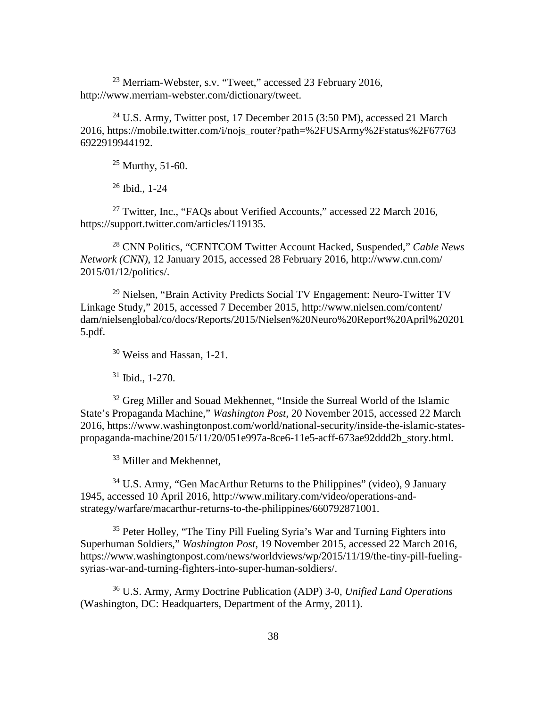$^{23}$  Merriam-Webster, s.v. "Tweet," accessed 23 February 2016, http://www.merriam-webster.com/dictionary/tweet.

<sup>24</sup> U.S. Army, Twitter post, 17 December 2015 (3:50 PM), accessed 21 March 2016, https://mobile.twitter.com/i/nojs\_router?path=%2FUSArmy%2Fstatus%2F67763 6922919944192.

 $25$  Murthy, 51-60.

<sup>26</sup> Ibid., 1-24

<sup>27</sup> Twitter, Inc., "FAQs about Verified Accounts," accessed 22 March 2016, https://support.twitter.com/articles/119135.

<sup>28</sup> CNN Politics, "CENTCOM Twitter Account Hacked, Suspended," *Cable News Network (CNN)*, 12 January 2015, accessed 28 February 2016, http://www.cnn.com/ 2015/01/12/politics/.

<sup>29</sup> Nielsen, "Brain Activity Predicts Social TV Engagement: Neuro-Twitter TV Linkage Study," 2015, accessed 7 December 2015, http://www.nielsen.com/content/ dam/nielsenglobal/co/docs/Reports/2015/Nielsen%20Neuro%20Report%20April%20201 5.pdf.

<sup>30</sup> Weiss and Hassan, 1-21.

 $31$  Ibid., 1-270.

<sup>32</sup> Greg Miller and Souad Mekhennet, "Inside the Surreal World of the Islamic State's Propaganda Machine," *Washington Post*, 20 November 2015, accessed 22 March 2016, https://www.washingtonpost.com/world/national-security/inside-the-islamic-statespropaganda-machine/2015/11/20/051e997a-8ce6-11e5-acff-673ae92ddd2b\_story.html.

<sup>33</sup> Miller and Mekhennet,

 $34$  U.S. Army, "Gen MacArthur Returns to the Philippines" (video), 9 January 1945, accessed 10 April 2016, http://www.military.com/video/operations-andstrategy/warfare/macarthur-returns-to-the-philippines/660792871001.

<sup>35</sup> Peter Holley, "The Tiny Pill Fueling Syria's War and Turning Fighters into Superhuman Soldiers," *Washington Post*, 19 November 2015, accessed 22 March 2016, https://www.washingtonpost.com/news/worldviews/wp/2015/11/19/the-tiny-pill-fuelingsyrias-war-and-turning-fighters-into-super-human-soldiers/.

<sup>36</sup> U.S. Army, Army Doctrine Publication (ADP) 3-0*, Unified Land Operations* (Washington, DC: Headquarters, Department of the Army, 2011).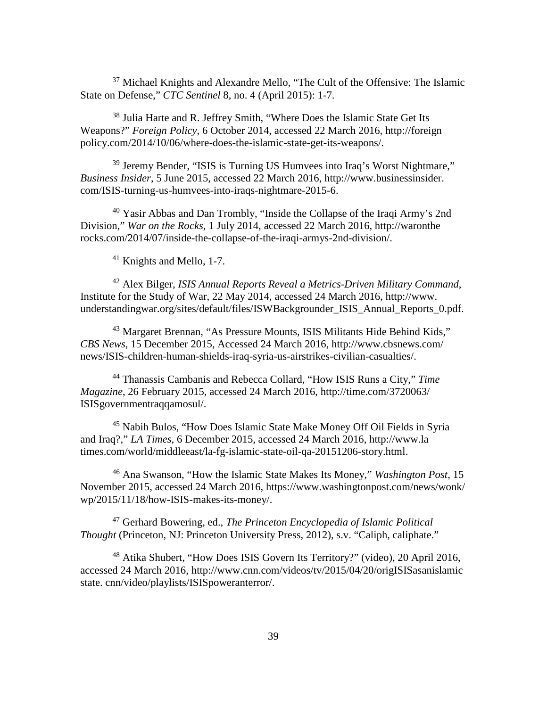<sup>37</sup> Michael Knights and Alexandre Mello, "The Cult of the Offensive: The Islamic State on Defense," *CTC Sentinel* 8, no. 4 (April 2015): 1-7.

<sup>38</sup> Julia Harte and R. Jeffrey Smith, "Where Does the Islamic State Get Its Weapons?" *Foreign Policy*, 6 October 2014, accessed 22 March 2016, http://foreign policy.com/2014/10/06/where-does-the-islamic-state-get-its-weapons/.

<sup>39</sup> Jeremy Bender, "ISIS is Turning US Humvees into Iraq's Worst Nightmare," *Business Insider*, 5 June 2015, accessed 22 March 2016, http://www.businessinsider. com/ISIS-turning-us-humvees-into-iraqs-nightmare-2015-6.

<sup>40</sup> Yasir Abbas and Dan Trombly, "Inside the Collapse of the Iraqi Army's 2nd Division," *War on the Rocks*, 1 July 2014, accessed 22 March 2016, http://waronthe rocks.com/2014/07/inside-the-collapse-of-the-iraqi-armys-2nd-division/.

<sup>41</sup> Knights and Mello, 1-7.

<sup>42</sup> Alex Bilger, *ISIS Annual Reports Reveal a Metrics-Driven Military Command*, Institute for the Study of War, 22 May 2014, accessed 24 March 2016, http://www. understandingwar.org/sites/default/files/ISWBackgrounder\_ISIS\_Annual\_Reports\_0.pdf.

<sup>43</sup> Margaret Brennan, "As Pressure Mounts, ISIS Militants Hide Behind Kids," *CBS News*, 15 December 2015, Accessed 24 March 2016, http://www.cbsnews.com/ news/ISIS-children-human-shields-iraq-syria-us-airstrikes-civilian-casualties/.

<sup>44</sup> Thanassis Cambanis and Rebecca Collard, "How ISIS Runs a City," *Time Magazine*, 26 February 2015, accessed 24 March 2016, http://time.com/3720063/ ISISgovernmentraqqamosul/.

<sup>45</sup> Nabih Bulos, "How Does Islamic State Make Money Off Oil Fields in Syria and Iraq?," *LA Times*, 6 December 2015, accessed 24 March 2016, http://www.la times.com/world/middleeast/la-fg-islamic-state-oil-qa-20151206-story.html.

<sup>46</sup> Ana Swanson, "How the Islamic State Makes Its Money," *Washington Post*, 15 November 2015, accessed 24 March 2016, https://www.washingtonpost.com/news/wonk/ wp/2015/11/18/how-ISIS-makes-its-money/.

<sup>47</sup> Gerhard Bowering, ed., *The Princeton Encyclopedia of Islamic Political Thought* (Princeton, NJ: Princeton University Press, 2012), s.v. "Caliph, caliphate."

<sup>48</sup> Atika Shubert, "How Does ISIS Govern Its Territory?" (video), 20 April 2016, accessed 24 March 2016, http://www.cnn.com/videos/tv/2015/04/20/origISISasanislamic state. cnn/video/playlists/ISISpoweranterror/.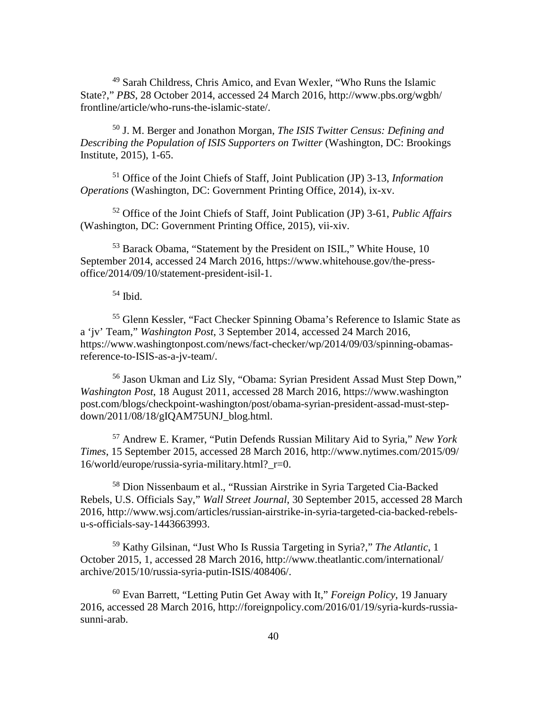<sup>49</sup> Sarah Childress, Chris Amico, and Evan Wexler, "Who Runs the Islamic State?," *PBS*, 28 October 2014, accessed 24 March 2016, http://www.pbs.org/wgbh/ frontline/article/who-runs-the-islamic-state/.

<sup>50</sup> J. M. Berger and Jonathon Morgan, *The ISIS Twitter Census: Defining and Describing the Population of ISIS Supporters on Twitter* (Washington, DC: Brookings Institute, 2015), 1-65.

<sup>51</sup> Office of the Joint Chiefs of Staff, Joint Publication (JP) 3-13, *Information Operations* (Washington, DC: Government Printing Office, 2014), ix-xv.

<sup>52</sup> Office of the Joint Chiefs of Staff, Joint Publication (JP) 3-61, *Public Affairs*  (Washington, DC: Government Printing Office, 2015), vii-xiv.

<sup>53</sup> Barack Obama, "Statement by the President on ISIL," White House, 10 September 2014, accessed 24 March 2016, [https://www.whitehouse.gov/the-press](https://www.whitehouse.gov/the-press-office/2014/09/10/statement-president-isil-1)[office/2014/09/10/statement-president-isil-1.](https://www.whitehouse.gov/the-press-office/2014/09/10/statement-president-isil-1)

 $54$  Ibid.

<sup>55</sup> Glenn Kessler, "Fact Checker Spinning Obama's Reference to Islamic State as a 'jv' Team," *Washington Post*, 3 September 2014, accessed 24 March 2016, https://www.washingtonpost.com/news/fact-checker/wp/2014/09/03/spinning-obamasreference-to-ISIS-as-a-jv-team/.

<sup>56</sup> Jason Ukman and Liz Sly, "Obama: Syrian President Assad Must Step Down," *Washington Post*, 18 August 2011, accessed 28 March 2016, [https://www.washington](https://www.washingtonpost.com/blogs/checkpoint-washington/post/obama-syrian-president-assad-must-step-down/2011/08/18/gIQAM75UNJ_blog.html) [post.com/blogs/checkpoint-washington/post/obama-syrian-president-assad-must-step](https://www.washingtonpost.com/blogs/checkpoint-washington/post/obama-syrian-president-assad-must-step-down/2011/08/18/gIQAM75UNJ_blog.html)[down/2011/08/18/gIQAM75UNJ\\_blog.html.](https://www.washingtonpost.com/blogs/checkpoint-washington/post/obama-syrian-president-assad-must-step-down/2011/08/18/gIQAM75UNJ_blog.html)

<sup>57</sup> Andrew E. Kramer, "Putin Defends Russian Military Aid to Syria," *New York Times*, 15 September 2015, accessed 28 March 2016, [http://www.nytimes.com/2015/09/](http://www.nytimes.com/2015/09/16/world/europe/russia-syria-military.html?_r=0)  $16$ /world/europe/russia-syria-military.html?  $r=0$ .

<sup>58</sup> Dion Nissenbaum et al., "Russian Airstrike in Syria Targeted Cia-Backed Rebels, U.S. Officials Say," *Wall Street Journal*, 30 September 2015, accessed 28 March 2016, [http://www.wsj.com/articles/russian-airstrike-in-syria-targeted-cia-backed-rebels](http://www.wsj.com/articles/russian-airstrike-in-syria-targeted-cia-backed-rebels-u-s-officials-say-1443663993)[u-s-officials-say-1443663993.](http://www.wsj.com/articles/russian-airstrike-in-syria-targeted-cia-backed-rebels-u-s-officials-say-1443663993)

<sup>59</sup> Kathy Gilsinan, "Just Who Is Russia Targeting in Syria?," *The Atlantic*, 1 October 2015, 1, accessed 28 March 2016, [http://www.theatlantic.com/international/](http://www.theatlantic.com/international/archive/2015/10/russia-syria-putin-isis/408406/) [archive/2015/10/russia-syria-putin-ISIS/408406/.](http://www.theatlantic.com/international/archive/2015/10/russia-syria-putin-isis/408406/)

<sup>60</sup> Evan Barrett, "Letting Putin Get Away with It," *Foreign Policy*, 19 January 2016, accessed 28 March 2016, http://foreignpolicy.com/2016/01/19/syria-kurds-russiasunni-arab.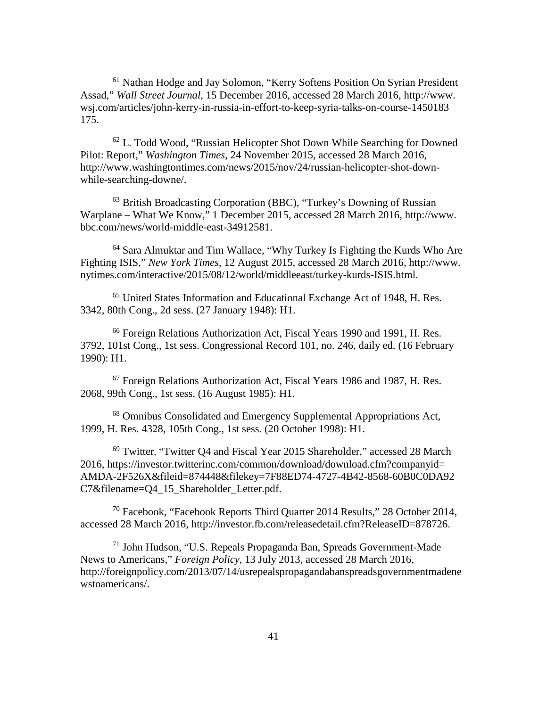<sup>61</sup> Nathan Hodge and Jay Solomon, "Kerry Softens Position On Syrian President Assad," *Wall Street Journal*, 15 December 2016, accessed 28 March 2016, http://www. wsj.com/articles/john-kerry-in-russia-in-effort-to-keep-syria-talks-on-course-1450183 175.

<sup>62</sup> L. Todd Wood, "Russian Helicopter Shot Down While Searching for Downed Pilot: Report," *Washington Times*, 24 November 2015, accessed 28 March 2016, http://www.washingtontimes.com/news/2015/nov/24/russian-helicopter-shot-downwhile-searching-downe/.

<sup>63</sup> British Broadcasting Corporation (BBC), "Turkey's Downing of Russian Warplane – What We Know," 1 December 2015, accessed 28 March 2016, http://www. bbc.com/news/world-middle-east-34912581.

<sup>64</sup> Sara Almuktar and Tim Wallace, "Why Turkey Is Fighting the Kurds Who Are Fighting ISIS," *New York Times*, 12 August 2015, accessed 28 March 2016, http://www. nytimes.com/interactive/2015/08/12/world/middleeast/turkey-kurds-ISIS.html.

<sup>65</sup> United States Information and Educational Exchange Act of 1948, H. Res. 3342, 80th Cong., 2d sess. (27 January 1948): H1.

<sup>66</sup> Foreign Relations Authorization Act, Fiscal Years 1990 and 1991, H. Res. 3792, 101st Cong., 1st sess. Congressional Record 101, no. 246, daily ed. (16 February 1990): H1.

<sup>67</sup> Foreign Relations Authorization Act, Fiscal Years 1986 and 1987, H. Res. 2068, 99th Cong., 1st sess. (16 August 1985): H1.

<sup>68</sup> Omnibus Consolidated and Emergency Supplemental Appropriations Act, 1999, H. Res. 4328, 105th Cong., 1st sess. (20 October 1998): H1.

<sup>69</sup> Twitter, "Twitter Q4 and Fiscal Year 2015 Shareholder," accessed 28 March 2016, [https://investor.twitterinc.com/common/download/download.cfm?companyid=](https://investor.twitterinc.com/common/download/download.cfm?companyid=AMDA-2F526X&fileid=874448&filekey=7F88ED74-4727-4B42-8568-60B0C0DA92C7&filename=Q4_15_Shareholder_Letter.pdf) [AMDA-2F526X&fileid=874448&filekey=7F88ED74-4727-4B42-8568-60B0C0DA92](https://investor.twitterinc.com/common/download/download.cfm?companyid=AMDA-2F526X&fileid=874448&filekey=7F88ED74-4727-4B42-8568-60B0C0DA92C7&filename=Q4_15_Shareholder_Letter.pdf) [C7&filename=Q4\\_15\\_Shareholder\\_Letter.pdf.](https://investor.twitterinc.com/common/download/download.cfm?companyid=AMDA-2F526X&fileid=874448&filekey=7F88ED74-4727-4B42-8568-60B0C0DA92C7&filename=Q4_15_Shareholder_Letter.pdf)

<sup>70</sup> Facebook, "Facebook Reports Third Quarter 2014 Results," 28 October 2014, accessed 28 March 2016, http://investor.fb.com/releasedetail.cfm?ReleaseID=878726.

<sup>71</sup> John Hudson, "U.S. Repeals Propaganda Ban, Spreads Government-Made News to Americans," *Foreign Policy*, 13 July 2013, accessed 28 March 2016, http://foreignpolicy.com/2013/07/14/usrepealspropagandabanspreadsgovernmentmadene wstoamericans/.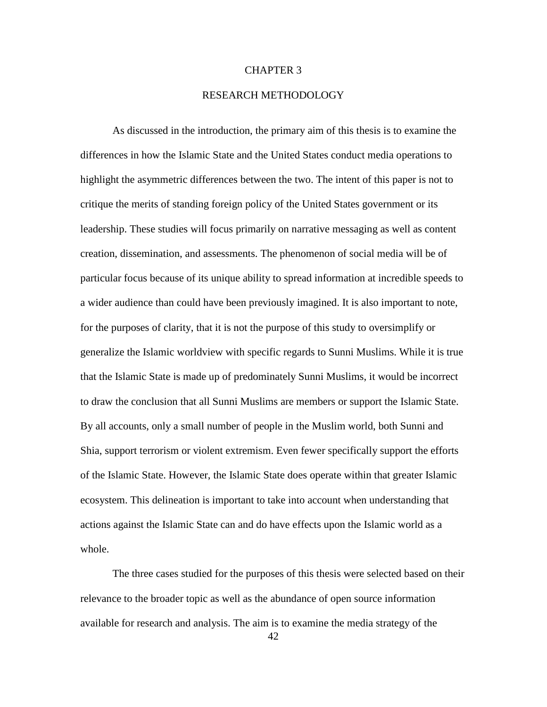#### CHAPTER 3

#### RESEARCH METHODOLOGY

As discussed in the introduction, the primary aim of this thesis is to examine the differences in how the Islamic State and the United States conduct media operations to highlight the asymmetric differences between the two. The intent of this paper is not to critique the merits of standing foreign policy of the United States government or its leadership. These studies will focus primarily on narrative messaging as well as content creation, dissemination, and assessments. The phenomenon of social media will be of particular focus because of its unique ability to spread information at incredible speeds to a wider audience than could have been previously imagined. It is also important to note, for the purposes of clarity, that it is not the purpose of this study to oversimplify or generalize the Islamic worldview with specific regards to Sunni Muslims. While it is true that the Islamic State is made up of predominately Sunni Muslims, it would be incorrect to draw the conclusion that all Sunni Muslims are members or support the Islamic State. By all accounts, only a small number of people in the Muslim world, both Sunni and Shia, support terrorism or violent extremism. Even fewer specifically support the efforts of the Islamic State. However, the Islamic State does operate within that greater Islamic ecosystem. This delineation is important to take into account when understanding that actions against the Islamic State can and do have effects upon the Islamic world as a whole.

The three cases studied for the purposes of this thesis were selected based on their relevance to the broader topic as well as the abundance of open source information available for research and analysis. The aim is to examine the media strategy of the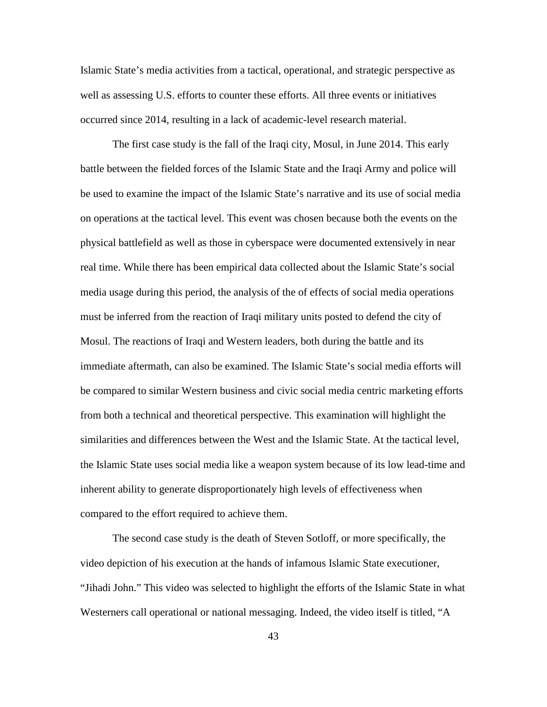Islamic State's media activities from a tactical, operational, and strategic perspective as well as assessing U.S. efforts to counter these efforts. All three events or initiatives occurred since 2014, resulting in a lack of academic-level research material.

The first case study is the fall of the Iraqi city, Mosul, in June 2014. This early battle between the fielded forces of the Islamic State and the Iraqi Army and police will be used to examine the impact of the Islamic State's narrative and its use of social media on operations at the tactical level. This event was chosen because both the events on the physical battlefield as well as those in cyberspace were documented extensively in near real time. While there has been empirical data collected about the Islamic State's social media usage during this period, the analysis of the of effects of social media operations must be inferred from the reaction of Iraqi military units posted to defend the city of Mosul. The reactions of Iraqi and Western leaders, both during the battle and its immediate aftermath, can also be examined. The Islamic State's social media efforts will be compared to similar Western business and civic social media centric marketing efforts from both a technical and theoretical perspective. This examination will highlight the similarities and differences between the West and the Islamic State. At the tactical level, the Islamic State uses social media like a weapon system because of its low lead-time and inherent ability to generate disproportionately high levels of effectiveness when compared to the effort required to achieve them.

The second case study is the death of Steven Sotloff, or more specifically, the video depiction of his execution at the hands of infamous Islamic State executioner, "Jihadi John." This video was selected to highlight the efforts of the Islamic State in what Westerners call operational or national messaging. Indeed, the video itself is titled, "A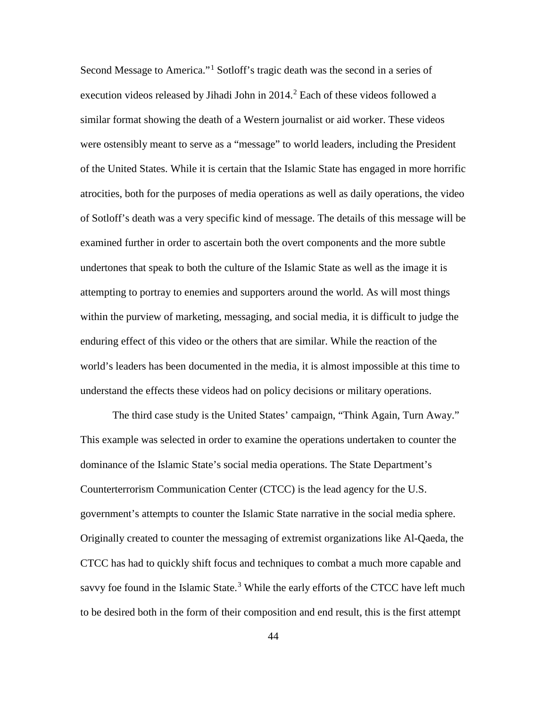Second Message to America."[1](#page-53-0) Sotloff's tragic death was the second in a series of execution videos released by Jihadi John in  $2014<sup>2</sup>$  $2014<sup>2</sup>$  Each of these videos followed a similar format showing the death of a Western journalist or aid worker. These videos were ostensibly meant to serve as a "message" to world leaders, including the President of the United States. While it is certain that the Islamic State has engaged in more horrific atrocities, both for the purposes of media operations as well as daily operations, the video of Sotloff's death was a very specific kind of message. The details of this message will be examined further in order to ascertain both the overt components and the more subtle undertones that speak to both the culture of the Islamic State as well as the image it is attempting to portray to enemies and supporters around the world. As will most things within the purview of marketing, messaging, and social media, it is difficult to judge the enduring effect of this video or the others that are similar. While the reaction of the world's leaders has been documented in the media, it is almost impossible at this time to understand the effects these videos had on policy decisions or military operations.

The third case study is the United States' campaign, "Think Again, Turn Away." This example was selected in order to examine the operations undertaken to counter the dominance of the Islamic State's social media operations. The State Department's Counterterrorism Communication Center (CTCC) is the lead agency for the U.S. government's attempts to counter the Islamic State narrative in the social media sphere. Originally created to counter the messaging of extremist organizations like Al-Qaeda, the CTCC has had to quickly shift focus and techniques to combat a much more capable and savvy foe found in the Islamic State.<sup>[3](#page-53-2)</sup> While the early efforts of the CTCC have left much to be desired both in the form of their composition and end result, this is the first attempt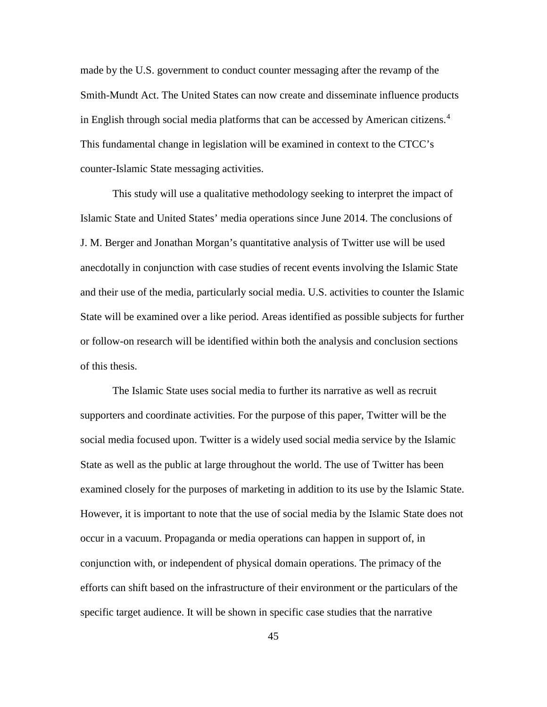made by the U.S. government to conduct counter messaging after the revamp of the Smith-Mundt Act. The United States can now create and disseminate influence products in English through social media platforms that can be accessed by American citizens.[4](#page-53-3) This fundamental change in legislation will be examined in context to the CTCC's counter-Islamic State messaging activities.

This study will use a qualitative methodology seeking to interpret the impact of Islamic State and United States' media operations since June 2014. The conclusions of J. M. Berger and Jonathan Morgan's quantitative analysis of Twitter use will be used anecdotally in conjunction with case studies of recent events involving the Islamic State and their use of the media, particularly social media. U.S. activities to counter the Islamic State will be examined over a like period. Areas identified as possible subjects for further or follow-on research will be identified within both the analysis and conclusion sections of this thesis.

The Islamic State uses social media to further its narrative as well as recruit supporters and coordinate activities. For the purpose of this paper, Twitter will be the social media focused upon. Twitter is a widely used social media service by the Islamic State as well as the public at large throughout the world. The use of Twitter has been examined closely for the purposes of marketing in addition to its use by the Islamic State. However, it is important to note that the use of social media by the Islamic State does not occur in a vacuum. Propaganda or media operations can happen in support of, in conjunction with, or independent of physical domain operations. The primacy of the efforts can shift based on the infrastructure of their environment or the particulars of the specific target audience. It will be shown in specific case studies that the narrative

45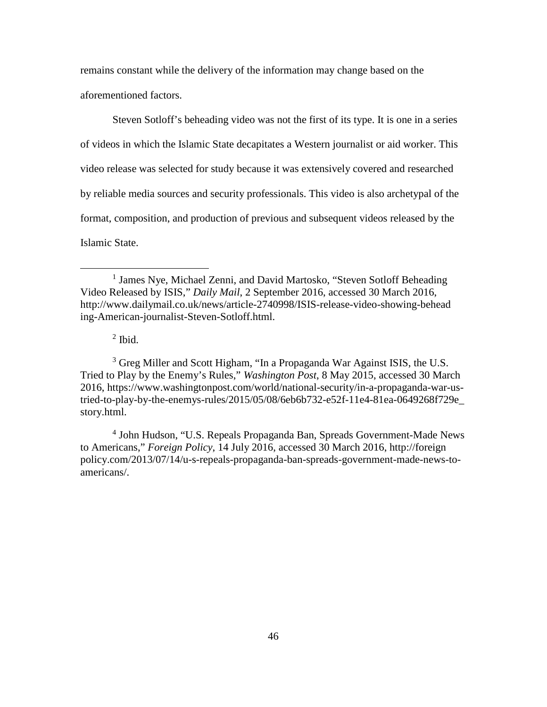remains constant while the delivery of the information may change based on the aforementioned factors.

Steven Sotloff's beheading video was not the first of its type. It is one in a series of videos in which the Islamic State decapitates a Western journalist or aid worker. This video release was selected for study because it was extensively covered and researched by reliable media sources and security professionals. This video is also archetypal of the format, composition, and production of previous and subsequent videos released by the Islamic State.

 $<sup>2</sup>$  Ibid.</sup>

 $\overline{a}$ 

<span id="page-53-2"></span><span id="page-53-1"></span><sup>3</sup> Greg Miller and Scott Higham, "In a Propaganda War Against ISIS, the U.S. Tried to Play by the Enemy's Rules," *Washington Post*, 8 May 2015, accessed 30 March 2016, https://www.washingtonpost.com/world/national-security/in-a-propaganda-war-ustried-to-play-by-the-enemys-rules/2015/05/08/6eb6b732-e52f-11e4-81ea-0649268f729e\_ story.html.

<span id="page-53-3"></span><sup>4</sup> John Hudson, "U.S. Repeals Propaganda Ban, Spreads Government-Made News to Americans," *Foreign Policy*, 14 July 2016, accessed 30 March 2016, http://foreign policy.com/2013/07/14/u-s-repeals-propaganda-ban-spreads-government-made-news-toamericans/.

<span id="page-53-0"></span><sup>&</sup>lt;sup>1</sup> James Nye, Michael Zenni, and David Martosko, "Steven Sotloff Beheading Video Released by ISIS," *Daily Mail*, 2 September 2016, accessed 30 March 2016, http://www.dailymail.co.uk/news/article-2740998/ISIS-release-video-showing-behead ing-American-journalist-Steven-Sotloff.html.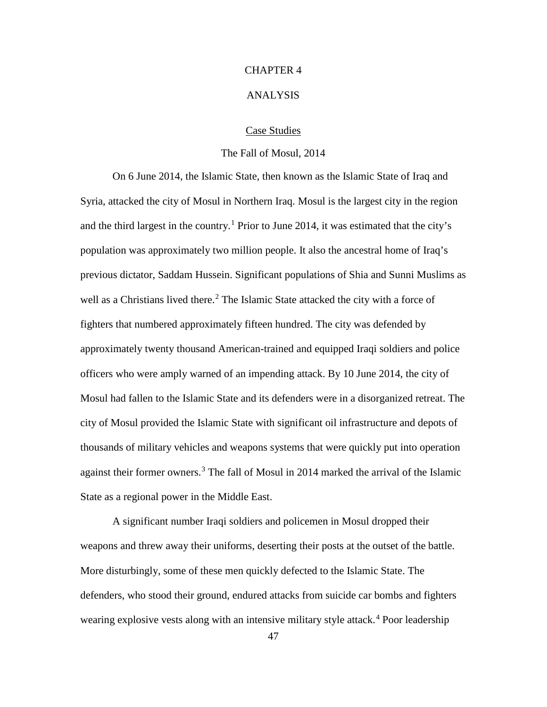### CHAPTER 4

#### ANALYSIS

#### Case Studies

#### The Fall of Mosul, 2014

On 6 June 2014, the Islamic State, then known as the Islamic State of Iraq and Syria, attacked the city of Mosul in Northern Iraq. Mosul is the largest city in the region and the third largest in the country.<sup>[1](#page-105-0)</sup> Prior to June 2014, it was estimated that the city's population was approximately two million people. It also the ancestral home of Iraq's previous dictator, Saddam Hussein. Significant populations of Shia and Sunni Muslims as well as a Christians lived there.<sup>[2](#page-105-1)</sup> The Islamic State attacked the city with a force of fighters that numbered approximately fifteen hundred. The city was defended by approximately twenty thousand American-trained and equipped Iraqi soldiers and police officers who were amply warned of an impending attack. By 10 June 2014, the city of Mosul had fallen to the Islamic State and its defenders were in a disorganized retreat. The city of Mosul provided the Islamic State with significant oil infrastructure and depots of thousands of military vehicles and weapons systems that were quickly put into operation against their former owners.<sup>[3](#page-105-2)</sup> The fall of Mosul in 2014 marked the arrival of the Islamic State as a regional power in the Middle East.

A significant number Iraqi soldiers and policemen in Mosul dropped their weapons and threw away their uniforms, deserting their posts at the outset of the battle. More disturbingly, some of these men quickly defected to the Islamic State. The defenders, who stood their ground, endured attacks from suicide car bombs and fighters wearing explosive vests along with an intensive military style attack.<sup>[4](#page-105-3)</sup> Poor leadership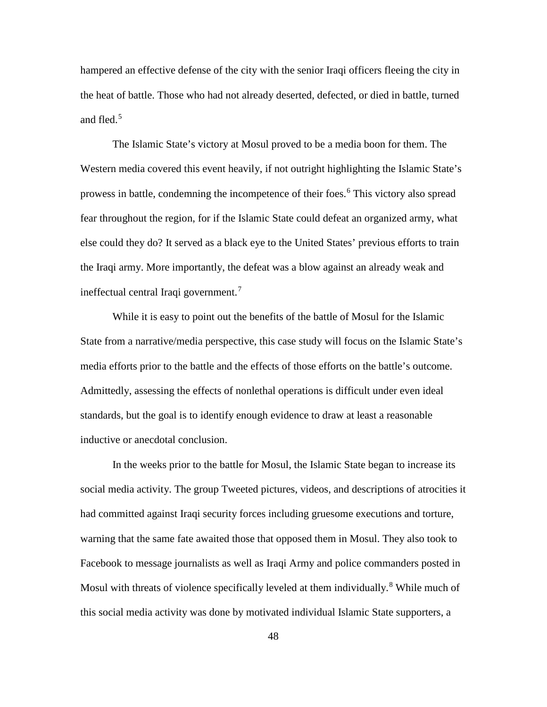hampered an effective defense of the city with the senior Iraqi officers fleeing the city in the heat of battle. Those who had not already deserted, defected, or died in battle, turned and fled.<sup>[5](#page-105-4)</sup>

The Islamic State's victory at Mosul proved to be a media boon for them. The Western media covered this event heavily, if not outright highlighting the Islamic State's prowess in battle, condemning the incompetence of their foes.<sup>[6](#page-105-5)</sup> This victory also spread fear throughout the region, for if the Islamic State could defeat an organized army, what else could they do? It served as a black eye to the United States' previous efforts to train the Iraqi army. More importantly, the defeat was a blow against an already weak and ineffectual central Iraqi government.[7](#page-105-6)

While it is easy to point out the benefits of the battle of Mosul for the Islamic State from a narrative/media perspective, this case study will focus on the Islamic State's media efforts prior to the battle and the effects of those efforts on the battle's outcome. Admittedly, assessing the effects of nonlethal operations is difficult under even ideal standards, but the goal is to identify enough evidence to draw at least a reasonable inductive or anecdotal conclusion.

In the weeks prior to the battle for Mosul, the Islamic State began to increase its social media activity. The group Tweeted pictures, videos, and descriptions of atrocities it had committed against Iraqi security forces including gruesome executions and torture, warning that the same fate awaited those that opposed them in Mosul. They also took to Facebook to message journalists as well as Iraqi Army and police commanders posted in Mosul with threats of violence specifically leveled at them individually.<sup>[8](#page-105-7)</sup> While much of this social media activity was done by motivated individual Islamic State supporters, a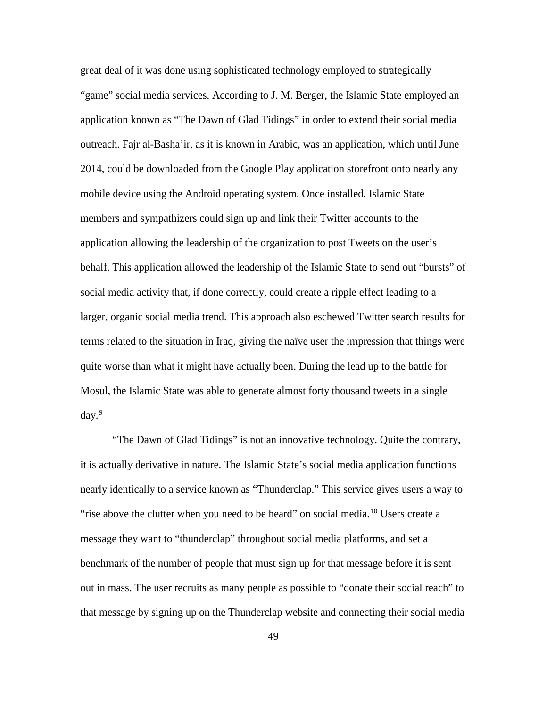great deal of it was done using sophisticated technology employed to strategically "game" social media services. According to J. M. Berger, the Islamic State employed an application known as "The Dawn of Glad Tidings" in order to extend their social media outreach. Fajr al-Basha'ir, as it is known in Arabic, was an application, which until June 2014, could be downloaded from the Google Play application storefront onto nearly any mobile device using the Android operating system. Once installed, Islamic State members and sympathizers could sign up and link their Twitter accounts to the application allowing the leadership of the organization to post Tweets on the user's behalf. This application allowed the leadership of the Islamic State to send out "bursts" of social media activity that, if done correctly, could create a ripple effect leading to a larger, organic social media trend. This approach also eschewed Twitter search results for terms related to the situation in Iraq, giving the naïve user the impression that things were quite worse than what it might have actually been. During the lead up to the battle for Mosul, the Islamic State was able to generate almost forty thousand tweets in a single  $day.<sup>9</sup>$  $day.<sup>9</sup>$  $day.<sup>9</sup>$ 

"The Dawn of Glad Tidings" is not an innovative technology. Quite the contrary, it is actually derivative in nature. The Islamic State's social media application functions nearly identically to a service known as "Thunderclap." This service gives users a way to "rise above the clutter when you need to be heard" on social media.<sup>[10](#page-105-9)</sup> Users create a message they want to "thunderclap" throughout social media platforms, and set a benchmark of the number of people that must sign up for that message before it is sent out in mass. The user recruits as many people as possible to "donate their social reach" to that message by signing up on the Thunderclap website and connecting their social media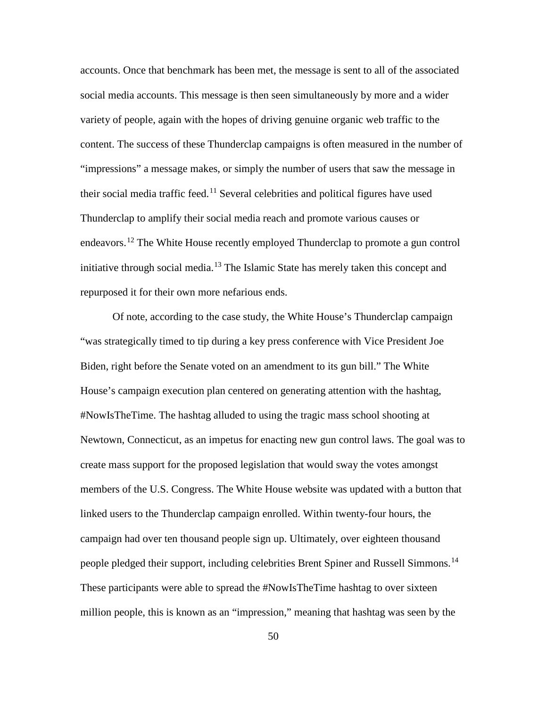accounts. Once that benchmark has been met, the message is sent to all of the associated social media accounts. This message is then seen simultaneously by more and a wider variety of people, again with the hopes of driving genuine organic web traffic to the content. The success of these Thunderclap campaigns is often measured in the number of "impressions" a message makes, or simply the number of users that saw the message in their social media traffic feed.<sup>[11](#page-105-10)</sup> Several celebrities and political figures have used Thunderclap to amplify their social media reach and promote various causes or endeavors.<sup>[12](#page-105-11)</sup> The White House recently employed Thunderclap to promote a gun control initiative through social media.<sup>[13](#page-105-12)</sup> The Islamic State has merely taken this concept and repurposed it for their own more nefarious ends.

Of note, according to the case study, the White House's Thunderclap campaign "was strategically timed to tip during a key press conference with Vice President Joe Biden, right before the Senate voted on an amendment to its gun bill." The White House's campaign execution plan centered on generating attention with the hashtag, #NowIsTheTime. The hashtag alluded to using the tragic mass school shooting at Newtown, Connecticut, as an impetus for enacting new gun control laws. The goal was to create mass support for the proposed legislation that would sway the votes amongst members of the U.S. Congress. The White House website was updated with a button that linked users to the Thunderclap campaign enrolled. Within twenty-four hours, the campaign had over ten thousand people sign up. Ultimately, over eighteen thousand people pledged their support, including celebrities Brent Spiner and Russell Simmons.[14](#page-105-13) These participants were able to spread the #NowIsTheTime hashtag to over sixteen million people, this is known as an "impression," meaning that hashtag was seen by the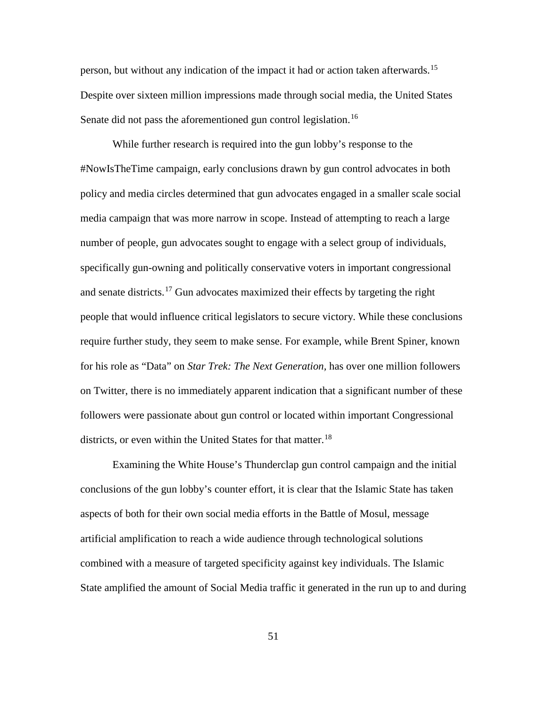person, but without any indication of the impact it had or action taken afterwards.<sup>[15](#page-105-14)</sup> Despite over sixteen million impressions made through social media, the United States Senate did not pass the aforementioned gun control legislation.<sup>[16](#page-105-15)</sup>

While further research is required into the gun lobby's response to the #NowIsTheTime campaign, early conclusions drawn by gun control advocates in both policy and media circles determined that gun advocates engaged in a smaller scale social media campaign that was more narrow in scope. Instead of attempting to reach a large number of people, gun advocates sought to engage with a select group of individuals, specifically gun-owning and politically conservative voters in important congressional and senate districts.<sup>[17](#page-105-16)</sup> Gun advocates maximized their effects by targeting the right people that would influence critical legislators to secure victory. While these conclusions require further study, they seem to make sense. For example, while Brent Spiner, known for his role as "Data" on *Star Trek: The Next Generation,* has over one million followers on Twitter, there is no immediately apparent indication that a significant number of these followers were passionate about gun control or located within important Congressional districts, or even within the United States for that matter.<sup>[18](#page-105-17)</sup>

Examining the White House's Thunderclap gun control campaign and the initial conclusions of the gun lobby's counter effort, it is clear that the Islamic State has taken aspects of both for their own social media efforts in the Battle of Mosul, message artificial amplification to reach a wide audience through technological solutions combined with a measure of targeted specificity against key individuals. The Islamic State amplified the amount of Social Media traffic it generated in the run up to and during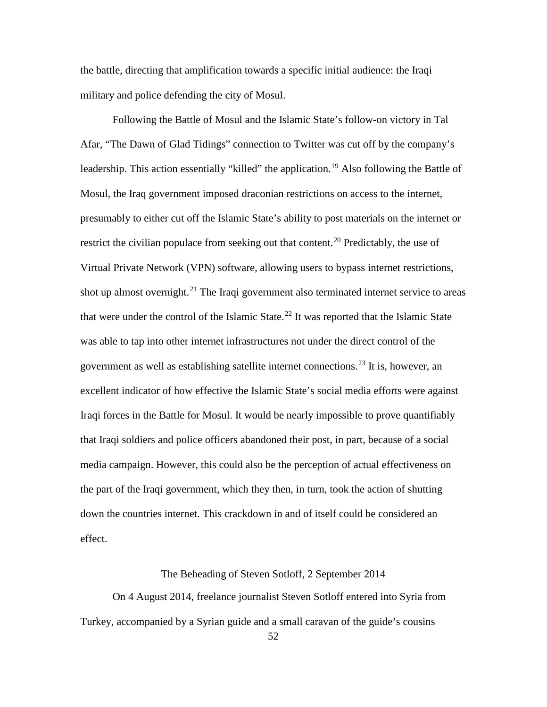the battle, directing that amplification towards a specific initial audience: the Iraqi military and police defending the city of Mosul.

Following the Battle of Mosul and the Islamic State's follow-on victory in Tal Afar, "The Dawn of Glad Tidings" connection to Twitter was cut off by the company's leadership. This action essentially "killed" the application.<sup>[19](#page-105-18)</sup> Also following the Battle of Mosul, the Iraq government imposed draconian restrictions on access to the internet, presumably to either cut off the Islamic State's ability to post materials on the internet or restrict the civilian populace from seeking out that content.<sup>[20](#page-105-19)</sup> Predictably, the use of Virtual Private Network (VPN) software, allowing users to bypass internet restrictions, shot up almost overnight.<sup>[21](#page-105-8)</sup> The Iraqi government also terminated internet service to areas that were under the control of the Islamic State.<sup>[22](#page-105-9)</sup> It was reported that the Islamic State was able to tap into other internet infrastructures not under the direct control of the government as well as establishing satellite internet connections.<sup>[23](#page-105-20)</sup> It is, however, an excellent indicator of how effective the Islamic State's social media efforts were against Iraqi forces in the Battle for Mosul. It would be nearly impossible to prove quantifiably that Iraqi soldiers and police officers abandoned their post, in part, because of a social media campaign. However, this could also be the perception of actual effectiveness on the part of the Iraqi government, which they then, in turn, took the action of shutting down the countries internet. This crackdown in and of itself could be considered an effect.

## The Beheading of Steven Sotloff, 2 September 2014

On 4 August 2014, freelance journalist Steven Sotloff entered into Syria from Turkey, accompanied by a Syrian guide and a small caravan of the guide's cousins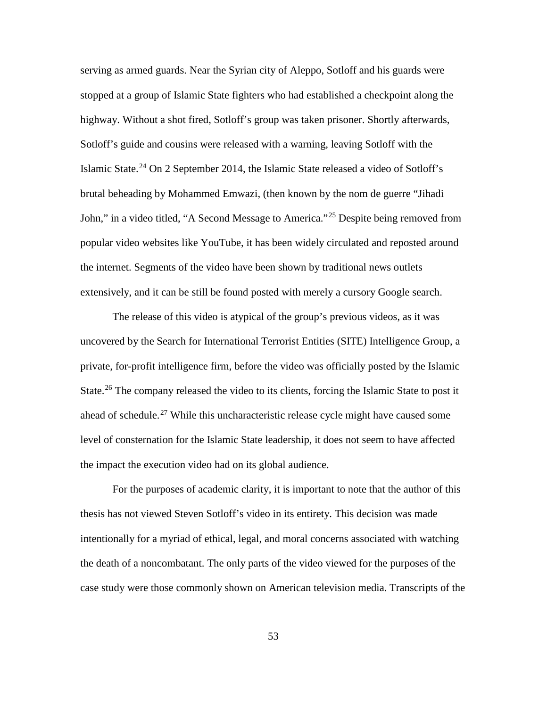<span id="page-60-2"></span><span id="page-60-1"></span>serving as armed guards. Near the Syrian city of Aleppo, Sotloff and his guards were stopped at a group of Islamic State fighters who had established a checkpoint along the highway. Without a shot fired, Sotloff's group was taken prisoner. Shortly afterwards, Sotloff's guide and cousins were released with a warning, leaving Sotloff with the Islamic State.<sup>[24](#page-105-21)</sup> On 2 September 2014, the Islamic State released a video of Sotloff's brutal beheading by Mohammed Emwazi, (then known by the nom de guerre "Jihadi John," in a video titled, "A Second Message to America."[25](#page-105-22) Despite being removed from popular video websites like YouTube, it has been widely circulated and reposted around the internet. Segments of the video have been shown by traditional news outlets extensively, and it can be still be found posted with merely a cursory Google search.

The release of this video is atypical of the group's previous videos, as it was uncovered by the Search for International Terrorist Entities (SITE) Intelligence Group, a private, for-profit intelligence firm, before the video was officially posted by the Islamic State.<sup>[26](#page-105-23)</sup> The company released the video to its clients, forcing the Islamic State to post it ahead of schedule.<sup>[27](#page-105-24)</sup> While this uncharacteristic release cycle might have caused some level of consternation for the Islamic State leadership, it does not seem to have affected the impact the execution video had on its global audience.

<span id="page-60-0"></span>For the purposes of academic clarity, it is important to note that the author of this thesis has not viewed Steven Sotloff's video in its entirety. This decision was made intentionally for a myriad of ethical, legal, and moral concerns associated with watching the death of a noncombatant. The only parts of the video viewed for the purposes of the case study were those commonly shown on American television media. Transcripts of the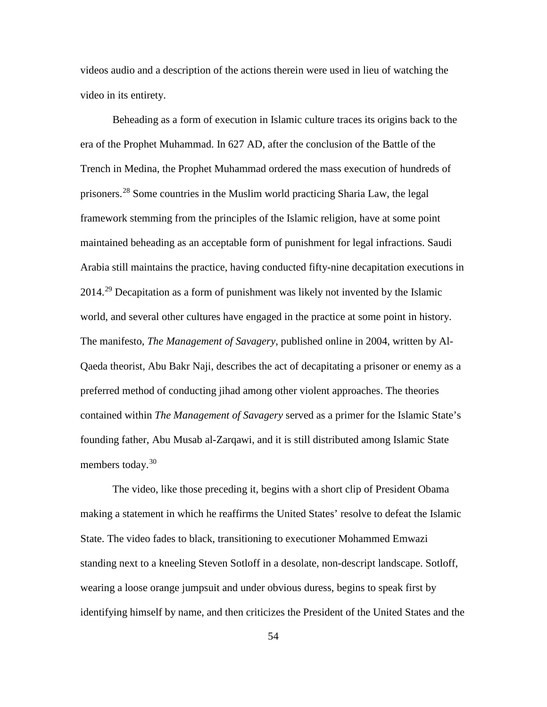videos audio and a description of the actions therein were used in lieu of watching the video in its entirety.

<span id="page-61-3"></span><span id="page-61-2"></span><span id="page-61-1"></span><span id="page-61-0"></span>Beheading as a form of execution in Islamic culture traces its origins back to the era of the Prophet Muhammad. In 627 AD, after the conclusion of the Battle of the Trench in Medina, the Prophet Muhammad ordered the mass execution of hundreds of prisoners.[28](#page-105-25) Some countries in the Muslim world practicing Sharia Law, the legal framework stemming from the principles of the Islamic religion, have at some point maintained beheading as an acceptable form of punishment for legal infractions. Saudi Arabia still maintains the practice, having conducted fifty-nine decapitation executions in 2014.[29](#page-105-18) Decapitation as a form of punishment was likely not invented by the Islamic world, and several other cultures have engaged in the practice at some point in history. The manifesto, *The Management of Savagery*, published online in 2004, written by Al-Qaeda theorist, Abu Bakr Naji, describes the act of decapitating a prisoner or enemy as a preferred method of conducting jihad among other violent approaches. The theories contained within *The Management of Savagery* served as a primer for the Islamic State's founding father, Abu Musab al-Zarqawi, and it is still distributed among Islamic State members today.<sup>[30](#page-105-26)</sup>

The video, like those preceding it, begins with a short clip of President Obama making a statement in which he reaffirms the United States' resolve to defeat the Islamic State. The video fades to black, transitioning to executioner Mohammed Emwazi standing next to a kneeling Steven Sotloff in a desolate, non-descript landscape. Sotloff, wearing a loose orange jumpsuit and under obvious duress, begins to speak first by identifying himself by name, and then criticizes the President of the United States and the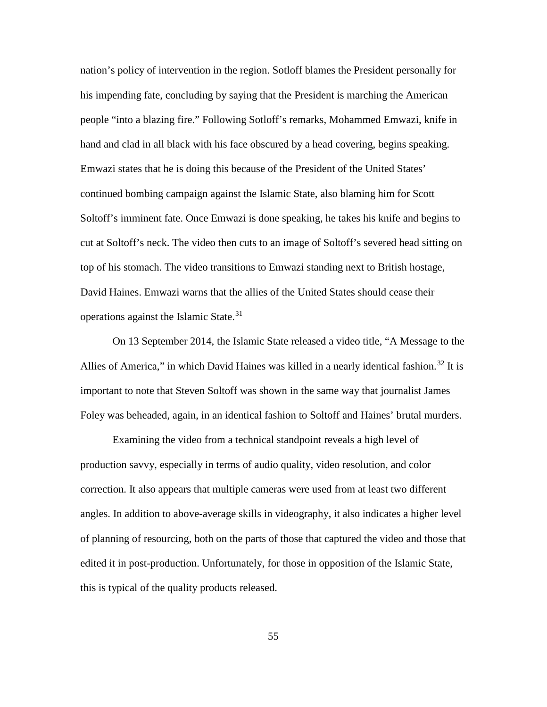nation's policy of intervention in the region. Sotloff blames the President personally for his impending fate, concluding by saying that the President is marching the American people "into a blazing fire." Following Sotloff's remarks, Mohammed Emwazi, knife in hand and clad in all black with his face obscured by a head covering, begins speaking. Emwazi states that he is doing this because of the President of the United States' continued bombing campaign against the Islamic State, also blaming him for Scott Soltoff's imminent fate. Once Emwazi is done speaking, he takes his knife and begins to cut at Soltoff's neck. The video then cuts to an image of Soltoff's severed head sitting on top of his stomach. The video transitions to Emwazi standing next to British hostage, David Haines. Emwazi warns that the allies of the United States should cease their operations against the Islamic State.[31](#page-105-27)

<span id="page-62-1"></span><span id="page-62-0"></span>On 13 September 2014, the Islamic State released a video title, "A Message to the Allies of America," in which David Haines was killed in a nearly identical fashion.<sup>[32](#page-105-9)</sup> It is important to note that Steven Soltoff was shown in the same way that journalist James Foley was beheaded, again, in an identical fashion to Soltoff and Haines' brutal murders.

<span id="page-62-5"></span><span id="page-62-4"></span><span id="page-62-3"></span><span id="page-62-2"></span>Examining the video from a technical standpoint reveals a high level of production savvy, especially in terms of audio quality, video resolution, and color correction. It also appears that multiple cameras were used from at least two different angles. In addition to above-average skills in videography, it also indicates a higher level of planning of resourcing, both on the parts of those that captured the video and those that edited it in post-production. Unfortunately, for those in opposition of the Islamic State, this is typical of the quality products released.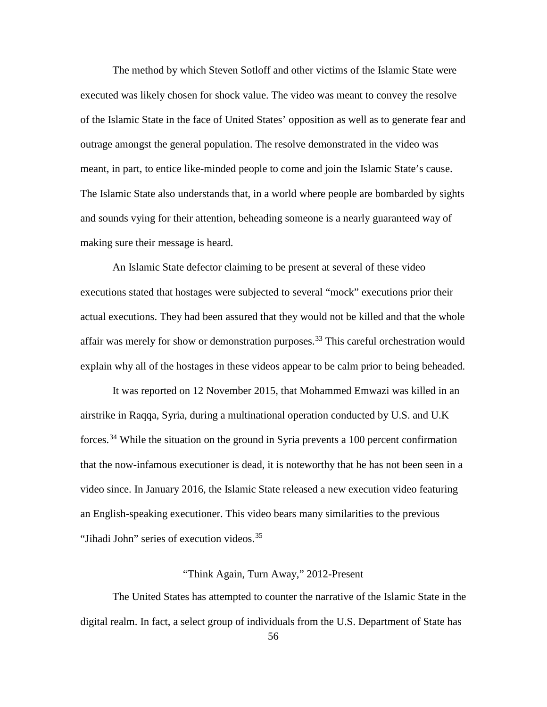<span id="page-63-1"></span><span id="page-63-0"></span>The method by which Steven Sotloff and other victims of the Islamic State were executed was likely chosen for shock value. The video was meant to convey the resolve of the Islamic State in the face of United States' opposition as well as to generate fear and outrage amongst the general population. The resolve demonstrated in the video was meant, in part, to entice like-minded people to come and join the Islamic State's cause. The Islamic State also understands that, in a world where people are bombarded by sights and sounds vying for their attention, beheading someone is a nearly guaranteed way of making sure their message is heard.

<span id="page-63-3"></span><span id="page-63-2"></span>An Islamic State defector claiming to be present at several of these video executions stated that hostages were subjected to several "mock" executions prior their actual executions. They had been assured that they would not be killed and that the whole affair was merely for show or demonstration purposes.<sup>[33](#page-105-28)</sup> This careful orchestration would explain why all of the hostages in these videos appear to be calm prior to being beheaded.

It was reported on 12 November 2015, that Mohammed Emwazi was killed in an airstrike in Raqqa, Syria, during a multinational operation conducted by U.S. and U.K forces.[34](#page-105-29) While the situation on the ground in Syria prevents a 100 percent confirmation that the now-infamous executioner is dead, it is noteworthy that he has not been seen in a video since. In January 2016, the Islamic State released a new execution video featuring an English-speaking executioner. This video bears many similarities to the previous "Jihadi John" series of execution videos.<sup>[35](#page-105-30)</sup>

# "Think Again, Turn Away," 2012-Present

The United States has attempted to counter the narrative of the Islamic State in the digital realm. In fact, a select group of individuals from the U.S. Department of State has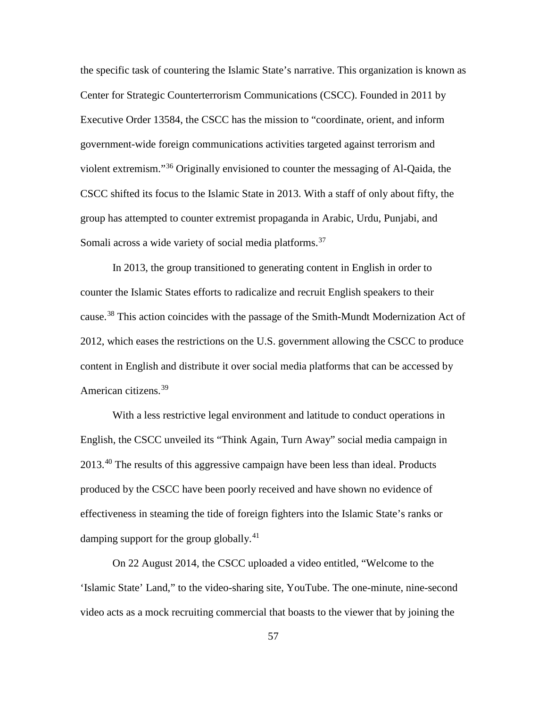the specific task of countering the Islamic State's narrative. This organization is known as Center for Strategic Counterterrorism Communications (CSCC). Founded in 2011 by Executive Order 13584, the CSCC has the mission to "coordinate, orient, and inform government-wide foreign communications activities targeted against terrorism and violent extremism."[36](#page-105-31) Originally envisioned to counter the messaging of Al-Qaida, the CSCC shifted its focus to the Islamic State in 2013. With a staff of only about fifty, the group has attempted to counter extremist propaganda in Arabic, Urdu, Punjabi, and Somali across a wide variety of social media platforms.<sup>[37](#page-105-32)</sup>

<span id="page-64-1"></span><span id="page-64-0"></span>In 2013, the group transitioned to generating content in English in order to counter the Islamic States efforts to radicalize and recruit English speakers to their cause.<sup>[38](#page-105-33)</sup> This action coincides with the passage of the Smith-Mundt Modernization Act of 2012, which eases the restrictions on the U.S. government allowing the CSCC to produce content in English and distribute it over social media platforms that can be accessed by American citizens.<sup>[39](#page-105-34)</sup>

<span id="page-64-3"></span><span id="page-64-2"></span>With a less restrictive legal environment and latitude to conduct operations in English, the CSCC unveiled its "Think Again, Turn Away" social media campaign in 2013.<sup>[40](#page-105-35)</sup> The results of this aggressive campaign have been less than ideal. Products produced by the CSCC have been poorly received and have shown no evidence of effectiveness in steaming the tide of foreign fighters into the Islamic State's ranks or damping support for the group globally. $41$ 

On 22 August 2014, the CSCC uploaded a video entitled, "Welcome to the 'Islamic State' Land," to the video-sharing site, YouTube. The one-minute, nine-second video acts as a mock recruiting commercial that boasts to the viewer that by joining the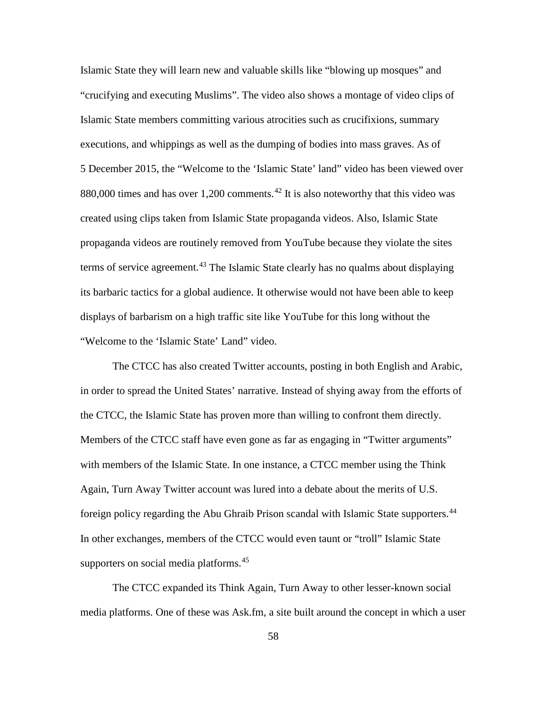Islamic State they will learn new and valuable skills like "blowing up mosques" and "crucifying and executing Muslims". The video also shows a montage of video clips of Islamic State members committing various atrocities such as crucifixions, summary executions, and whippings as well as the dumping of bodies into mass graves. As of 5 December 2015, the "Welcome to the 'Islamic State' land" video has been viewed over 880,000 times and has over 1,200 comments.<sup>[42](#page-105-36)</sup> It is also noteworthy that this video was created using clips taken from Islamic State propaganda videos. Also, Islamic State propaganda videos are routinely removed from YouTube because they violate the sites terms of service agreement.<sup>[43](#page-105-37)</sup> The Islamic State clearly has no qualms about displaying its barbaric tactics for a global audience. It otherwise would not have been able to keep displays of barbarism on a high traffic site like YouTube for this long without the "Welcome to the 'Islamic State' Land" video.

<span id="page-65-0"></span>The CTCC has also created Twitter accounts, posting in both English and Arabic, in order to spread the United States' narrative. Instead of shying away from the efforts of the CTCC, the Islamic State has proven more than willing to confront them directly. Members of the CTCC staff have even gone as far as engaging in "Twitter arguments" with members of the Islamic State. In one instance, a CTCC member using the Think Again, Turn Away Twitter account was lured into a debate about the merits of U.S. foreign policy regarding the Abu Ghraib Prison scandal with Islamic State supporters.<sup>[44](#page-105-38)</sup> In other exchanges, members of the CTCC would even taunt or "troll" Islamic State supporters on social media platforms.<sup>[45](#page-105-39)</sup>

<span id="page-65-2"></span><span id="page-65-1"></span>The CTCC expanded its Think Again, Turn Away to other lesser-known social media platforms. One of these was Ask.fm, a site built around the concept in which a user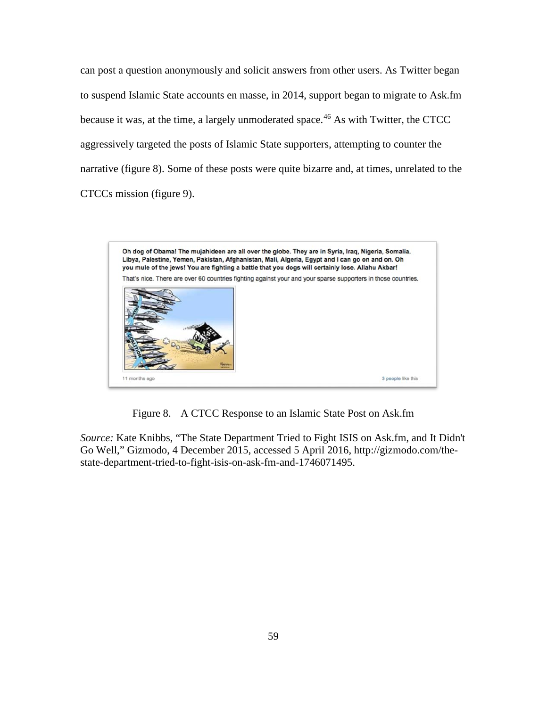can post a question anonymously and solicit answers from other users. As Twitter began to suspend Islamic State accounts en masse, in 2014, support began to migrate to Ask.fm because it was, at the time, a largely unmoderated space.<sup>[46](#page-105-40)</sup> As with Twitter, the CTCC aggressively targeted the posts of Islamic State supporters, attempting to counter the narrative (figure 8). Some of these posts were quite bizarre and, at times, unrelated to the CTCCs mission (figure 9).



Figure 8. A CTCC Response to an Islamic State Post on Ask.fm

*Source:* Kate Knibbs, "The State Department Tried to Fight ISIS on Ask.fm, and It Didn't Go Well," Gizmodo, 4 December 2015, accessed 5 April 2016, http://gizmodo.com/thestate-department-tried-to-fight-isis-on-ask-fm-and-1746071495.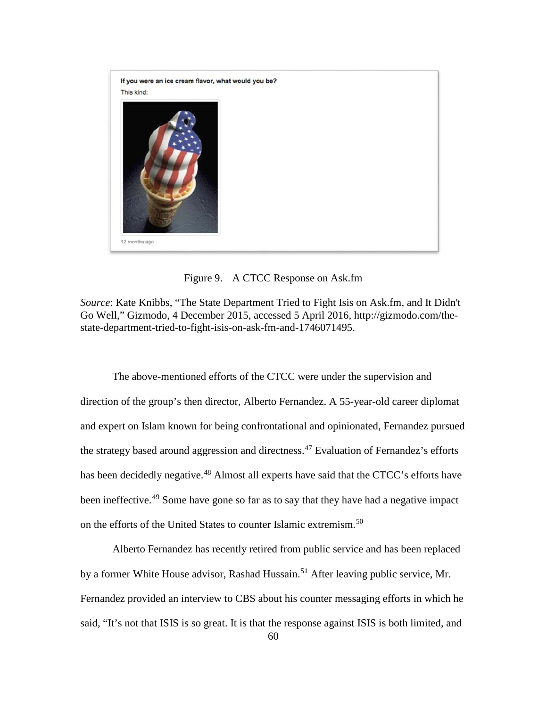

Figure 9. A CTCC Response on Ask.fm

*Source*: Kate Knibbs, "The State Department Tried to Fight Isis on Ask.fm, and It Didn't Go Well," Gizmodo, 4 December 2015, accessed 5 April 2016, http://gizmodo.com/thestate-department-tried-to-fight-isis-on-ask-fm-and-1746071495.

The above-mentioned efforts of the CTCC were under the supervision and direction of the group's then director, Alberto Fernandez. A 55-year-old career diplomat and expert on Islam known for being confrontational and opinionated, Fernandez pursued the strategy based around aggression and directness. $47$  Evaluation of Fernandez's efforts has been decidedly negative.<sup>[48](#page-105-42)</sup> Almost all experts have said that the CTCC's efforts have been ineffective.<sup>[49](#page-105-43)</sup> Some have gone so far as to say that they have had a negative impact on the efforts of the United States to counter Islamic extremism.<sup>[50](#page-105-44)</sup>

Alberto Fernandez has recently retired from public service and has been replaced by a former White House advisor, Rashad Hussain.<sup>[51](#page-105-45)</sup> After leaving public service, Mr. Fernandez provided an interview to CBS about his counter messaging efforts in which he said, "It's not that ISIS is so great. It is that the response against ISIS is both limited, and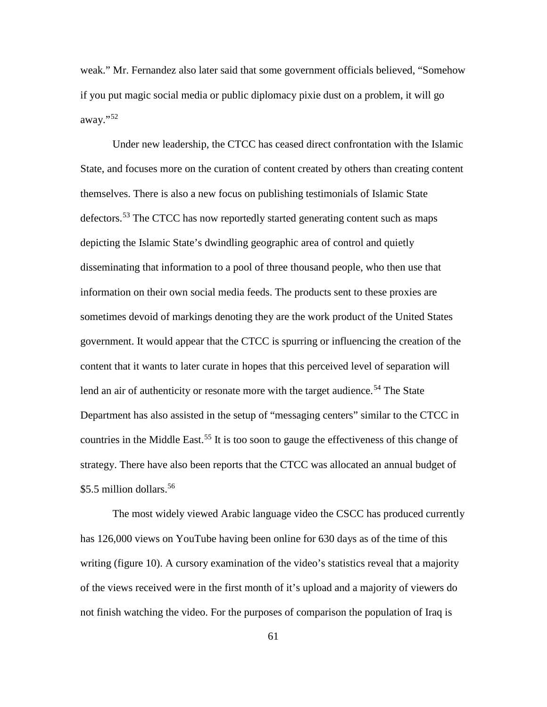weak." Mr. Fernandez also later said that some government officials believed, "Somehow if you put magic social media or public diplomacy pixie dust on a problem, it will go away."[52](#page-105-46)

Under new leadership, the CTCC has ceased direct confrontation with the Islamic State, and focuses more on the curation of content created by others than creating content themselves. There is also a new focus on publishing testimonials of Islamic State defectors.<sup>[53](#page-105-47)</sup> The CTCC has now reportedly started generating content such as maps depicting the Islamic State's dwindling geographic area of control and quietly disseminating that information to a pool of three thousand people, who then use that information on their own social media feeds. The products sent to these proxies are sometimes devoid of markings denoting they are the work product of the United States government. It would appear that the CTCC is spurring or influencing the creation of the content that it wants to later curate in hopes that this perceived level of separation will lend an air of authenticity or resonate more with the target audience.<sup>[54](#page-105-18)</sup> The State Department has also assisted in the setup of "messaging centers" similar to the CTCC in countries in the Middle East.<sup>[55](#page-105-26)</sup> It is too soon to gauge the effectiveness of this change of strategy. There have also been reports that the CTCC was allocated an annual budget of \$5.5 million dollars.<sup>[56](#page-105-48)</sup>

The most widely viewed Arabic language video the CSCC has produced currently has 126,000 views on YouTube having been online for 630 days as of the time of this writing (figure 10). A cursory examination of the video's statistics reveal that a majority of the views received were in the first month of it's upload and a majority of viewers do not finish watching the video. For the purposes of comparison the population of Iraq is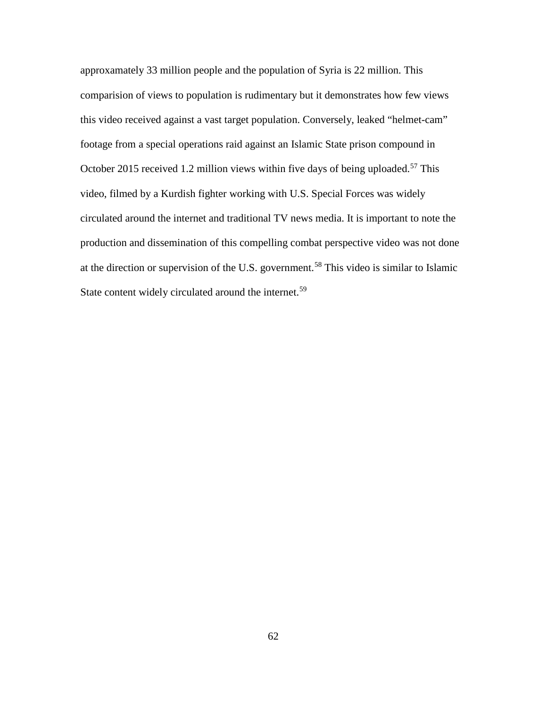approxamately 33 million people and the population of Syria is 22 million. This comparision of views to population is rudimentary but it demonstrates how few views this video received against a vast target population. Conversely, leaked "helmet-cam" footage from a special operations raid against an Islamic State prison compound in October 2015 received 1.2 million views within five days of being uploaded.<sup>[57](#page-105-49)</sup> This video, filmed by a Kurdish fighter working with U.S. Special Forces was widely circulated around the internet and traditional TV news media. It is important to note the production and dissemination of this compelling combat perspective video was not done at the direction or supervision of the U.S. government.[58](#page-105-50) This video is similar to Islamic State content widely circulated around the internet.<sup>[59](#page-105-29)</sup>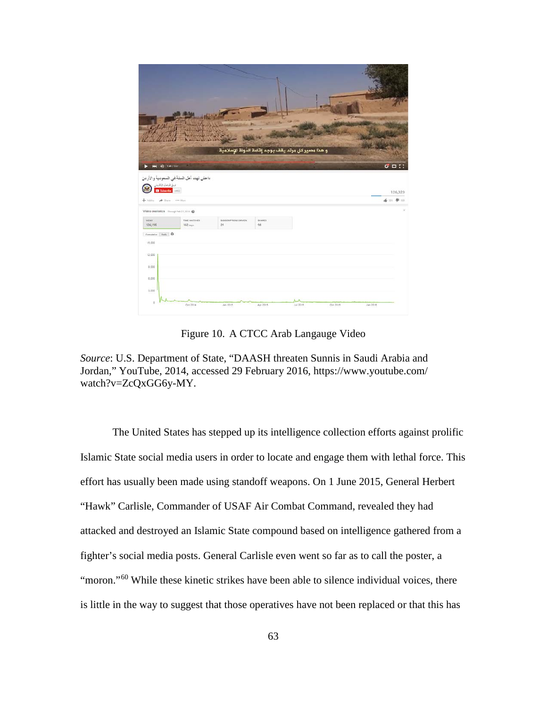|                                                                                           |                                         |                      |               | و هذا مصير كل مرتد يقف بوجه إقامة الدّولة الإسلاميّة |          |          |                   |
|-------------------------------------------------------------------------------------------|-----------------------------------------|----------------------|---------------|------------------------------------------------------|----------|----------|-------------------|
| $\ddot{0}$ unrear<br>m.                                                                   |                                         |                      |               |                                                      |          |          | $\sigma = \cdots$ |
|                                                                                           |                                         |                      |               |                                                      |          |          |                   |
| $\frac{\sin 2\theta \, \cos \theta \, \sin \theta}{\Box \, \, \mathrm{Subcrete}} = 0.911$ | داعش تهدد أهل السنة في السعودية والأردن |                      |               |                                                      |          |          |                   |
|                                                                                           |                                         |                      |               |                                                      |          |          | 126,323           |
| Add to:                                                                                   | A Share AAA More                        |                      |               |                                                      |          |          | 峰 11: 伊 11:       |
| Video statistics Though Feb 27, 2016 @<br><b>VIOLS</b>                                    | TIME WATCHED                            | SUSSCRIPTIONS DRIVEN | <b>SHARES</b> |                                                      |          |          |                   |
| 126,195                                                                                   | 162 days                                | 29                   | 98            |                                                      |          |          |                   |
| Cumulative Daily O<br>15,000                                                              |                                         |                      |               |                                                      |          |          |                   |
| 12,000                                                                                    |                                         |                      |               |                                                      |          |          |                   |
| 0.000                                                                                     |                                         |                      |               |                                                      |          |          |                   |
| 6,000                                                                                     |                                         |                      |               |                                                      |          |          |                   |
| 3,000                                                                                     |                                         |                      |               |                                                      |          |          |                   |
| ö                                                                                         |                                         |                      |               |                                                      |          |          |                   |
|                                                                                           | Oct 2014                                | Jan 2015             | Apr 2015      | Jul 2015                                             | Oct 2015 | Jan 2018 |                   |

Figure 10. A CTCC Arab Langauge Video

*Source*: U.S. Department of State, "DAASH threaten Sunnis in Saudi Arabia and Jordan," YouTube, 2014, accessed 29 February 2016, https://www.youtube.com/ watch?v=ZcQxGG6y-MY.

The United States has stepped up its intelligence collection efforts against prolific Islamic State social media users in order to locate and engage them with lethal force. This effort has usually been made using standoff weapons. On 1 June 2015, General Herbert "Hawk" Carlisle, Commander of USAF Air Combat Command, revealed they had attacked and destroyed an Islamic State compound based on intelligence gathered from a fighter's social media posts. General Carlisle even went so far as to call the poster, a "moron."<sup>[60](#page-105-51)</sup> While these kinetic strikes have been able to silence individual voices, there is little in the way to suggest that those operatives have not been replaced or that this has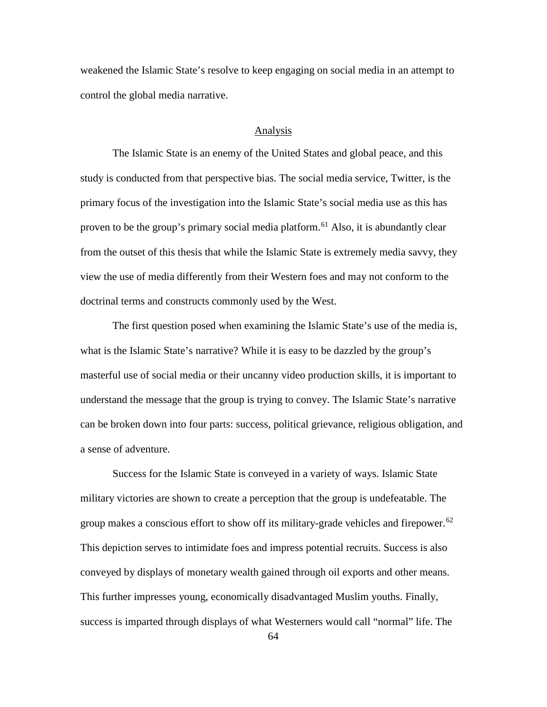weakened the Islamic State's resolve to keep engaging on social media in an attempt to control the global media narrative.

#### Analysis

The Islamic State is an enemy of the United States and global peace, and this study is conducted from that perspective bias. The social media service, Twitter, is the primary focus of the investigation into the Islamic State's social media use as this has proven to be the group's primary social media platform.<sup>[61](#page-105-23)</sup> Also, it is abundantly clear from the outset of this thesis that while the Islamic State is extremely media savvy, they view the use of media differently from their Western foes and may not conform to the doctrinal terms and constructs commonly used by the West.

The first question posed when examining the Islamic State's use of the media is, what is the Islamic State's narrative? While it is easy to be dazzled by the group's masterful use of social media or their uncanny video production skills, it is important to understand the message that the group is trying to convey. The Islamic State's narrative can be broken down into four parts: success, political grievance, religious obligation, and a sense of adventure.

Success for the Islamic State is conveyed in a variety of ways. Islamic State military victories are shown to create a perception that the group is undefeatable. The group makes a conscious effort to show off its military-grade vehicles and firepower.<sup>[62](#page-105-52)</sup> This depiction serves to intimidate foes and impress potential recruits. Success is also conveyed by displays of monetary wealth gained through oil exports and other means. This further impresses young, economically disadvantaged Muslim youths. Finally, success is imparted through displays of what Westerners would call "normal" life. The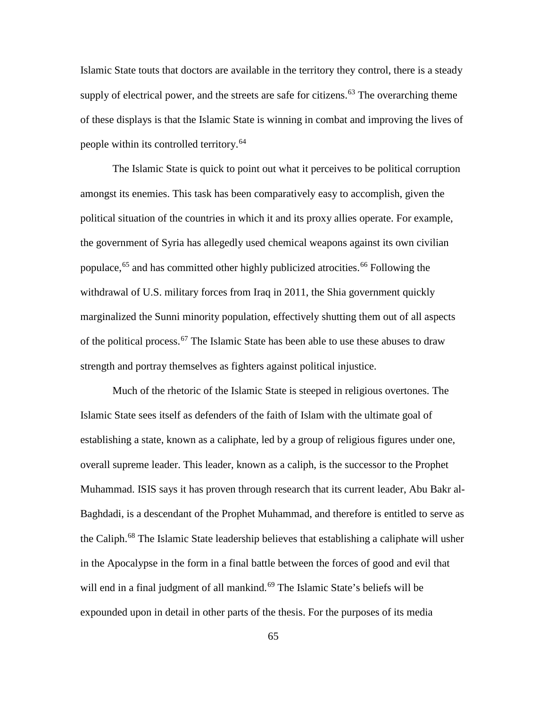Islamic State touts that doctors are available in the territory they control, there is a steady supply of electrical power, and the streets are safe for citizens.<sup>[63](#page-105-0)</sup> The overarching theme of these displays is that the Islamic State is winning in combat and improving the lives of people within its controlled territory.<sup>[64](#page-105-1)</sup>

The Islamic State is quick to point out what it perceives to be political corruption amongst its enemies. This task has been comparatively easy to accomplish, given the political situation of the countries in which it and its proxy allies operate. For example, the government of Syria has allegedly used chemical weapons against its own civilian populace,<sup>[65](#page-105-2)</sup> and has committed other highly publicized atrocities.<sup>[66](#page-105-3)</sup> Following the withdrawal of U.S. military forces from Iraq in 2011, the Shia government quickly marginalized the Sunni minority population, effectively shutting them out of all aspects of the political process.<sup>[67](#page-105-4)</sup> The Islamic State has been able to use these abuses to draw strength and portray themselves as fighters against political injustice.

Much of the rhetoric of the Islamic State is steeped in religious overtones. The Islamic State sees itself as defenders of the faith of Islam with the ultimate goal of establishing a state, known as a caliphate, led by a group of religious figures under one, overall supreme leader. This leader, known as a caliph, is the successor to the Prophet Muhammad. ISIS says it has proven through research that its current leader, Abu Bakr al-Baghdadi, is a descendant of the Prophet Muhammad, and therefore is entitled to serve as the Caliph.<sup>[68](#page-105-5)</sup> The Islamic State leadership believes that establishing a caliphate will usher in the Apocalypse in the form in a final battle between the forces of good and evil that will end in a final judgment of all mankind.<sup>[69](#page-105-6)</sup> The Islamic State's beliefs will be expounded upon in detail in other parts of the thesis. For the purposes of its media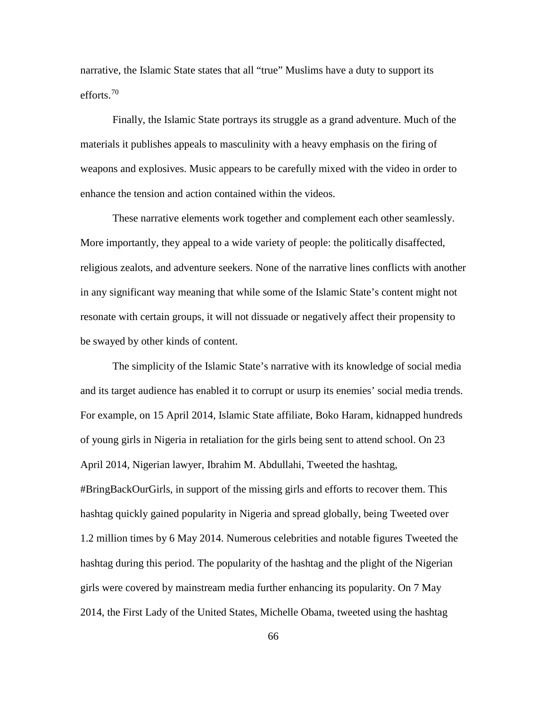narrative, the Islamic State states that all "true" Muslims have a duty to support its efforts.[70](#page-105-7)

Finally, the Islamic State portrays its struggle as a grand adventure. Much of the materials it publishes appeals to masculinity with a heavy emphasis on the firing of weapons and explosives. Music appears to be carefully mixed with the video in order to enhance the tension and action contained within the videos.

These narrative elements work together and complement each other seamlessly. More importantly, they appeal to a wide variety of people: the politically disaffected, religious zealots, and adventure seekers. None of the narrative lines conflicts with another in any significant way meaning that while some of the Islamic State's content might not resonate with certain groups, it will not dissuade or negatively affect their propensity to be swayed by other kinds of content.

The simplicity of the Islamic State's narrative with its knowledge of social media and its target audience has enabled it to corrupt or usurp its enemies' social media trends. For example, on 15 April 2014, Islamic State affiliate, Boko Haram, kidnapped hundreds of young girls in Nigeria in retaliation for the girls being sent to attend school. On 23 April 2014, Nigerian lawyer, Ibrahim M. Abdullahi, Tweeted the hashtag, #BringBackOurGirls, in support of the missing girls and efforts to recover them. This hashtag quickly gained popularity in Nigeria and spread globally, being Tweeted over 1.2 million times by 6 May 2014. Numerous celebrities and notable figures Tweeted the hashtag during this period. The popularity of the hashtag and the plight of the Nigerian girls were covered by mainstream media further enhancing its popularity. On 7 May 2014, the First Lady of the United States, Michelle Obama, tweeted using the hashtag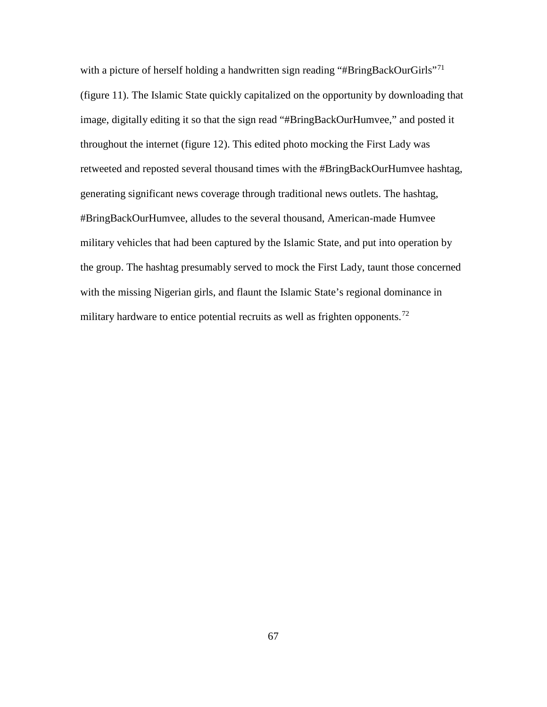with a picture of herself holding a handwritten sign reading "#BringBackOurGirls"<sup>[71](#page-105-8)</sup> (figure 11). The Islamic State quickly capitalized on the opportunity by downloading that image, digitally editing it so that the sign read "#BringBackOurHumvee," and posted it throughout the internet (figure 12). This edited photo mocking the First Lady was retweeted and reposted several thousand times with the #BringBackOurHumvee hashtag, generating significant news coverage through traditional news outlets. The hashtag, #BringBackOurHumvee, alludes to the several thousand, American-made Humvee military vehicles that had been captured by the Islamic State, and put into operation by the group. The hashtag presumably served to mock the First Lady, taunt those concerned with the missing Nigerian girls, and flaunt the Islamic State's regional dominance in military hardware to entice potential recruits as well as frighten opponents.<sup>[72](#page-105-9)</sup>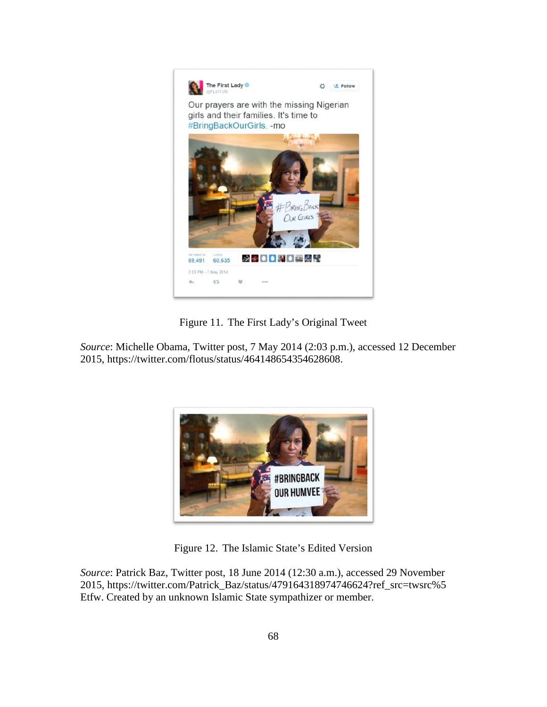

Figure 11. The First Lady's Original Tweet

*Source*: Michelle Obama, Twitter post, 7 May 2014 (2:03 p.m.), accessed 12 December 2015, https://twitter.com/flotus/status/464148654354628608.



Figure 12. The Islamic State's Edited Version

*Source*: Patrick Baz, Twitter post, 18 June 2014 (12:30 a.m.), accessed 29 November 2015, https://twitter.com/Patrick\_Baz/status/479164318974746624?ref\_src=twsrc%5 Etfw. Created by an unknown Islamic State sympathizer or member.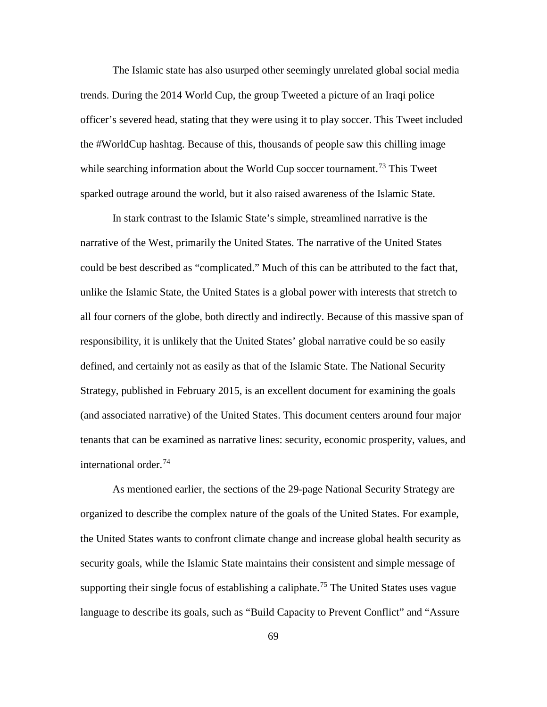The Islamic state has also usurped other seemingly unrelated global social media trends. During the 2014 World Cup, the group Tweeted a picture of an Iraqi police officer's severed head, stating that they were using it to play soccer. This Tweet included the #WorldCup hashtag. Because of this, thousands of people saw this chilling image while searching information about the World Cup soccer tournament.<sup>[73](#page-105-10)</sup> This Tweet sparked outrage around the world, but it also raised awareness of the Islamic State.

In stark contrast to the Islamic State's simple, streamlined narrative is the narrative of the West, primarily the United States. The narrative of the United States could be best described as "complicated." Much of this can be attributed to the fact that, unlike the Islamic State, the United States is a global power with interests that stretch to all four corners of the globe, both directly and indirectly. Because of this massive span of responsibility, it is unlikely that the United States' global narrative could be so easily defined, and certainly not as easily as that of the Islamic State. The National Security Strategy, published in February 2015, is an excellent document for examining the goals (and associated narrative) of the United States. This document centers around four major tenants that can be examined as narrative lines: security, economic prosperity, values, and international order.<sup>[74](#page-105-11)</sup>

As mentioned earlier, the sections of the 29-page National Security Strategy are organized to describe the complex nature of the goals of the United States. For example, the United States wants to confront climate change and increase global health security as security goals, while the Islamic State maintains their consistent and simple message of supporting their single focus of establishing a caliphate.<sup>[75](#page-105-2)</sup> The United States uses vague language to describe its goals, such as "Build Capacity to Prevent Conflict" and "Assure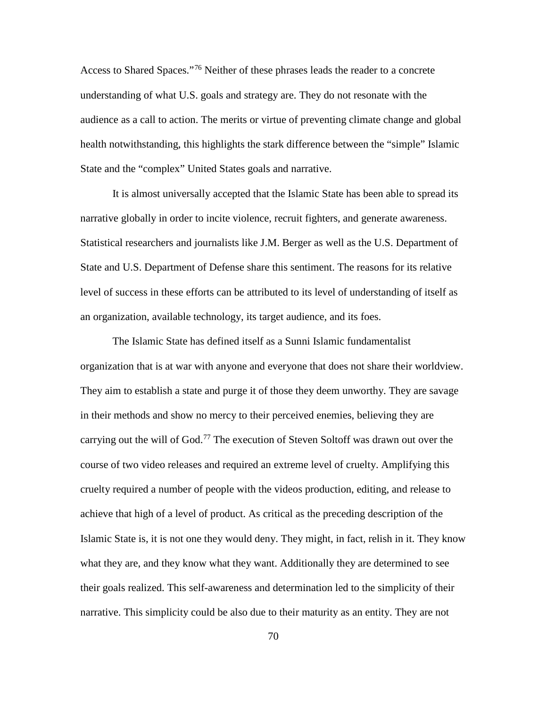Access to Shared Spaces."<sup>[76](#page-105-12)</sup> Neither of these phrases leads the reader to a concrete understanding of what U.S. goals and strategy are. They do not resonate with the audience as a call to action. The merits or virtue of preventing climate change and global health notwithstanding, this highlights the stark difference between the "simple" Islamic State and the "complex" United States goals and narrative.

It is almost universally accepted that the Islamic State has been able to spread its narrative globally in order to incite violence, recruit fighters, and generate awareness. Statistical researchers and journalists like J.M. Berger as well as the U.S. Department of State and U.S. Department of Defense share this sentiment. The reasons for its relative level of success in these efforts can be attributed to its level of understanding of itself as an organization, available technology, its target audience, and its foes.

The Islamic State has defined itself as a Sunni Islamic fundamentalist organization that is at war with anyone and everyone that does not share their worldview. They aim to establish a state and purge it of those they deem unworthy. They are savage in their methods and show no mercy to their perceived enemies, believing they are carrying out the will of God.<sup>[77](#page-105-13)</sup> The execution of Steven Soltoff was drawn out over the course of two video releases and required an extreme level of cruelty. Amplifying this cruelty required a number of people with the videos production, editing, and release to achieve that high of a level of product. As critical as the preceding description of the Islamic State is, it is not one they would deny. They might, in fact, relish in it. They know what they are, and they know what they want. Additionally they are determined to see their goals realized. This self-awareness and determination led to the simplicity of their narrative. This simplicity could be also due to their maturity as an entity. They are not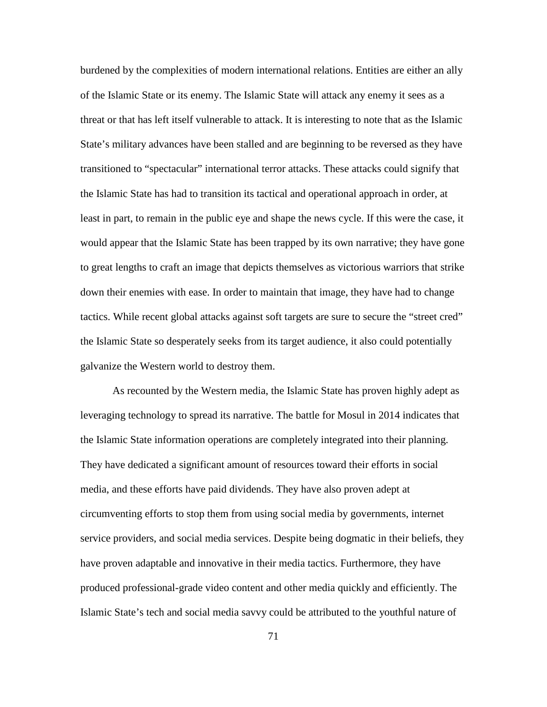burdened by the complexities of modern international relations. Entities are either an ally of the Islamic State or its enemy. The Islamic State will attack any enemy it sees as a threat or that has left itself vulnerable to attack. It is interesting to note that as the Islamic State's military advances have been stalled and are beginning to be reversed as they have transitioned to "spectacular" international terror attacks. These attacks could signify that the Islamic State has had to transition its tactical and operational approach in order, at least in part, to remain in the public eye and shape the news cycle. If this were the case, it would appear that the Islamic State has been trapped by its own narrative; they have gone to great lengths to craft an image that depicts themselves as victorious warriors that strike down their enemies with ease. In order to maintain that image, they have had to change tactics. While recent global attacks against soft targets are sure to secure the "street cred" the Islamic State so desperately seeks from its target audience, it also could potentially galvanize the Western world to destroy them.

As recounted by the Western media, the Islamic State has proven highly adept as leveraging technology to spread its narrative. The battle for Mosul in 2014 indicates that the Islamic State information operations are completely integrated into their planning. They have dedicated a significant amount of resources toward their efforts in social media, and these efforts have paid dividends. They have also proven adept at circumventing efforts to stop them from using social media by governments, internet service providers, and social media services. Despite being dogmatic in their beliefs, they have proven adaptable and innovative in their media tactics. Furthermore, they have produced professional-grade video content and other media quickly and efficiently. The Islamic State's tech and social media savvy could be attributed to the youthful nature of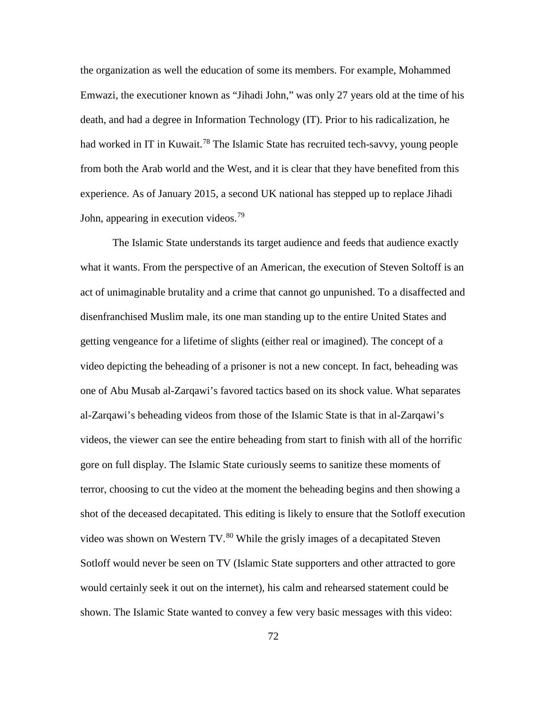the organization as well the education of some its members. For example, Mohammed Emwazi, the executioner known as "Jihadi John," was only 27 years old at the time of his death, and had a degree in Information Technology (IT). Prior to his radicalization, he had worked in IT in Kuwait.<sup>[78](#page-105-14)</sup> The Islamic State has recruited tech-savvy, young people from both the Arab world and the West, and it is clear that they have benefited from this experience. As of January 2015, a second UK national has stepped up to replace Jihadi John, appearing in execution videos.<sup>[79](#page-105-15)</sup>

The Islamic State understands its target audience and feeds that audience exactly what it wants. From the perspective of an American, the execution of Steven Soltoff is an act of unimaginable brutality and a crime that cannot go unpunished. To a disaffected and disenfranchised Muslim male, its one man standing up to the entire United States and getting vengeance for a lifetime of slights (either real or imagined). The concept of a video depicting the beheading of a prisoner is not a new concept. In fact, beheading was one of Abu Musab al-Zarqawi's favored tactics based on its shock value. What separates al-Zarqawi's beheading videos from those of the Islamic State is that in al-Zarqawi's videos, the viewer can see the entire beheading from start to finish with all of the horrific gore on full display. The Islamic State curiously seems to sanitize these moments of terror, choosing to cut the video at the moment the beheading begins and then showing a shot of the deceased decapitated. This editing is likely to ensure that the Sotloff execution video was shown on Western  $TV<sup>80</sup>$  $TV<sup>80</sup>$  $TV<sup>80</sup>$  While the grisly images of a decapitated Steven Sotloff would never be seen on TV (Islamic State supporters and other attracted to gore would certainly seek it out on the internet), his calm and rehearsed statement could be shown. The Islamic State wanted to convey a few very basic messages with this video: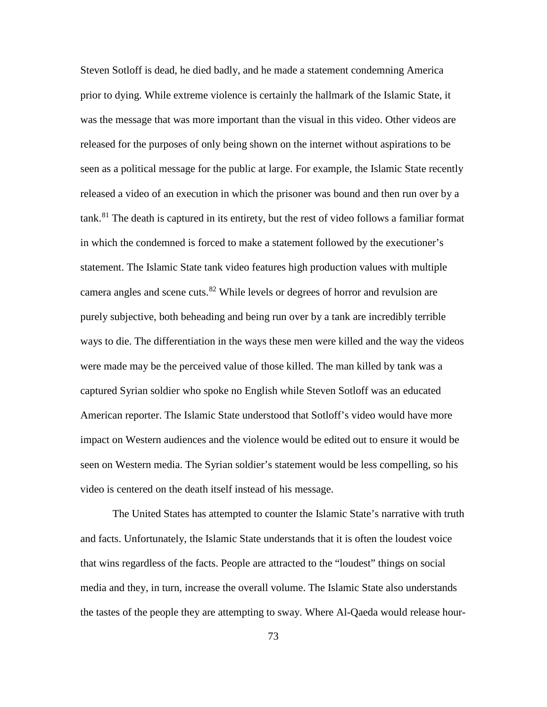Steven Sotloff is dead, he died badly, and he made a statement condemning America prior to dying. While extreme violence is certainly the hallmark of the Islamic State, it was the message that was more important than the visual in this video. Other videos are released for the purposes of only being shown on the internet without aspirations to be seen as a political message for the public at large. For example, the Islamic State recently released a video of an execution in which the prisoner was bound and then run over by a tank.[81](#page-105-17) The death is captured in its entirety, but the rest of video follows a familiar format in which the condemned is forced to make a statement followed by the executioner's statement. The Islamic State tank video features high production values with multiple camera angles and scene cuts.<sup>[82](#page-105-18)</sup> While levels or degrees of horror and revulsion are purely subjective, both beheading and being run over by a tank are incredibly terrible ways to die. The differentiation in the ways these men were killed and the way the videos were made may be the perceived value of those killed. The man killed by tank was a captured Syrian soldier who spoke no English while Steven Sotloff was an educated American reporter. The Islamic State understood that Sotloff's video would have more impact on Western audiences and the violence would be edited out to ensure it would be seen on Western media. The Syrian soldier's statement would be less compelling, so his video is centered on the death itself instead of his message.

The United States has attempted to counter the Islamic State's narrative with truth and facts. Unfortunately, the Islamic State understands that it is often the loudest voice that wins regardless of the facts. People are attracted to the "loudest" things on social media and they, in turn, increase the overall volume. The Islamic State also understands the tastes of the people they are attempting to sway. Where Al-Qaeda would release hour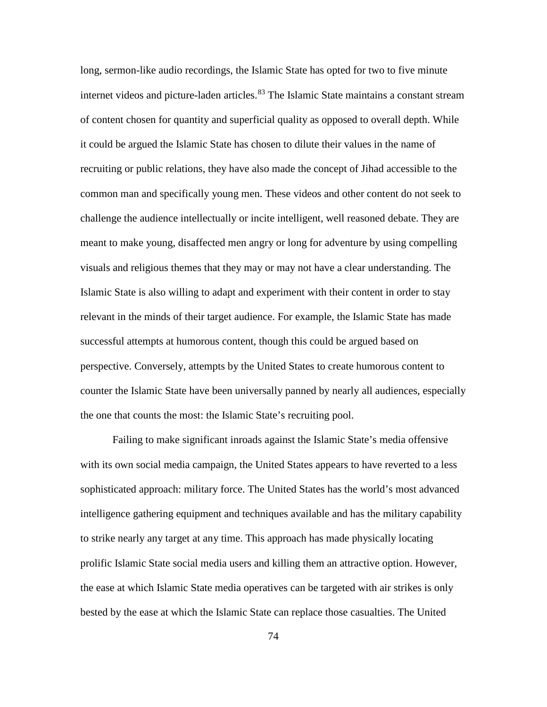long, sermon-like audio recordings, the Islamic State has opted for two to five minute internet videos and picture-laden articles.<sup>[83](#page-105-19)</sup> The Islamic State maintains a constant stream of content chosen for quantity and superficial quality as opposed to overall depth. While it could be argued the Islamic State has chosen to dilute their values in the name of recruiting or public relations, they have also made the concept of Jihad accessible to the common man and specifically young men. These videos and other content do not seek to challenge the audience intellectually or incite intelligent, well reasoned debate. They are meant to make young, disaffected men angry or long for adventure by using compelling visuals and religious themes that they may or may not have a clear understanding. The Islamic State is also willing to adapt and experiment with their content in order to stay relevant in the minds of their target audience. For example, the Islamic State has made successful attempts at humorous content, though this could be argued based on perspective. Conversely, attempts by the United States to create humorous content to counter the Islamic State have been universally panned by nearly all audiences, especially the one that counts the most: the Islamic State's recruiting pool.

Failing to make significant inroads against the Islamic State's media offensive with its own social media campaign, the United States appears to have reverted to a less sophisticated approach: military force. The United States has the world's most advanced intelligence gathering equipment and techniques available and has the military capability to strike nearly any target at any time. This approach has made physically locating prolific Islamic State social media users and killing them an attractive option. However, the ease at which Islamic State media operatives can be targeted with air strikes is only bested by the ease at which the Islamic State can replace those casualties. The United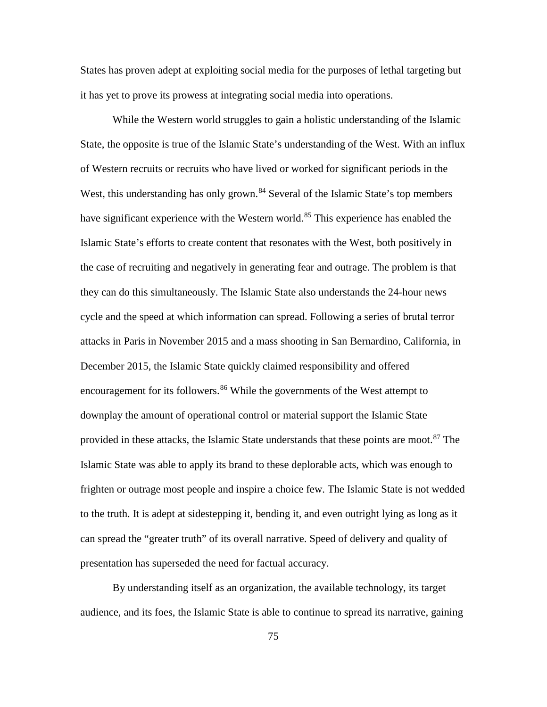States has proven adept at exploiting social media for the purposes of lethal targeting but it has yet to prove its prowess at integrating social media into operations.

While the Western world struggles to gain a holistic understanding of the Islamic State, the opposite is true of the Islamic State's understanding of the West. With an influx of Western recruits or recruits who have lived or worked for significant periods in the West, this understanding has only grown.<sup>[84](#page-105-20)</sup> Several of the Islamic State's top members have significant experience with the Western world.<sup>[85](#page-105-21)</sup> This experience has enabled the Islamic State's efforts to create content that resonates with the West, both positively in the case of recruiting and negatively in generating fear and outrage. The problem is that they can do this simultaneously. The Islamic State also understands the 24-hour news cycle and the speed at which information can spread. Following a series of brutal terror attacks in Paris in November 2015 and a mass shooting in San Bernardino, California, in December 2015, the Islamic State quickly claimed responsibility and offered encouragement for its followers.<sup>[86](#page-105-22)</sup> While the governments of the West attempt to downplay the amount of operational control or material support the Islamic State provided in these attacks, the Islamic State understands that these points are moot. [87](#page-105-2) The Islamic State was able to apply its brand to these deplorable acts, which was enough to frighten or outrage most people and inspire a choice few. The Islamic State is not wedded to the truth. It is adept at sidestepping it, bending it, and even outright lying as long as it can spread the "greater truth" of its overall narrative. Speed of delivery and quality of presentation has superseded the need for factual accuracy.

By understanding itself as an organization, the available technology, its target audience, and its foes, the Islamic State is able to continue to spread its narrative, gaining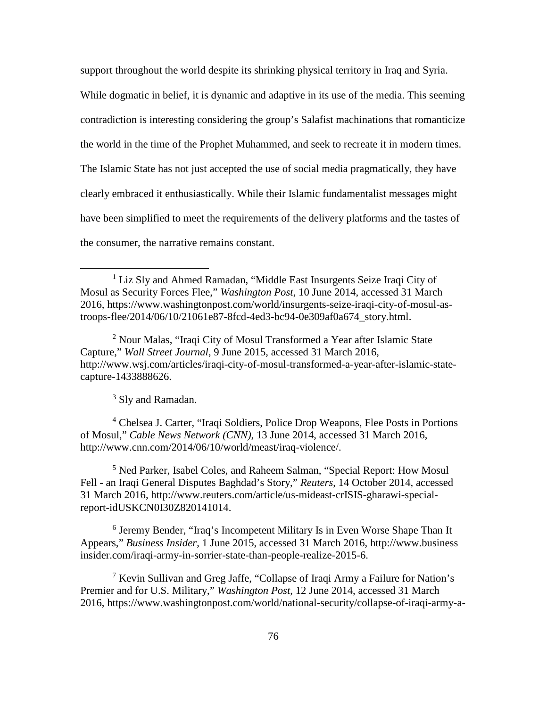support throughout the world despite its shrinking physical territory in Iraq and Syria.

While dogmatic in belief, it is dynamic and adaptive in its use of the media. This seeming contradiction is interesting considering the group's Salafist machinations that romanticize the world in the time of the Prophet Muhammed, and seek to recreate it in modern times. The Islamic State has not just accepted the use of social media pragmatically, they have clearly embraced it enthusiastically. While their Islamic fundamentalist messages might have been simplified to meet the requirements of the delivery platforms and the tastes of the consumer, the narrative remains constant.

<sup>2</sup> Nour Malas, "Iraqi City of Mosul Transformed a Year after Islamic State Capture," *Wall Street Journal*, 9 June 2015, accessed 31 March 2016, http://www.wsj.com/articles/iraqi-city-of-mosul-transformed-a-year-after-islamic-statecapture-1433888626.

<sup>3</sup> Sly and Ramadan.

 $\overline{a}$ 

<sup>4</sup> Chelsea J. Carter, "Iraqi Soldiers, Police Drop Weapons, Flee Posts in Portions of Mosul," *Cable News Network (CNN)*, 13 June 2014, accessed 31 March 2016, http://www.cnn.com/2014/06/10/world/meast/iraq-violence/.

<sup>5</sup> Ned Parker, Isabel Coles, and Raheem Salman, "Special Report: How Mosul Fell - an Iraqi General Disputes Baghdad's Story," *Reuters*, 14 October 2014, accessed 31 March 2016, http://www.reuters.com/article/us-mideast-crISIS-gharawi-specialreport-idUSKCN0I30Z820141014.

<sup>6</sup> Jeremy Bender, "Iraq's Incompetent Military Is in Even Worse Shape Than It Appears," *Business Insider*, 1 June 2015, accessed 31 March 2016, http://www.business insider.com/iraqi-army-in-sorrier-state-than-people-realize-2015-6.

<sup>7</sup> Kevin Sullivan and Greg Jaffe, "Collapse of Iraqi Army a Failure for Nation's Premier and for U.S. Military," *Washington Post*, 12 June 2014, accessed 31 March 2016, https://www.washingtonpost.com/world/national-security/collapse-of-iraqi-army-a-

<sup>&</sup>lt;sup>1</sup> Liz Sly and Ahmed Ramadan, "Middle East Insurgents Seize Iraqi City of Mosul as Security Forces Flee," *Washington Post*, 10 June 2014, accessed 31 March 2016, https://www.washingtonpost.com/world/insurgents-seize-iraqi-city-of-mosul-astroops-flee/2014/06/10/21061e87-8fcd-4ed3-bc94-0e309af0a674\_story.html.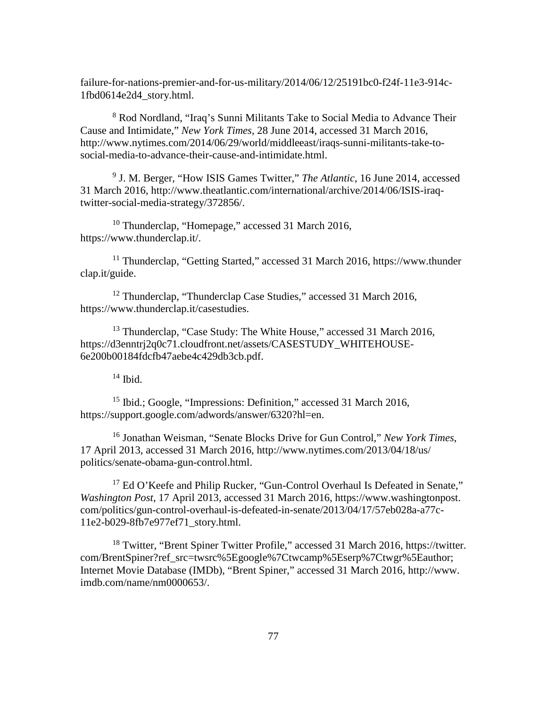failure-for-nations-premier-and-for-us-military/2014/06/12/25191bc0-f24f-11e3-914c-1fbd0614e2d4\_story.html.

<sup>8</sup> Rod Nordland, "Iraq's Sunni Militants Take to Social Media to Advance Their Cause and Intimidate," *New York Times*, 28 June 2014, accessed 31 March 2016, http://www.nytimes.com/2014/06/29/world/middleeast/iraqs-sunni-militants-take-tosocial-media-to-advance-their-cause-and-intimidate.html.

<sup>9</sup> J. M. Berger, "How ISIS Games Twitter," *The Atlantic*, 16 June 2014, accessed 31 March 2016, http://www.theatlantic.com/international/archive/2014/06/ISIS-iraqtwitter-social-media-strategy/372856/.

<sup>10</sup> Thunderclap, "Homepage," accessed 31 March 2016, https://www.thunderclap.it/.

<sup>11</sup> Thunderclap, "Getting Started," accessed 31 March 2016, https://www.thunder clap.it/guide.

<sup>12</sup> Thunderclap, "Thunderclap Case Studies," accessed 31 March 2016, https://www.thunderclap.it/casestudies.

<sup>13</sup> Thunderclap, "Case Study: The White House," accessed 31 March 2016, https://d3enntrj2q0c71.cloudfront.net/assets/CASESTUDY\_WHITEHOUSE-6e200b00184fdcfb47aebe4c429db3cb.pdf.

 $14$  Ibid.

<sup>15</sup> Ibid.; Google, "Impressions: Definition," accessed 31 March 2016, https://support.google.com/adwords/answer/6320?hl=en.

<sup>16</sup> Jonathan Weisman, "Senate Blocks Drive for Gun Control," *New York Times*, 17 April 2013, accessed 31 March 2016, http://www.nytimes.com/2013/04/18/us/ politics/senate-obama-gun-control.html.

<sup>17</sup> Ed O'Keefe and Philip Rucker, "Gun-Control Overhaul Is Defeated in Senate," *Washington Post*, 17 April 2013, accessed 31 March 2016, https://www.washingtonpost. com/politics/gun-control-overhaul-is-defeated-in-senate/2013/04/17/57eb028a-a77c-11e2-b029-8fb7e977ef71\_story.html.

<sup>18</sup> Twitter, "Brent Spiner Twitter Profile," accessed 31 March 2016, https://twitter. com/BrentSpiner?ref\_src=twsrc%5Egoogle%7Ctwcamp%5Eserp%7Ctwgr%5Eauthor; Internet Movie Database (IMDb), "Brent Spiner," accessed 31 March 2016, http://www. imdb.com/name/nm0000653/.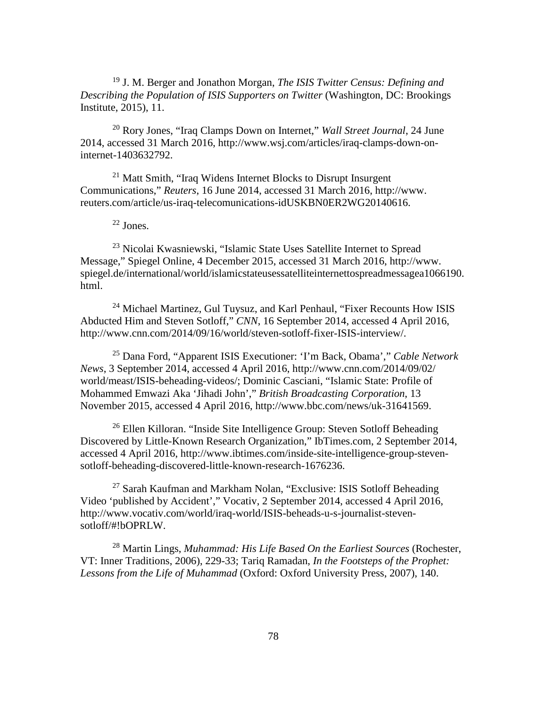<sup>19</sup> J. M. Berger and Jonathon Morgan, *The ISIS Twitter Census: Defining and Describing the Population of ISIS Supporters on Twitter* (Washington, DC: Brookings Institute, 2015), 11.

<sup>20</sup> Rory Jones, "Iraq Clamps Down on Internet," *Wall Street Journal*, 24 June 2014, accessed 31 March 2016, http://www.wsj.com/articles/iraq-clamps-down-oninternet-1403632792.

<sup>21</sup> Matt Smith, "Iraq Widens Internet Blocks to Disrupt Insurgent Communications," *Reuters*, 16 June 2014, accessed 31 March 2016, http://www. reuters.com/article/us-iraq-telecomunications-idUSKBN0ER2WG20140616.

<sup>22</sup> Jones.

<sup>23</sup> Nicolai Kwasniewski, "Islamic State Uses Satellite Internet to Spread Message," Spiegel Online, 4 December 2015, accessed 31 March 2016, http://www. spiegel.de/international/world/islamicstateusessatelliteinternettospreadmessagea1066190. html.

<sup>24</sup> Michael Martinez, Gul Tuysuz, and Karl Penhaul, "Fixer Recounts How ISIS" Abducted Him and Steven Sotloff," *CNN*, 16 September 2014, accessed 4 April 2016, http://www.cnn.com/2014/09/16/world/steven-sotloff-fixer-ISIS-interview/.

<sup>25</sup> Dana Ford, "Apparent ISIS Executioner: 'I'm Back, Obama'," *Cable Network News*, 3 September 2014, accessed 4 April 2016, http://www.cnn.com/2014/09/02/ world/meast/ISIS-beheading-videos/; Dominic Casciani, "Islamic State: Profile of Mohammed Emwazi Aka 'Jihadi John'," *British Broadcasting Corporation*, 13 November 2015, accessed 4 April 2016, http://www.bbc.com/news/uk-31641569.

<sup>26</sup> Ellen Killoran. "Inside Site Intelligence Group: Steven Sotloff Beheading Discovered by Little-Known Research Organization," IbTimes.com, 2 September 2014, accessed 4 April 2016, http://www.ibtimes.com/inside-site-intelligence-group-stevensotloff-beheading-discovered-little-known-research-1676236.

 $27$  Sarah Kaufman and Markham Nolan, "Exclusive: ISIS Sotloff Beheading Video 'published by Accident'," Vocativ, 2 September 2014, accessed 4 April 2016, http://www.vocativ.com/world/iraq-world/ISIS-beheads-u-s-journalist-stevensotloff/#!bOPRLW.

<sup>28</sup> Martin Lings, *Muhammad: His Life Based On the Earliest Sources* (Rochester, VT: Inner Traditions, 2006), 229-33; Tariq Ramadan, *In the Footsteps of the Prophet: Lessons from the Life of Muhammad* (Oxford: Oxford University Press, 2007), 140.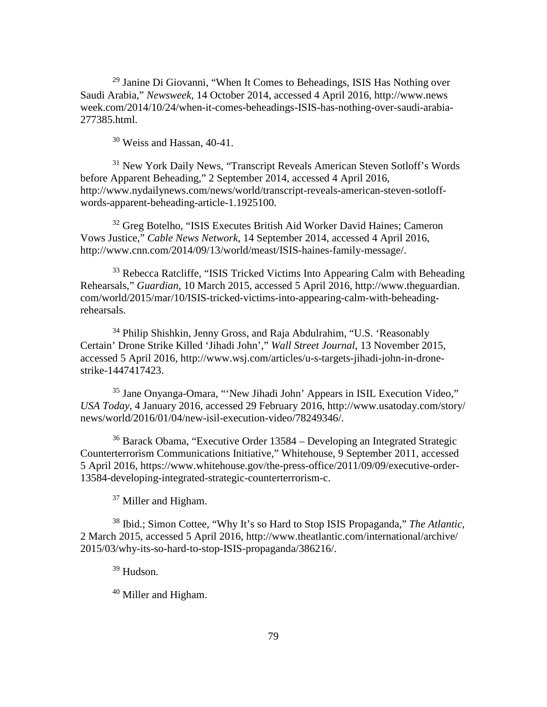$29$  Janine Di Giovanni, "When It Comes to Beheadings, ISIS Has Nothing over Saudi Arabia," *Newsweek*, 14 October 2014, accessed 4 April 2016, http://www.news week.com/2014/10/24/when-it-comes-beheadings-ISIS-has-nothing-over-saudi-arabia-277385.html.

<sup>30</sup> Weiss and Hassan, 40-41.

<sup>31</sup> New York Daily News, "Transcript Reveals American Steven Sotloff's Words before Apparent Beheading," 2 September 2014, accessed 4 April 2016, http://www.nydailynews.com/news/world/transcript-reveals-american-steven-sotloffwords-apparent-beheading-article-1.1925100.

<sup>32</sup> Greg Botelho, "ISIS Executes British Aid Worker David Haines; Cameron Vows Justice," *Cable News Network*, 14 September 2014, accessed 4 April 2016, http://www.cnn.com/2014/09/13/world/meast/ISIS-haines-family-message/.

<sup>33</sup> Rebecca Ratcliffe, "ISIS Tricked Victims Into Appearing Calm with Beheading Rehearsals," *Guardian*, 10 March 2015, accessed 5 April 2016, http://www.theguardian. com/world/2015/mar/10/ISIS-tricked-victims-into-appearing-calm-with-beheadingrehearsals.

<sup>34</sup> Philip Shishkin, Jenny Gross, and Raja Abdulrahim, "U.S. 'Reasonably Certain' Drone Strike Killed 'Jihadi John'," *Wall Street Journal*, 13 November 2015, accessed 5 April 2016, http://www.wsj.com/articles/u-s-targets-jihadi-john-in-dronestrike-1447417423.

<sup>35</sup> Jane Onyanga-Omara, "'New Jihadi John' Appears in ISIL Execution Video," *USA Today*, 4 January 2016, accessed 29 February 2016, http://www.usatoday.com/story/ news/world/2016/01/04/new-isil-execution-video/78249346/.

<sup>36</sup> Barack Obama, "Executive Order 13584 – Developing an Integrated Strategic Counterterrorism Communications Initiative," Whitehouse, 9 September 2011, accessed 5 April 2016, https://www.whitehouse.gov/the-press-office/2011/09/09/executive-order-13584-developing-integrated-strategic-counterterrorism-c.

<sup>37</sup> Miller and Higham.

<sup>38</sup> Ibid.; Simon Cottee, "Why It's so Hard to Stop ISIS Propaganda," *The Atlantic*, 2 March 2015, accessed 5 April 2016, http://www.theatlantic.com/international/archive/ 2015/03/why-its-so-hard-to-stop-ISIS-propaganda/386216/.

<sup>39</sup> Hudson.

<sup>40</sup> Miller and Higham.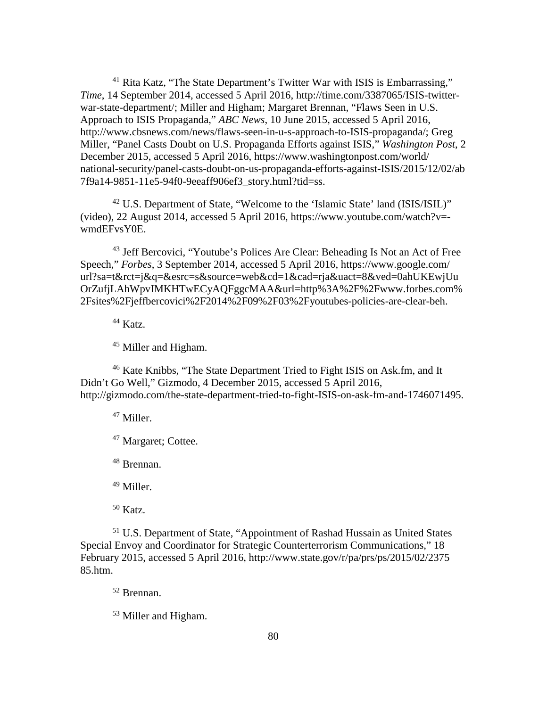<sup>41</sup> Rita Katz, "The State Department's Twitter War with ISIS is Embarrassing," *Time*, 14 September 2014, accessed 5 April 2016, http://time.com/3387065/ISIS-twitterwar-state-department/; Miller and Higham; Margaret Brennan, "Flaws Seen in U.S. Approach to ISIS Propaganda," *ABC News*, 10 June 2015, accessed 5 April 2016, http://www.cbsnews.com/news/flaws-seen-in-u-s-approach-to-ISIS-propaganda/; Greg Miller, "Panel Casts Doubt on U.S. Propaganda Efforts against ISIS," *Washington Post*, 2 December 2015, accessed 5 April 2016, https://www.washingtonpost.com/world/ national-security/panel-casts-doubt-on-us-propaganda-efforts-against-ISIS/2015/12/02/ab 7f9a14-9851-11e5-94f0-9eeaff906ef3\_story.html?tid=ss.

<sup>42</sup> U.S. Department of State, "Welcome to the 'Islamic State' land (ISIS/ISIL)" (video), 22 August 2014, accessed 5 April 2016, https://www.youtube.com/watch?v= wmdEFvsY0E.

<sup>43</sup> Jeff Bercovici, "Youtube's Polices Are Clear: Beheading Is Not an Act of Free Speech," *Forbes*, 3 September 2014, accessed 5 April 2016, https://www.google.com/ url?sa=t&rct=j&q=&esrc=s&source=web&cd=1&cad=rja&uact=8&ved=0ahUKEwjUu OrZufjLAhWpvIMKHTwECyAQFggcMAA&url=http%3A%2F%2Fwww.forbes.com% 2Fsites%2Fjeffbercovici%2F2014%2F09%2F03%2Fyoutubes-policies-are-clear-beh.

<sup>44</sup> Katz.

<sup>45</sup> Miller and Higham.

<sup>46</sup> Kate Knibbs, "The State Department Tried to Fight ISIS on Ask.fm, and It Didn't Go Well," Gizmodo, 4 December 2015, accessed 5 April 2016, http://gizmodo.com/the-state-department-tried-to-fight-ISIS-on-ask-fm-and-1746071495.

<sup>47</sup> Miller.

<sup>47</sup> Margaret; Cottee.

<sup>48</sup> Brennan.

<sup>49</sup> Miller.

<sup>50</sup> Katz.

<sup>51</sup> U.S. Department of State, "Appointment of Rashad Hussain as United States Special Envoy and Coordinator for Strategic Counterterrorism Communications," 18 February 2015, accessed 5 April 2016, http://www.state.gov/r/pa/prs/ps/2015/02/2375 85.htm.

<sup>52</sup> Brennan.

<sup>53</sup> Miller and Higham.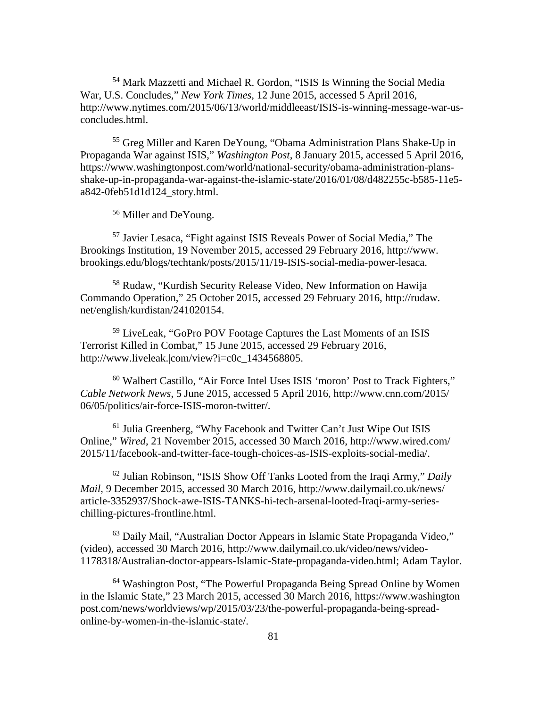<sup>54</sup> Mark Mazzetti and Michael R. Gordon, "ISIS Is Winning the Social Media War, U.S. Concludes," *New York Times*, 12 June 2015, accessed 5 April 2016, http://www.nytimes.com/2015/06/13/world/middleeast/ISIS-is-winning-message-war-usconcludes.html.

<sup>55</sup> Greg Miller and Karen DeYoung, "Obama Administration Plans Shake-Up in Propaganda War against ISIS," *Washington Post*, 8 January 2015, accessed 5 April 2016, https://www.washingtonpost.com/world/national-security/obama-administration-plansshake-up-in-propaganda-war-against-the-islamic-state/2016/01/08/d482255c-b585-11e5 a842-0feb51d1d124\_story.html.

<sup>56</sup> Miller and DeYoung.

<sup>57</sup> Javier Lesaca, "Fight against ISIS Reveals Power of Social Media," The Brookings Institution, 19 November 2015, accessed 29 February 2016, http://www. brookings.edu/blogs/techtank/posts/2015/11/19-ISIS-social-media-power-lesaca.

<sup>58</sup> Rudaw, "Kurdish Security Release Video, New Information on Hawija Commando Operation," 25 October 2015, accessed 29 February 2016, http://rudaw. net/english/kurdistan/241020154.

<sup>59</sup> LiveLeak, "GoPro POV Footage Captures the Last Moments of an ISIS Terrorist Killed in Combat," 15 June 2015, accessed 29 February 2016, http://www.liveleak.|com/view?i=c0c\_1434568805.

<sup>60</sup> Walbert Castillo, "Air Force Intel Uses ISIS 'moron' Post to Track Fighters," *Cable Network News*, 5 June 2015, accessed 5 April 2016, http://www.cnn.com/2015/ 06/05/politics/air-force-ISIS-moron-twitter/.

 $61$  Julia Greenberg, "Why Facebook and Twitter Can't Just Wipe Out ISIS Online," *Wired*, 21 November 2015, accessed 30 March 2016, http://www.wired.com/ 2015/11/facebook-and-twitter-face-tough-choices-as-ISIS-exploits-social-media/.

<sup>62</sup> Julian Robinson, "ISIS Show Off Tanks Looted from the Iraqi Army," *Daily Mail*, 9 December 2015, accessed 30 March 2016, http://www.dailymail.co.uk/news/ article-3352937/Shock-awe-ISIS-TANKS-hi-tech-arsenal-looted-Iraqi-army-serieschilling-pictures-frontline.html.

<sup>63</sup> Daily Mail, "Australian Doctor Appears in Islamic State Propaganda Video," (video), accessed 30 March 2016, http://www.dailymail.co.uk/video/news/video-1178318/Australian-doctor-appears-Islamic-State-propaganda-video.html; Adam Taylor.

<sup>64</sup> Washington Post, "The Powerful Propaganda Being Spread Online by Women in the Islamic State," 23 March 2015, accessed 30 March 2016, https://www.washington post.com/news/worldviews/wp/2015/03/23/the-powerful-propaganda-being-spreadonline-by-women-in-the-islamic-state/.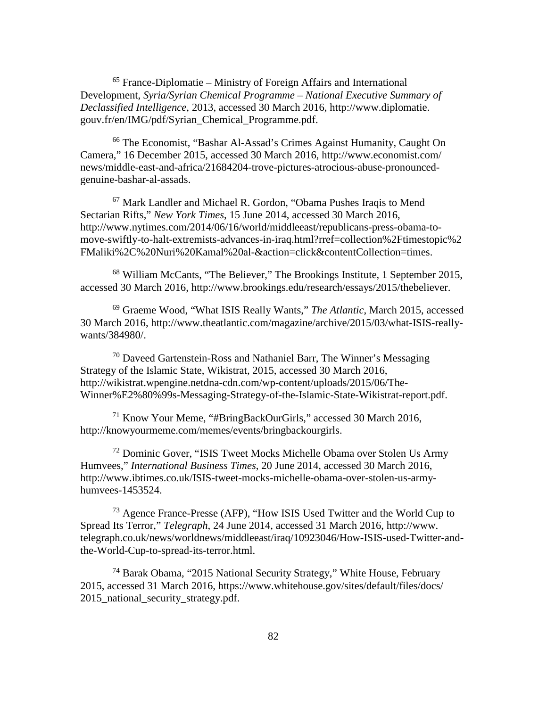$<sup>65</sup>$  France-Diplomatie – Ministry of Foreign Affairs and International</sup> Development, *Syria/Syrian Chemical Programme – National Executive Summary of Declassified Intelligence*, 2013, accessed 30 March 2016, http://www.diplomatie. gouv.fr/en/IMG/pdf/Syrian\_Chemical\_Programme.pdf.

<sup>66</sup> The Economist, "Bashar Al-Assad's Crimes Against Humanity, Caught On Camera," 16 December 2015, accessed 30 March 2016, http://www.economist.com/ news/middle-east-and-africa/21684204-trove-pictures-atrocious-abuse-pronouncedgenuine-bashar-al-assads.

<sup>67</sup> Mark Landler and Michael R. Gordon, "Obama Pushes Iraqis to Mend Sectarian Rifts," *New York Times*, 15 June 2014, accessed 30 March 2016, http://www.nytimes.com/2014/06/16/world/middleeast/republicans-press-obama-tomove-swiftly-to-halt-extremists-advances-in-iraq.html?rref=collection%2Ftimestopic%2 FMaliki%2C%20Nuri%20Kamal%20al-&action=click&contentCollection=times.

<sup>68</sup> William McCants, "The Believer," The Brookings Institute, 1 September 2015, accessed 30 March 2016, http://www.brookings.edu/research/essays/2015/thebeliever.

<sup>69</sup> Graeme Wood, "What ISIS Really Wants," *The Atlantic*, March 2015, accessed 30 March 2016, http://www.theatlantic.com/magazine/archive/2015/03/what-ISIS-reallywants/384980/.

 $70$  Daveed Gartenstein-Ross and Nathaniel Barr, The Winner's Messaging Strategy of the Islamic State, Wikistrat, 2015, accessed 30 March 2016, http://wikistrat.wpengine.netdna-cdn.com/wp-content/uploads/2015/06/The-Winner%E2%80%99s-Messaging-Strategy-of-the-Islamic-State-Wikistrat-report.pdf.

<sup>71</sup> Know Your Meme, "#BringBackOurGirls," accessed 30 March 2016, http://knowyourmeme.com/memes/events/bringbackourgirls.

<sup>72</sup> Dominic Gover, "ISIS Tweet Mocks Michelle Obama over Stolen Us Army Humvees," *International Business Times*, 20 June 2014, accessed 30 March 2016, http://www.ibtimes.co.uk/ISIS-tweet-mocks-michelle-obama-over-stolen-us-armyhumvees-1453524.

<sup>73</sup> Agence France-Presse (AFP), "How ISIS Used Twitter and the World Cup to Spread Its Terror," *Telegraph*, 24 June 2014, accessed 31 March 2016, http://www. telegraph.co.uk/news/worldnews/middleeast/iraq/10923046/How-ISIS-used-Twitter-andthe-World-Cup-to-spread-its-terror.html.

<sup>74</sup> Barak Obama, "2015 National Security Strategy," White House, February 2015, accessed 31 March 2016, https://www.whitehouse.gov/sites/default/files/docs/ 2015\_national\_security\_strategy.pdf.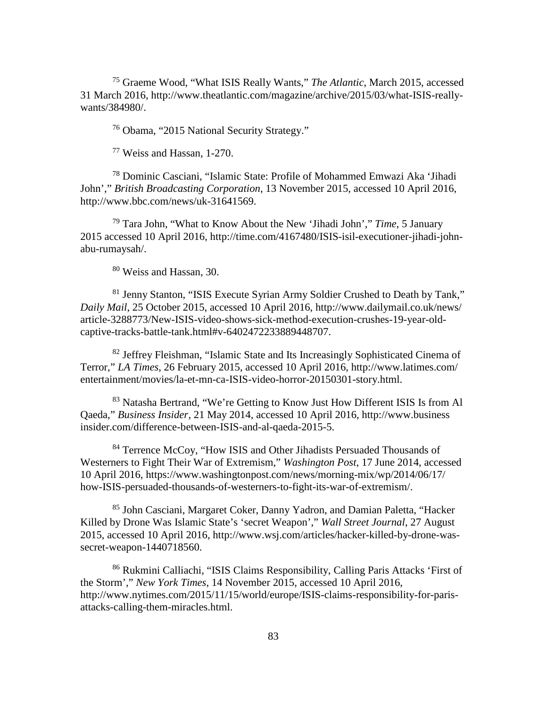<sup>75</sup> Graeme Wood, "What ISIS Really Wants," *The Atlantic*, March 2015, accessed 31 March 2016, http://www.theatlantic.com/magazine/archive/2015/03/what-ISIS-reallywants/384980/.

<sup>76</sup> Obama, "2015 National Security Strategy."

<sup>77</sup> Weiss and Hassan, 1-270.

<sup>78</sup> Dominic Casciani, "Islamic State: Profile of Mohammed Emwazi Aka 'Jihadi John'," *British Broadcasting Corporation*, 13 November 2015, accessed 10 April 2016, http://www.bbc.com/news/uk-31641569.

<sup>79</sup> Tara John, "What to Know About the New 'Jihadi John'," *Time*, 5 January 2015 accessed 10 April 2016, http://time.com/4167480/ISIS-isil-executioner-jihadi-johnabu-rumaysah/.

<sup>80</sup> Weiss and Hassan, 30.

<sup>81</sup> Jenny Stanton, "ISIS Execute Syrian Army Soldier Crushed to Death by Tank," *Daily Mail*, 25 October 2015, accessed 10 April 2016, http://www.dailymail.co.uk/news/ article-3288773/New-ISIS-video-shows-sick-method-execution-crushes-19-year-oldcaptive-tracks-battle-tank.html#v-6402472233889448707.

<sup>82</sup> Jeffrey Fleishman, "Islamic State and Its Increasingly Sophisticated Cinema of Terror," *LA Times*, 26 February 2015, accessed 10 April 2016, http://www.latimes.com/ entertainment/movies/la-et-mn-ca-ISIS-video-horror-20150301-story.html.

<sup>83</sup> Natasha Bertrand, "We're Getting to Know Just How Different ISIS Is from Al Qaeda," *Business Insider*, 21 May 2014, accessed 10 April 2016, http://www.business insider.com/difference-between-ISIS-and-al-qaeda-2015-5.

<sup>84</sup> Terrence McCoy, "How ISIS and Other Jihadists Persuaded Thousands of Westerners to Fight Their War of Extremism," *Washington Post*, 17 June 2014, accessed 10 April 2016, https://www.washingtonpost.com/news/morning-mix/wp/2014/06/17/ how-ISIS-persuaded-thousands-of-westerners-to-fight-its-war-of-extremism/.

<sup>85</sup> John Casciani, Margaret Coker, Danny Yadron, and Damian Paletta, "Hacker Killed by Drone Was Islamic State's 'secret Weapon'," *Wall Street Journal*, 27 August 2015, accessed 10 April 2016, http://www.wsj.com/articles/hacker-killed-by-drone-wassecret-weapon-1440718560.

<sup>86</sup> Rukmini Calliachi, "ISIS Claims Responsibility, Calling Paris Attacks 'First of the Storm'," *New York Times*, 14 November 2015, accessed 10 April 2016, http://www.nytimes.com/2015/11/15/world/europe/ISIS-claims-responsibility-for-parisattacks-calling-them-miracles.html.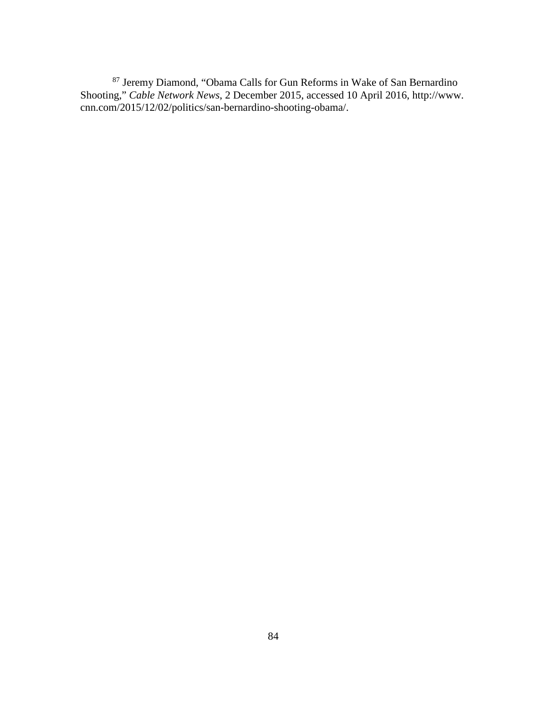<sup>87</sup> Jeremy Diamond, "Obama Calls for Gun Reforms in Wake of San Bernardino Shooting," *Cable Network News*, 2 December 2015, accessed 10 April 2016, http://www. cnn.com/2015/12/02/politics/san-bernardino-shooting-obama/.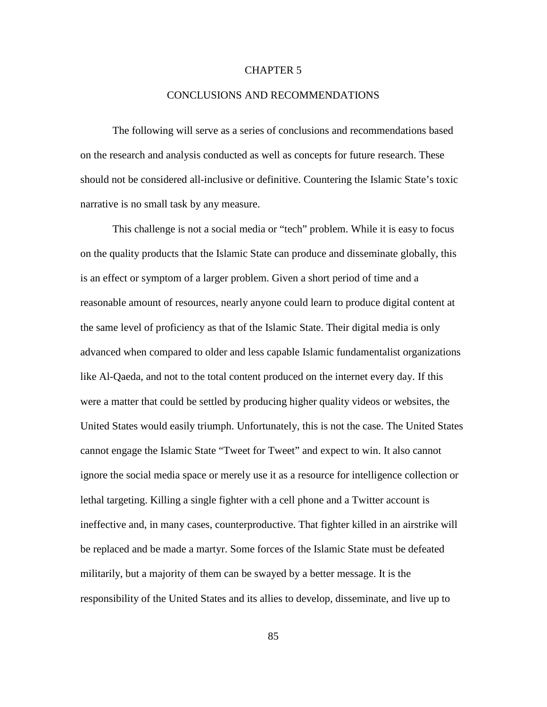## CHAPTER 5

## CONCLUSIONS AND RECOMMENDATIONS

The following will serve as a series of conclusions and recommendations based on the research and analysis conducted as well as concepts for future research. These should not be considered all-inclusive or definitive. Countering the Islamic State's toxic narrative is no small task by any measure.

This challenge is not a social media or "tech" problem. While it is easy to focus on the quality products that the Islamic State can produce and disseminate globally, this is an effect or symptom of a larger problem. Given a short period of time and a reasonable amount of resources, nearly anyone could learn to produce digital content at the same level of proficiency as that of the Islamic State. Their digital media is only advanced when compared to older and less capable Islamic fundamentalist organizations like Al-Qaeda, and not to the total content produced on the internet every day. If this were a matter that could be settled by producing higher quality videos or websites, the United States would easily triumph. Unfortunately, this is not the case. The United States cannot engage the Islamic State "Tweet for Tweet" and expect to win. It also cannot ignore the social media space or merely use it as a resource for intelligence collection or lethal targeting. Killing a single fighter with a cell phone and a Twitter account is ineffective and, in many cases, counterproductive. That fighter killed in an airstrike will be replaced and be made a martyr. Some forces of the Islamic State must be defeated militarily, but a majority of them can be swayed by a better message. It is the responsibility of the United States and its allies to develop, disseminate, and live up to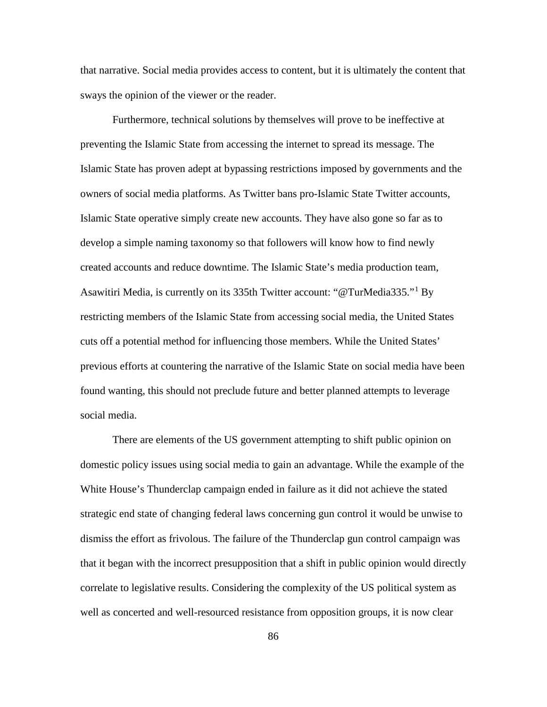that narrative. Social media provides access to content, but it is ultimately the content that sways the opinion of the viewer or the reader.

Furthermore, technical solutions by themselves will prove to be ineffective at preventing the Islamic State from accessing the internet to spread its message. The Islamic State has proven adept at bypassing restrictions imposed by governments and the owners of social media platforms. As Twitter bans pro-Islamic State Twitter accounts, Islamic State operative simply create new accounts. They have also gone so far as to develop a simple naming taxonomy so that followers will know how to find newly created accounts and reduce downtime. The Islamic State's media production team, Asawitiri Media, is currently on its 335th Twitter account: "@TurMedia335."[1](#page-97-0) By restricting members of the Islamic State from accessing social media, the United States cuts off a potential method for influencing those members. While the United States' previous efforts at countering the narrative of the Islamic State on social media have been found wanting, this should not preclude future and better planned attempts to leverage social media.

There are elements of the US government attempting to shift public opinion on domestic policy issues using social media to gain an advantage. While the example of the White House's Thunderclap campaign ended in failure as it did not achieve the stated strategic end state of changing federal laws concerning gun control it would be unwise to dismiss the effort as frivolous. The failure of the Thunderclap gun control campaign was that it began with the incorrect presupposition that a shift in public opinion would directly correlate to legislative results. Considering the complexity of the US political system as well as concerted and well-resourced resistance from opposition groups, it is now clear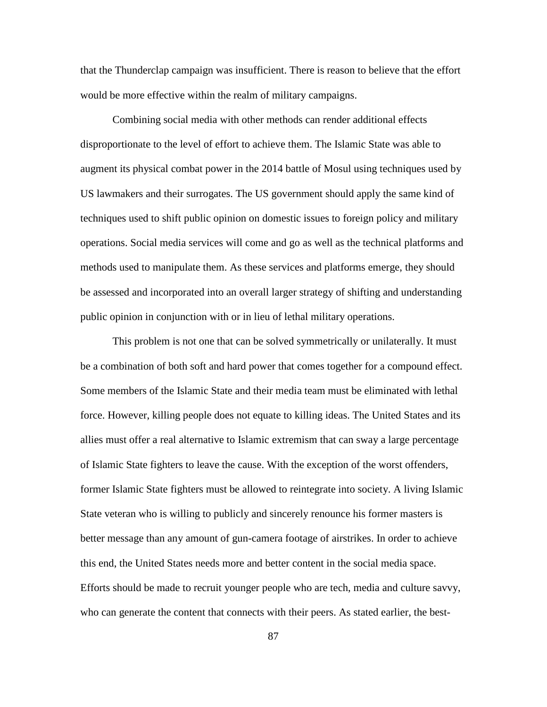that the Thunderclap campaign was insufficient. There is reason to believe that the effort would be more effective within the realm of military campaigns.

Combining social media with other methods can render additional effects disproportionate to the level of effort to achieve them. The Islamic State was able to augment its physical combat power in the 2014 battle of Mosul using techniques used by US lawmakers and their surrogates. The US government should apply the same kind of techniques used to shift public opinion on domestic issues to foreign policy and military operations. Social media services will come and go as well as the technical platforms and methods used to manipulate them. As these services and platforms emerge, they should be assessed and incorporated into an overall larger strategy of shifting and understanding public opinion in conjunction with or in lieu of lethal military operations.

This problem is not one that can be solved symmetrically or unilaterally. It must be a combination of both soft and hard power that comes together for a compound effect. Some members of the Islamic State and their media team must be eliminated with lethal force. However, killing people does not equate to killing ideas. The United States and its allies must offer a real alternative to Islamic extremism that can sway a large percentage of Islamic State fighters to leave the cause. With the exception of the worst offenders, former Islamic State fighters must be allowed to reintegrate into society. A living Islamic State veteran who is willing to publicly and sincerely renounce his former masters is better message than any amount of gun-camera footage of airstrikes. In order to achieve this end, the United States needs more and better content in the social media space. Efforts should be made to recruit younger people who are tech, media and culture savvy, who can generate the content that connects with their peers. As stated earlier, the best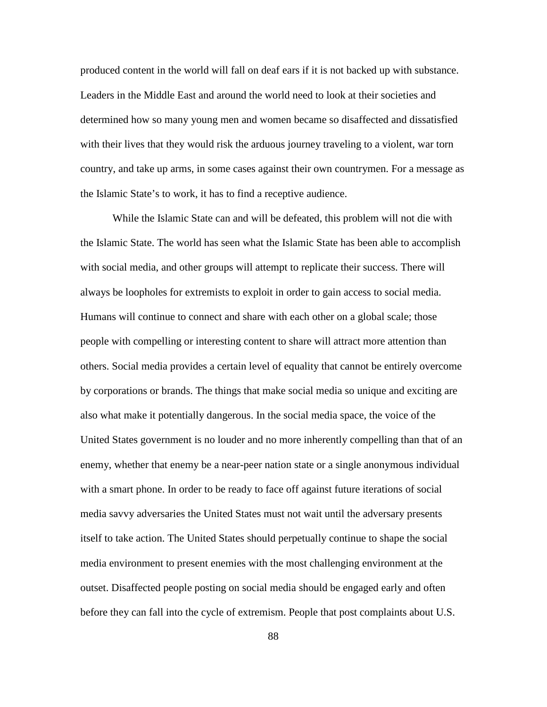produced content in the world will fall on deaf ears if it is not backed up with substance. Leaders in the Middle East and around the world need to look at their societies and determined how so many young men and women became so disaffected and dissatisfied with their lives that they would risk the arduous journey traveling to a violent, war torn country, and take up arms, in some cases against their own countrymen. For a message as the Islamic State's to work, it has to find a receptive audience.

While the Islamic State can and will be defeated, this problem will not die with the Islamic State. The world has seen what the Islamic State has been able to accomplish with social media, and other groups will attempt to replicate their success. There will always be loopholes for extremists to exploit in order to gain access to social media. Humans will continue to connect and share with each other on a global scale; those people with compelling or interesting content to share will attract more attention than others. Social media provides a certain level of equality that cannot be entirely overcome by corporations or brands. The things that make social media so unique and exciting are also what make it potentially dangerous. In the social media space, the voice of the United States government is no louder and no more inherently compelling than that of an enemy, whether that enemy be a near-peer nation state or a single anonymous individual with a smart phone. In order to be ready to face off against future iterations of social media savvy adversaries the United States must not wait until the adversary presents itself to take action. The United States should perpetually continue to shape the social media environment to present enemies with the most challenging environment at the outset. Disaffected people posting on social media should be engaged early and often before they can fall into the cycle of extremism. People that post complaints about U.S.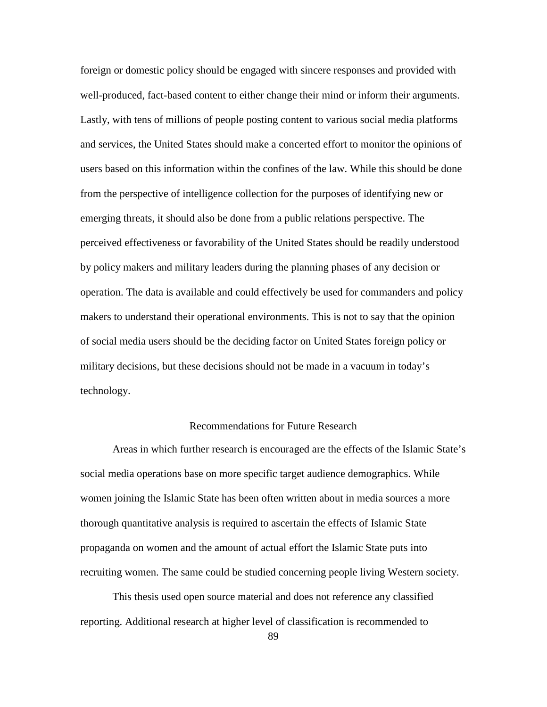foreign or domestic policy should be engaged with sincere responses and provided with well-produced, fact-based content to either change their mind or inform their arguments. Lastly, with tens of millions of people posting content to various social media platforms and services, the United States should make a concerted effort to monitor the opinions of users based on this information within the confines of the law. While this should be done from the perspective of intelligence collection for the purposes of identifying new or emerging threats, it should also be done from a public relations perspective. The perceived effectiveness or favorability of the United States should be readily understood by policy makers and military leaders during the planning phases of any decision or operation. The data is available and could effectively be used for commanders and policy makers to understand their operational environments. This is not to say that the opinion of social media users should be the deciding factor on United States foreign policy or military decisions, but these decisions should not be made in a vacuum in today's technology.

## Recommendations for Future Research

Areas in which further research is encouraged are the effects of the Islamic State's social media operations base on more specific target audience demographics. While women joining the Islamic State has been often written about in media sources a more thorough quantitative analysis is required to ascertain the effects of Islamic State propaganda on women and the amount of actual effort the Islamic State puts into recruiting women. The same could be studied concerning people living Western society.

This thesis used open source material and does not reference any classified reporting. Additional research at higher level of classification is recommended to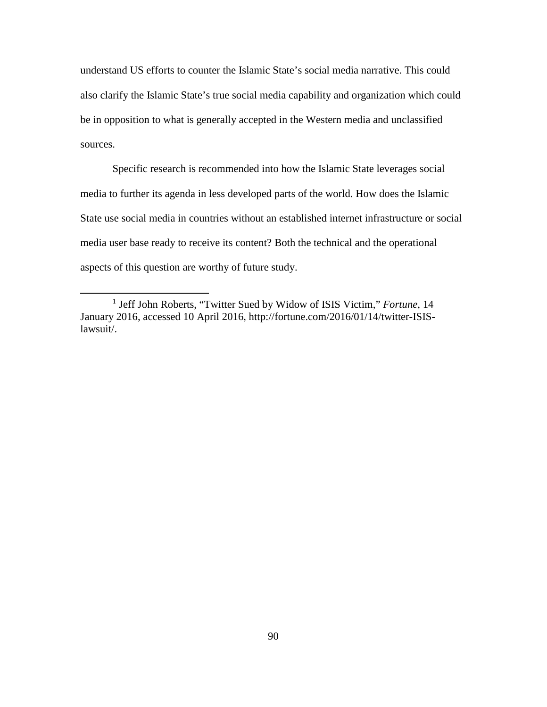understand US efforts to counter the Islamic State's social media narrative. This could also clarify the Islamic State's true social media capability and organization which could be in opposition to what is generally accepted in the Western media and unclassified sources.

Specific research is recommended into how the Islamic State leverages social media to further its agenda in less developed parts of the world. How does the Islamic State use social media in countries without an established internet infrastructure or social media user base ready to receive its content? Both the technical and the operational aspects of this question are worthy of future study.

 $\overline{a}$ 

<span id="page-97-0"></span><sup>1</sup> Jeff John Roberts, "Twitter Sued by Widow of ISIS Victim," *Fortune*, 14 January 2016, accessed 10 April 2016, http://fortune.com/2016/01/14/twitter-ISISlawsuit/.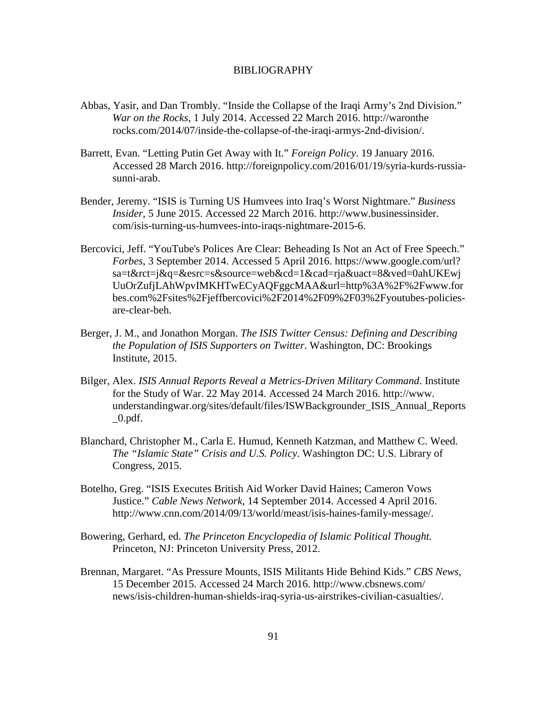## BIBLIOGRAPHY

- Abbas, Yasir, and Dan Trombly. "Inside the Collapse of the Iraqi Army's 2nd Division." *War on the Rocks*, 1 July 2014. Accessed 22 March 2016. http://waronthe rocks.com/2014/07/inside-the-collapse-of-the-iraqi-armys-2nd-division/.
- Barrett, Evan. "Letting Putin Get Away with It." *Foreign Policy*. 19 January 2016. Accessed 28 March 2016. http://foreignpolicy.com/2016/01/19/syria-kurds-russiasunni-arab.
- Bender, Jeremy. "ISIS is Turning US Humvees into Iraq's Worst Nightmare." *Business Insider,* 5 June 2015. Accessed 22 March 2016. http://www.businessinsider. com/isis-turning-us-humvees-into-iraqs-nightmare-2015-6.
- Bercovici, Jeff. "YouTube's Polices Are Clear: Beheading Is Not an Act of Free Speech." *Forbes*, 3 September 2014. Accessed 5 April 2016. https://www.google.com/url? sa=t&rct=j&q=&esrc=s&source=web&cd=1&cad=rja&uact=8&ved=0ahUKEwj UuOrZufjLAhWpvIMKHTwECyAQFggcMAA&url=http%3A%2F%2Fwww.for bes.com%2Fsites%2Fjeffbercovici%2F2014%2F09%2F03%2Fyoutubes-policiesare-clear-beh.
- Berger, J. M., and Jonathon Morgan. *The ISIS Twitter Census: Defining and Describing the Population of ISIS Supporters on Twitter*. Washington, DC: Brookings Institute, 2015.
- Bilger, Alex. *ISIS Annual Reports Reveal a Metrics-Driven Military Command*. Institute for the Study of War. 22 May 2014. Accessed 24 March 2016. http://www. understandingwar.org/sites/default/files/ISWBackgrounder\_ISIS\_Annual\_Reports  $_0.$ pdf.
- Blanchard, Christopher M., Carla E. Humud, Kenneth Katzman, and Matthew C. Weed. *The "Islamic State" Crisis and U.S. Policy*. Washington DC: U.S. Library of Congress, 2015.
- Botelho, Greg. "ISIS Executes British Aid Worker David Haines; Cameron Vows Justice." *Cable News Network*, 14 September 2014. Accessed 4 April 2016. http://www.cnn.com/2014/09/13/world/meast/isis-haines-family-message/.
- Bowering, Gerhard, ed. *The Princeton Encyclopedia of Islamic Political Thought.* Princeton, NJ: Princeton University Press, 2012.
- Brennan, Margaret. "As Pressure Mounts, ISIS Militants Hide Behind Kids." *CBS News*, 15 December 2015. Accessed 24 March 2016. http://www.cbsnews.com/ news/isis-children-human-shields-iraq-syria-us-airstrikes-civilian-casualties/.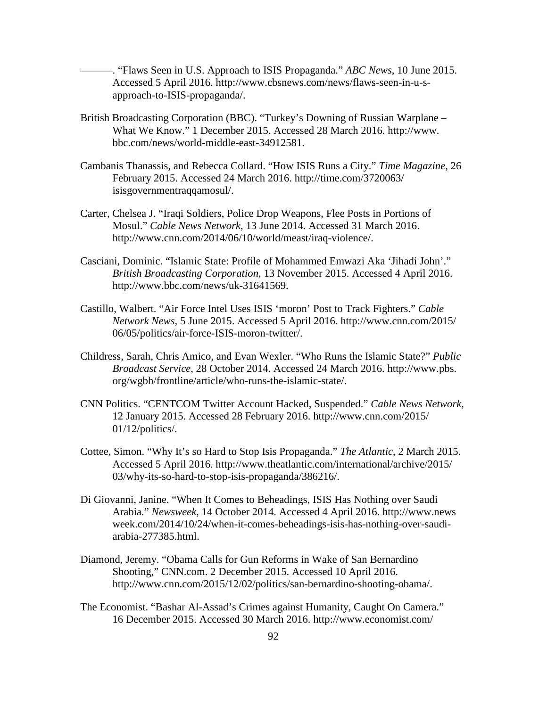———. "Flaws Seen in U.S. Approach to ISIS Propaganda." *ABC News*, 10 June 2015. Accessed 5 April 2016. http://www.cbsnews.com/news/flaws-seen-in-u-sapproach-to-ISIS-propaganda/.

- British Broadcasting Corporation (BBC). "Turkey's Downing of Russian Warplane What We Know." 1 December 2015. Accessed 28 March 2016. http://www. bbc.com/news/world-middle-east-34912581.
- Cambanis Thanassis, and Rebecca Collard. "How ISIS Runs a City." *Time Magazine*, 26 February 2015. Accessed 24 March 2016. http://time.com/3720063/ isisgovernmentraqqamosul/.
- Carter, Chelsea J. "Iraqi Soldiers, Police Drop Weapons, Flee Posts in Portions of Mosul." *Cable News Network*, 13 June 2014. Accessed 31 March 2016. http://www.cnn.com/2014/06/10/world/meast/iraq-violence/.
- Casciani, Dominic. "Islamic State: Profile of Mohammed Emwazi Aka 'Jihadi John'." *British Broadcasting Corporation*, 13 November 2015. Accessed 4 April 2016. http://www.bbc.com/news/uk-31641569.
- Castillo, Walbert. "Air Force Intel Uses ISIS 'moron' Post to Track Fighters." *Cable Network News*, 5 June 2015. Accessed 5 April 2016. http://www.cnn.com/2015/ 06/05/politics/air-force-ISIS-moron-twitter/.
- Childress, Sarah, Chris Amico, and Evan Wexler. "Who Runs the Islamic State?" *Public Broadcast Service*, 28 October 2014. Accessed 24 March 2016. http://www.pbs. org/wgbh/frontline/article/who-runs-the-islamic-state/.
- CNN Politics. "CENTCOM Twitter Account Hacked, Suspended." *Cable News Network,* 12 January 2015. Accessed 28 February 2016. http://www.cnn.com/2015/ 01/12/politics/.
- Cottee, Simon. "Why It's so Hard to Stop Isis Propaganda." *The Atlantic*, 2 March 2015. Accessed 5 April 2016. http://www.theatlantic.com/international/archive/2015/ 03/why-its-so-hard-to-stop-isis-propaganda/386216/.
- Di Giovanni, Janine. "When It Comes to Beheadings, ISIS Has Nothing over Saudi Arabia." *Newsweek*, 14 October 2014. Accessed 4 April 2016. http://www.news week.com/2014/10/24/when-it-comes-beheadings-isis-has-nothing-over-saudiarabia-277385.html.
- Diamond, Jeremy. "Obama Calls for Gun Reforms in Wake of San Bernardino Shooting," CNN.com. 2 December 2015. Accessed 10 April 2016. http://www.cnn.com/2015/12/02/politics/san-bernardino-shooting-obama/.
- The Economist. "Bashar Al-Assad's Crimes against Humanity, Caught On Camera." 16 December 2015. Accessed 30 March 2016. http://www.economist.com/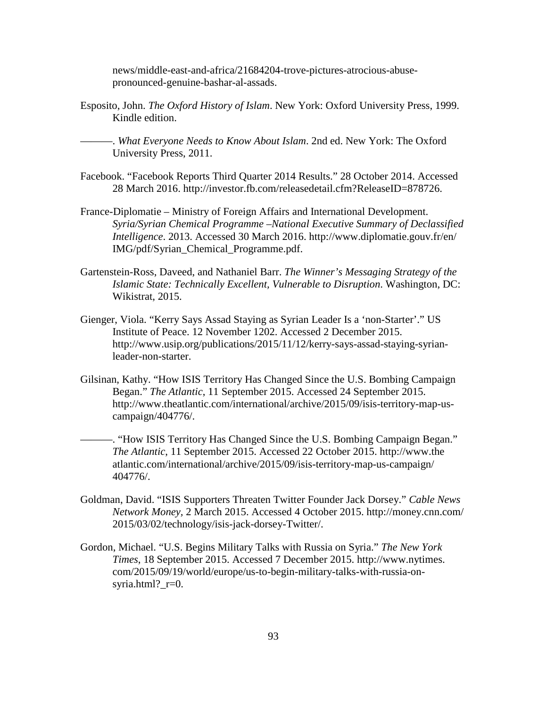news/middle-east-and-africa/21684204-trove-pictures-atrocious-abusepronounced-genuine-bashar-al-assads.

Esposito, John. *The Oxford History of Islam*. New York: Oxford University Press, 1999. Kindle edition.

———. *What Everyone Needs to Know About Islam*. 2nd ed. New York: The Oxford University Press, 2011.

- Facebook. "Facebook Reports Third Quarter 2014 Results." 28 October 2014. Accessed 28 March 2016. http://investor.fb.com/releasedetail.cfm?ReleaseID=878726.
- France-Diplomatie Ministry of Foreign Affairs and International Development. *Syria/Syrian Chemical Programme –National Executive Summary of Declassified Intelligence*. 2013. Accessed 30 March 2016. http://www.diplomatie.gouv.fr/en/ IMG/pdf/Syrian\_Chemical\_Programme.pdf.
- Gartenstein-Ross, Daveed, and Nathaniel Barr. *The Winner's Messaging Strategy of the Islamic State: Technically Excellent, Vulnerable to Disruption*. Washington, DC: Wikistrat, 2015.
- Gienger, Viola. "Kerry Says Assad Staying as Syrian Leader Is a 'non-Starter'." US Institute of Peace. 12 November 1202. Accessed 2 December 2015. http://www.usip.org/publications/2015/11/12/kerry-says-assad-staying-syrianleader-non-starter.
- Gilsinan, Kathy. "How ISIS Territory Has Changed Since the U.S. Bombing Campaign Began." *The Atlantic*, 11 September 2015. Accessed 24 September 2015. http://www.theatlantic.com/international/archive/2015/09/isis-territory-map-uscampaign/404776/.

———. "How ISIS Territory Has Changed Since the U.S. Bombing Campaign Began." *The Atlantic*, 11 September 2015. Accessed 22 October 2015. http://www.the atlantic.com/international/archive/2015/09/isis-territory-map-us-campaign/ 404776/.

- Goldman, David. "ISIS Supporters Threaten Twitter Founder Jack Dorsey." *Cable News Network Money,* 2 March 2015. Accessed 4 October 2015. http://money.cnn.com/ 2015/03/02/technology/isis-jack-dorsey-Twitter/.
- Gordon, Michael. "U.S. Begins Military Talks with Russia on Syria." *The New York Times*, 18 September 2015. Accessed 7 December 2015. http://www.nytimes. com/2015/09/19/world/europe/us-to-begin-military-talks-with-russia-onsyria.html?\_r=0.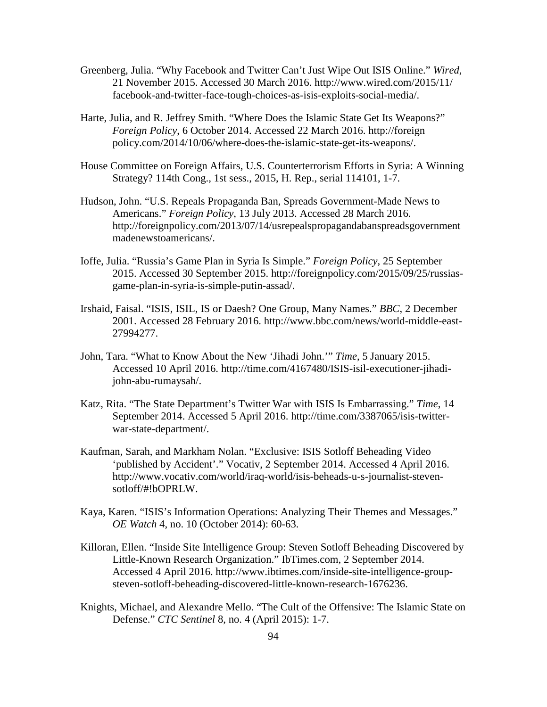- Greenberg, Julia. "Why Facebook and Twitter Can't Just Wipe Out ISIS Online." *Wired*, 21 November 2015. Accessed 30 March 2016. http://www.wired.com/2015/11/ facebook-and-twitter-face-tough-choices-as-isis-exploits-social-media/.
- Harte, Julia, and R. Jeffrey Smith. "Where Does the Islamic State Get Its Weapons?" *Foreign Policy*, 6 October 2014. Accessed 22 March 2016. http://foreign policy.com/2014/10/06/where-does-the-islamic-state-get-its-weapons/.
- House Committee on Foreign Affairs, U.S. Counterterrorism Efforts in Syria: A Winning Strategy? 114th Cong., 1st sess., 2015, H. Rep., serial 114101, 1-7.
- Hudson, John. "U.S. Repeals Propaganda Ban, Spreads Government-Made News to Americans." *Foreign Policy*, 13 July 2013. Accessed 28 March 2016. http://foreignpolicy.com/2013/07/14/usrepealspropagandabanspreadsgovernment madenewstoamericans/.
- Ioffe, Julia. "Russia's Game Plan in Syria Is Simple." *Foreign Policy*, 25 September 2015. Accessed 30 September 2015. http://foreignpolicy.com/2015/09/25/russiasgame-plan-in-syria-is-simple-putin-assad/.
- Irshaid, Faisal. "ISIS, ISIL, IS or Daesh? One Group, Many Names." *BBC*, 2 December 2001. Accessed 28 February 2016. http://www.bbc.com/news/world-middle-east-27994277.
- John, Tara. "What to Know About the New 'Jihadi John.'" *Time*, 5 January 2015. Accessed 10 April 2016. http://time.com/4167480/ISIS-isil-executioner-jihadijohn-abu-rumaysah/.
- Katz, Rita. "The State Department's Twitter War with ISIS Is Embarrassing." *Time*, 14 September 2014. Accessed 5 April 2016. http://time.com/3387065/isis-twitterwar-state-department/.
- Kaufman, Sarah, and Markham Nolan. "Exclusive: ISIS Sotloff Beheading Video 'published by Accident'." Vocativ, 2 September 2014. Accessed 4 April 2016. http://www.vocativ.com/world/iraq-world/isis-beheads-u-s-journalist-stevensotloff/#!bOPRLW.
- Kaya, Karen. "ISIS's Information Operations: Analyzing Their Themes and Messages." *OE Watch* 4, no. 10 (October 2014): 60-63.
- Killoran, Ellen. "Inside Site Intelligence Group: Steven Sotloff Beheading Discovered by Little-Known Research Organization." IbTimes.com, 2 September 2014. Accessed 4 April 2016. http://www.ibtimes.com/inside-site-intelligence-groupsteven-sotloff-beheading-discovered-little-known-research-1676236.
- Knights, Michael, and Alexandre Mello. "The Cult of the Offensive: The Islamic State on Defense." *CTC Sentinel* 8, no. 4 (April 2015): 1-7.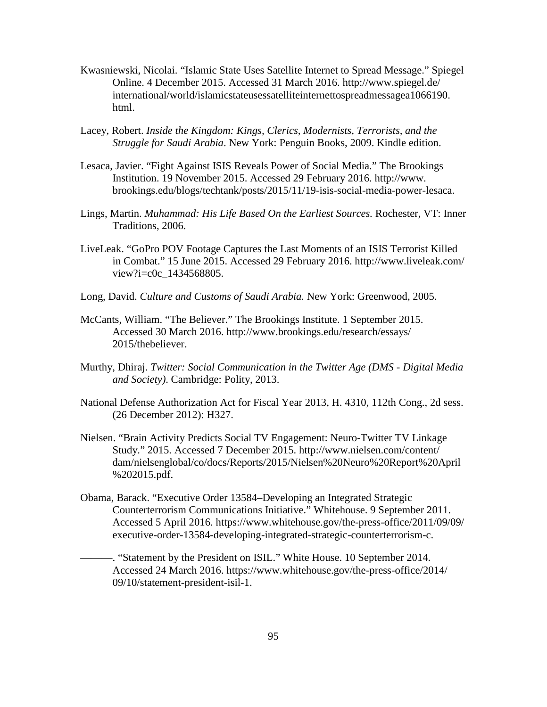- Kwasniewski, Nicolai. "Islamic State Uses Satellite Internet to Spread Message." Spiegel Online. 4 December 2015. Accessed 31 March 2016. http://www.spiegel.de/ international/world/islamicstateusessatelliteinternettospreadmessagea1066190. html.
- Lacey, Robert. *Inside the Kingdom: Kings, Clerics, Modernists, Terrorists, and the Struggle for Saudi Arabia*. New York: Penguin Books, 2009. Kindle edition.
- Lesaca, Javier. "Fight Against ISIS Reveals Power of Social Media." The Brookings Institution. 19 November 2015. Accessed 29 February 2016. http://www. brookings.edu/blogs/techtank/posts/2015/11/19-isis-social-media-power-lesaca.
- Lings, Martin. *Muhammad: His Life Based On the Earliest Sources.* Rochester, VT: Inner Traditions, 2006.
- LiveLeak. "GoPro POV Footage Captures the Last Moments of an ISIS Terrorist Killed in Combat." 15 June 2015. Accessed 29 February 2016. http://www.liveleak.com/ view?i=c0c\_1434568805.
- Long, David. *Culture and Customs of Saudi Arabia.* New York: Greenwood, 2005.
- McCants, William. "The Believer." The Brookings Institute. 1 September 2015. Accessed 30 March 2016. http://www.brookings.edu/research/essays/ 2015/thebeliever.
- Murthy, Dhiraj. *Twitter: Social Communication in the Twitter Age (DMS - Digital Media and Society)*. Cambridge: Polity, 2013.
- National Defense Authorization Act for Fiscal Year 2013, H. 4310, 112th Cong., 2d sess. (26 December 2012): H327.
- Nielsen. "Brain Activity Predicts Social TV Engagement: Neuro-Twitter TV Linkage Study." 2015. Accessed 7 December 2015. http://www.nielsen.com/content/ dam/nielsenglobal/co/docs/Reports/2015/Nielsen%20Neuro%20Report%20April %202015.pdf.
- Obama, Barack. "Executive Order 13584–Developing an Integrated Strategic Counterterrorism Communications Initiative." Whitehouse. 9 September 2011. Accessed 5 April 2016. https://www.whitehouse.gov/the-press-office/2011/09/09/ executive-order-13584-developing-integrated-strategic-counterterrorism-c.
	- ———. "Statement by the President on ISIL." White House. 10 September 2014. Accessed 24 March 2016. https://www.whitehouse.gov/the-press-office/2014/ 09/10/statement-president-isil-1.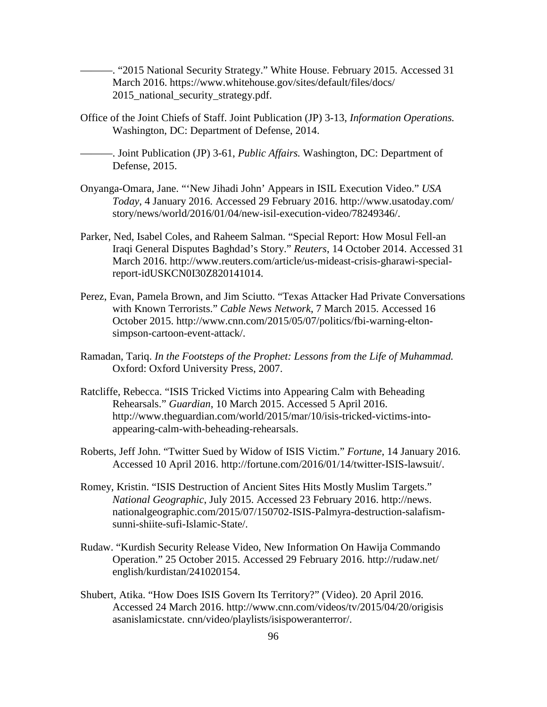———. "2015 National Security Strategy." White House. February 2015. Accessed 31 March 2016. https://www.whitehouse.gov/sites/default/files/docs/ 2015 national security strategy.pdf.

Office of the Joint Chiefs of Staff. Joint Publication (JP) 3-13, *Information Operations.* Washington, DC: Department of Defense, 2014.

———. Joint Publication (JP) 3-61, *Public Affairs.* Washington, DC: Department of Defense, 2015.

- Onyanga-Omara, Jane. "'New Jihadi John' Appears in ISIL Execution Video." *USA Today*, 4 January 2016. Accessed 29 February 2016. http://www.usatoday.com/ story/news/world/2016/01/04/new-isil-execution-video/78249346/.
- Parker, Ned, Isabel Coles, and Raheem Salman. "Special Report: How Mosul Fell-an Iraqi General Disputes Baghdad's Story." *Reuters*, 14 October 2014. Accessed 31 March 2016. http://www.reuters.com/article/us-mideast-crisis-gharawi-specialreport-idUSKCN0I30Z820141014.
- Perez, Evan, Pamela Brown, and Jim Sciutto. "Texas Attacker Had Private Conversations with Known Terrorists." *Cable News Network*, 7 March 2015. Accessed 16 October 2015. http://www.cnn.com/2015/05/07/politics/fbi-warning-eltonsimpson-cartoon-event-attack/.
- Ramadan, Tariq. *In the Footsteps of the Prophet: Lessons from the Life of Muhammad.* Oxford: Oxford University Press, 2007.
- Ratcliffe, Rebecca. "ISIS Tricked Victims into Appearing Calm with Beheading Rehearsals." *Guardian*, 10 March 2015. Accessed 5 April 2016. http://www.theguardian.com/world/2015/mar/10/isis-tricked-victims-intoappearing-calm-with-beheading-rehearsals.
- Roberts, Jeff John. "Twitter Sued by Widow of ISIS Victim." *Fortune*, 14 January 2016. Accessed 10 April 2016. http://fortune.com/2016/01/14/twitter-ISIS-lawsuit/.
- Romey, Kristin. "ISIS Destruction of Ancient Sites Hits Mostly Muslim Targets." *National Geographic*, July 2015. Accessed 23 February 2016. http://news. nationalgeographic.com/2015/07/150702-ISIS-Palmyra-destruction-salafismsunni-shiite-sufi-Islamic-State/.
- Rudaw. "Kurdish Security Release Video, New Information On Hawija Commando Operation." 25 October 2015. Accessed 29 February 2016. http://rudaw.net/ english/kurdistan/241020154.
- Shubert, Atika. "How Does ISIS Govern Its Territory?" (Video). 20 April 2016. Accessed 24 March 2016. http://www.cnn.com/videos/tv/2015/04/20/origisis asanislamicstate. cnn/video/playlists/isispoweranterror/.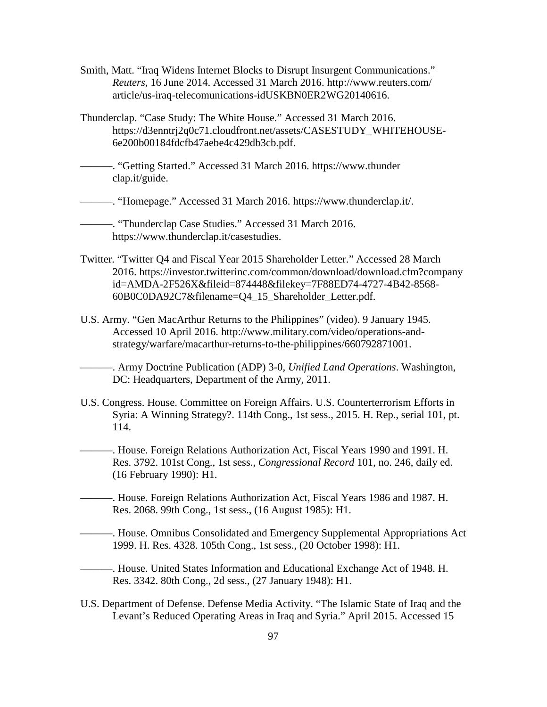- Smith, Matt. "Iraq Widens Internet Blocks to Disrupt Insurgent Communications." *Reuters*, 16 June 2014. Accessed 31 March 2016. http://www.reuters.com/ article/us-iraq-telecomunications-idUSKBN0ER2WG20140616.
- Thunderclap. "Case Study: The White House." Accessed 31 March 2016. https://d3enntrj2q0c71.cloudfront.net/assets/CASESTUDY\_WHITEHOUSE-6e200b00184fdcfb47aebe4c429db3cb.pdf.
- ———. "Getting Started." Accessed 31 March 2016. https://www.thunder clap.it/guide.

———. "Homepage." Accessed 31 March 2016. https://www.thunderclap.it/.

———. "Thunderclap Case Studies." Accessed 31 March 2016. https://www.thunderclap.it/casestudies.

- Twitter. "Twitter Q4 and Fiscal Year 2015 Shareholder Letter." Accessed 28 March 2016. https://investor.twitterinc.com/common/download/download.cfm?company id=AMDA-2F526X&fileid=874448&filekey=7F88ED74-4727-4B42-8568- 60B0C0DA92C7&filename=Q4\_15\_Shareholder\_Letter.pdf.
- U.S. Army. "Gen MacArthur Returns to the Philippines" (video). 9 January 1945. Accessed 10 April 2016. http://www.military.com/video/operations-andstrategy/warfare/macarthur-returns-to-the-philippines/660792871001.
	- ———. Army Doctrine Publication (ADP) 3-0*, Unified Land Operations*. Washington, DC: Headquarters, Department of the Army, 2011.
- U.S. Congress. House. Committee on Foreign Affairs. U.S. Counterterrorism Efforts in Syria: A Winning Strategy?. 114th Cong., 1st sess., 2015. H. Rep., serial 101, pt. 114.
- ———. House. Foreign Relations Authorization Act, Fiscal Years 1990 and 1991. H. Res. 3792. 101st Cong., 1st sess., *Congressional Record* 101, no. 246, daily ed. (16 February 1990): H1.
- ———. House. Foreign Relations Authorization Act, Fiscal Years 1986 and 1987. H. Res. 2068. 99th Cong., 1st sess., (16 August 1985): H1.
- ———. House. Omnibus Consolidated and Emergency Supplemental Appropriations Act 1999. H. Res. 4328. 105th Cong., 1st sess., (20 October 1998): H1.
- ———. House. United States Information and Educational Exchange Act of 1948. H. Res. 3342. 80th Cong., 2d sess., (27 January 1948): H1.
- U.S. Department of Defense. Defense Media Activity. "The Islamic State of Iraq and the Levant's Reduced Operating Areas in Iraq and Syria." April 2015. Accessed 15